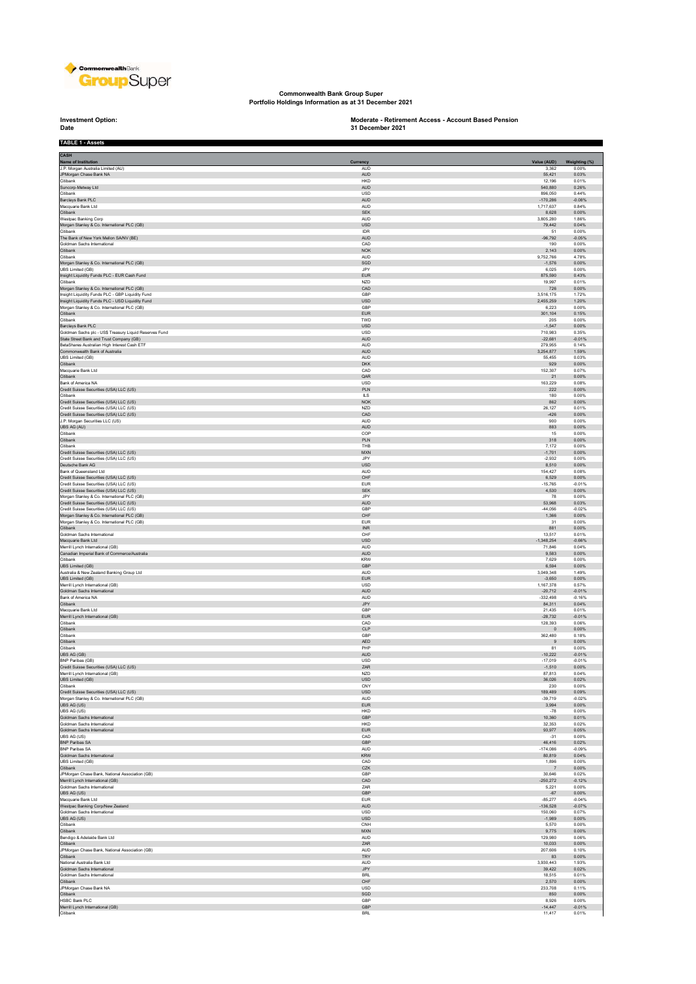

**Commonwealth Bank Group Super Portfolio Holdings Information as at 31 December 2021**

**Investment Option:**<br>Date

## **Investment Option: Moderate - Retirement Access - Account Based Pension 31 December 2021**

| <b>TABLE 1 - Assets</b>                                       |                             |                |                   |
|---------------------------------------------------------------|-----------------------------|----------------|-------------------|
| <b>CASH</b>                                                   |                             |                |                   |
| Name of Institution                                           | Currency                    | Value (AUD)    | Weighting (%)     |
| J.P. Morgan Australia Limited (AU)                            | <b>AUD</b>                  | 3,362          | 0.00%             |
| JPMorgan Chase Bank NA                                        | AUD                         | 55,421         | 0.03%             |
| Citibank                                                      | <b>HKD</b>                  | 12.196         | 0.01%             |
| Suncorp-Metway Ltd                                            | AUD                         | 540,880        | 0.26%             |
| Citibank                                                      | <b>USD</b>                  | 896.050        | 0.44%             |
| Barclays Bank PLC                                             | AUD                         | $-170,286$     | $-0.08%$          |
| Macquarie Bank Ltd                                            | AUD                         | 1,717,637      | 0.84%             |
| Citibank                                                      | <b>SEK</b>                  | 8.628          | 0.00%             |
| Westpac Banking Corp                                          | AUD                         | 3,805,280      | 1.86%             |
| Morgan Stanley & Co. International PLC (GB)                   | <b>USD</b>                  | 79,442         | 0.04%             |
| Citibank                                                      | IDR                         | 51             | 0.00%             |
| The Bank of New York Mellon SA/NV (BE)                        | AUD                         | $-96,792$      | $-0.05%$          |
| Goldman Sachs International                                   | CAD                         | 190            | 0.00%             |
| Citibank                                                      | NOK                         | 2,143          | 0.00%             |
| Citibank                                                      | <b>AUD</b>                  | 9,752,766      | 4.78%             |
| Morgan Stanley & Co. International PLC (GB)                   | SGD                         | $-1,576$       | 0.00%             |
| UBS Limited (GB)                                              | JPY                         | 6,025          | 0.00%             |
| Insight Liquidity Funds PLC - EUR Cash Fund                   | <b>EUR</b>                  | 875.590        | 0.43%             |
| Citibank                                                      | NZD                         | 19,997         | 0.01%             |
| Morgan Stanley & Co. International PLC (GB)                   | CAD                         | 726            | 0.00%             |
| Insight Liquidity Funds PLC - GBP Liquidity Fund              | GBP                         | 3,516,175      | 1.72%             |
| Insight Liquidity Funds PLC - USD Liquidity Fund              | USD                         | 2,455,259      | 1.20%             |
| Morgan Stanley & Co. International PLC (GB)                   | GBP                         | 6.223          | 0.00%             |
| Citibank                                                      | $\ensuremath{\mathsf{EUR}}$ | 301,104        | 0.15%             |
| Citibank                                                      | TWD                         | 205            | 0.00%             |
| Barclays Bank PLC                                             | USD                         | $-1,547$       | 0.00%             |
| Goldman Sachs plc - US\$ Treasury Liquid Reserves Fund        | USD                         | 710,983        | 0.35%             |
| State Street Bank and Trust Company (GB)                      | <b>AUD</b>                  | $-22.681$      | $-0.01%$<br>0.14% |
| BetaShares Australian High Interest Cash ETF                  | AUD                         | 279,955        | 1.59%             |
| Commonwealth Bank of Australia                                | <b>AUD</b>                  | 3,254,877      |                   |
| UBS Limited (GB)                                              | <b>AUD</b>                  | 55.455         | 0.03%             |
| Citibank                                                      | <b>DKK</b>                  | 929            | 0.00%             |
| Macquarie Bank Ltd                                            | CAD                         | 152.307        | 0.07%             |
| Citibank                                                      | QAR                         | 21             | 0.00%             |
| Bank of America NA                                            | <b>USD</b>                  | 163,229        | 0.08%             |
| Credit Suisse Securities (USA) LLC (US)                       | PLN                         | 222            | 0.00%             |
| Citibank                                                      | ILS                         | 180            | 0.00%             |
| Credit Suisse Securities (USA) LLC (US)                       | <b>NOK</b>                  | 862            | 0.00%             |
| Credit Suisse Securities (USA) LLC (US)                       | NZD                         | 26,127         | 0.01%             |
| Credit Suisse Securities (USA) LLC (US)                       | CAD                         | $-426$         | 0.00%             |
| J.P. Morgan Securities LLC (US)                               | <b>AUD</b>                  | 900            | 0.00%             |
| UBS AG (AU)                                                   | AUD                         | 883            | 0.00%             |
| Citibank                                                      | COP                         | 15             | 0.00%             |
| Citibank                                                      | PLN                         | 318            | 0.00%             |
| Citibank                                                      | <b>THR</b>                  | 7,172          | 0.00%             |
| Credit Suisse Securities (USA) LLC (US)                       | <b>MXN</b>                  | $-1,701$       | 0.00%             |
| Credit Suisse Securities (USA) LLC (US)                       | JPY                         | $-2,932$       | 0.00%             |
| Deutsche Bank AG                                              | <b>USD</b>                  | 8.510          | 0.00%             |
| Bank of Queensland Ltd                                        | AUD                         | 154,427        | 0.08%             |
| Credit Suisse Securities (USA) LLC (US)                       | CHF                         | 6,529          | 0.00%             |
| Credit Suisse Securities (USA) LLC (US)                       | <b>EUR</b>                  | $-15.765$      | $-0.01%$          |
| Credit Suisse Securities (USA) LLC (US)                       | <b>SEK</b>                  | 4,530          | 0.00%             |
| Morgan Stanley & Co. International PLC (GB)                   | JPY                         | 78             | 0.00%             |
| Credit Suisse Securities (USA) LLC (US)                       | AUD                         | 53,968         | 0.03%             |
| Credit Suisse Securities (USA) LLC (US)                       | GBP                         | $-44,056$      | $-0.02%$          |
| Morgan Stanley & Co. International PLC (GB)                   | CHF                         | 1,366          | 0.00%             |
| Morgan Stanley & Co. International PLC (GB)                   | <b>EUR</b>                  | 31             | 0.00%             |
| Citibank                                                      | <b>INR</b>                  | 881            | 0.00%             |
| Goldman Sachs International                                   | CHF                         | 13,517         | 0.01%             |
| Macquarie Bank Ltd                                            | <b>USD</b>                  | $-1.348.254$   | $-0.66%$          |
| Merrill Lynch International (GB)                              | <b>AUD</b>                  | 71,846         | 0.04%             |
| Canadian Imperial Bank of Commerce/Australia                  | AUD                         | 9,583          | 0.00%             |
| Citibank                                                      | <b>KRW</b>                  | 7,629          | 0.00%             |
| <b>UBS Limited (GB)</b>                                       | GBP                         | 6,594          | 0.00%             |
|                                                               | <b>AUD</b>                  | 3,049,348      | 1.49%             |
| Australia & New Zealand Banking Group Ltd<br>UBS Limited (GB) | <b>EUR</b>                  | $-3,650$       | 0.00%             |
| Merrill Lynch International (GB)                              | USD                         | 1,167,378      | 0.57%             |
| Goldman Sachs International                                   | <b>AUD</b>                  | $-20,712$      | $-0.01%$          |
| Bank of America NA                                            | AUD                         | $-332,498$     | $-0.16%$          |
| Citibank                                                      | JPY                         | 84,311         | 0.04%             |
| Macquarie Bank Ltd                                            | GBP                         | 21.435         | 0.01%             |
| Merrill Lynch International (GB)                              | ${\sf EUR}$                 | $-28,732$      | $-0.01%$          |
| Citibank                                                      | CAD                         | 128,393        | 0.06%             |
| Citibank                                                      | CLP                         | $\,$ 0         | 0.00%             |
| Citibank                                                      | GBP                         | 362,480        | 0.18%             |
| Citibank                                                      | <b>AED</b>                  | 9              | 0.00%             |
| Citibank                                                      | PHP                         | 81             | 0.00%             |
| UBS AG (GB)                                                   | <b>AUD</b>                  | $-10.222$      | $-0.01%$          |
| BNP Paribas (GB)                                              | usu                         | -17,019        | -0.01%            |
| Credit Suisse Securities (USA) LLC (US)                       | ZAR                         | $-1,510$       | 0.00%             |
| Merrill Lynch International (GB)                              | <b>NZD</b>                  | 87.813         | 0.04%             |
| UBS Limited (GB)                                              | <b>USD</b>                  | 36,026         | 0.02%             |
| Citibank                                                      | CNY                         | 230            | 0.00%             |
| Credit Suisse Securities (USA) LLC (US)                       | USD                         | 189,489        | 0.09%             |
| Morgan Stanley & Co. International PLC (GB)                   | <b>AUD</b>                  | $-39,719$      | $-0.02%$          |
| UBS AG (US)                                                   | <b>EUR</b>                  | 3.994          | 0.00%             |
| UBS AG (US)                                                   | HKD                         | $-78$          | 0.00%             |
| Goldman Sachs International                                   | GBP                         | 10,360         | 0.01%             |
| Goldman Sachs International                                   | HKD                         | 32,353         | 0.02%             |
| Goldman Sachs International                                   | <b>EUR</b>                  | 93,977         | 0.05%             |
| UBS AG (US)                                                   | CAD                         | $-31$          | 0.00%             |
| <b>BNP Paribas SA</b>                                         | GBP                         | 46,416         | 0.02%             |
| <b>BNP Paribas SA</b>                                         | <b>AUD</b>                  | $-174.086$     | $-0.09%$          |
| Goldman Sachs International                                   | KRW                         | 80,819         | 0.04%             |
| UBS Limited (GB)                                              | CAD                         | 1,896          | 0.00%             |
| Citibank                                                      | CZK                         | $\overline{7}$ | 0.00%             |
| JPMorgan Chase Bank, National Association (GB)                | GBP                         | 30,646         | 0.02%             |
| Merrill Lynch International (GB)                              | CAD                         | $-250,272$     | $-0.12%$          |
| Goldman Sachs International                                   | ZAR                         | 5,221          | 0.00%             |
| UBS AG (US)<br>Macquarie Bank Ltd                             | GBP                         | $-67$          | 0.00%             |
| Westpac Banking Corp/New Zealand                              | <b>EUR</b>                  | $-85.277$      | $-0.04%$          |
|                                                               | AUD                         | $-136,528$     | $-0.07%$          |
| Goldman Sachs International                                   | <b>USD</b>                  | 150,060        | 0.07%             |
| UBS AG (US)                                                   | USD                         | $-1,989$       | 0.00%             |
| Citibank                                                      | $\mathsf{CNH}$              | 5,570          | 0.00%             |
| Citibank                                                      | <b>MXN</b>                  | 9,775          | 0.00%             |
| Bendigo & Adelaide Bank Ltd                                   | AUD                         | 129,980        | 0.06%             |
| Citibank                                                      | ZAR                         | 10,033         | 0.00%             |
| JPMorgan Chase Bank, National Association (GB)                | AUD                         | 207,606        | 0.10%             |
| Citibank                                                      | TRY                         | 83             | 0.00%             |
| National Australia Bank Ltd                                   | <b>AUD</b>                  | 3.930.443      | 1.93%             |
| Goldman Sachs International                                   | JPY                         | 39,422         | 0.02%             |
| Goldman Sachs International                                   | <b>BRL</b>                  | 18,515         | 0.01%             |
| Citibank                                                      | $\mathsf{CHF}$              | 2,570          | 0.00%             |
| JPMorgan Chase Bank NA                                        | USD                         | 233,708        | 0.11%             |
| Citibank                                                      | SGD                         | 850            | 0.00%             |
| HSBC Bank PLC                                                 | GBP                         | 8,926          | 0.00%             |
| Merrill Lynch International (GB)                              | <b>GBP</b>                  | $-14,447$      | $-0.01%$          |
| Citibank                                                      | <b>BRL</b>                  | 11,417         | 0.01%             |
|                                                               |                             |                |                   |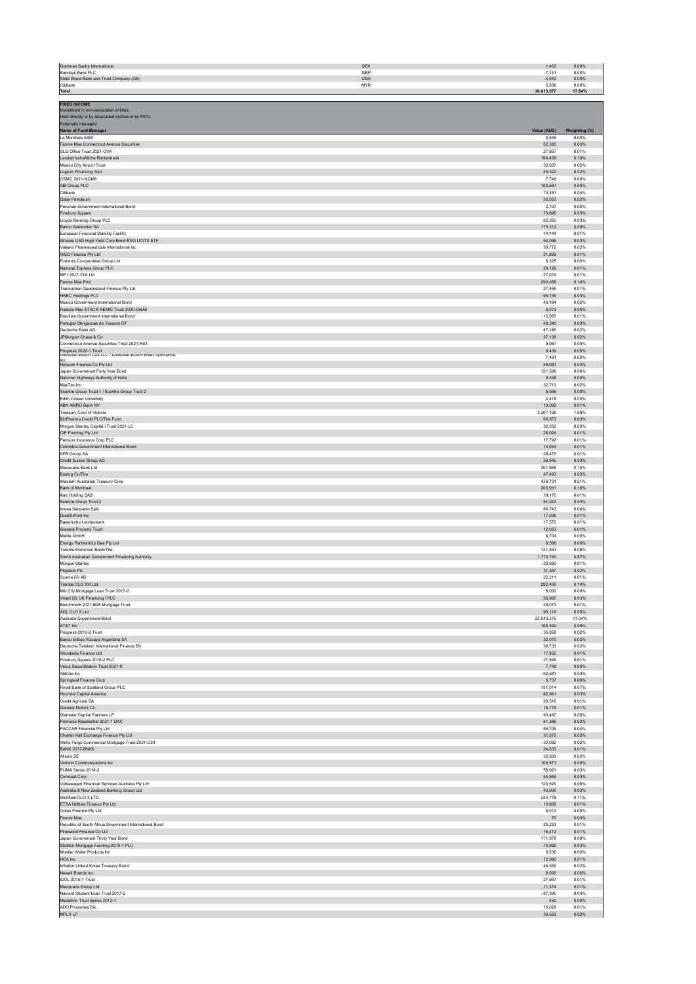| Goldman Sachs International                                                                  | <b>SEK</b>        | 1,462                | 0.00%                  |
|----------------------------------------------------------------------------------------------|-------------------|----------------------|------------------------|
| Barclays Bank PLC<br>State Street Bank and Trust Company (GB)                                | GBP<br><b>USD</b> | $-7.141$<br>$-4.642$ | 0.00%<br>0.00%         |
| Citibank                                                                                     | <b>MYR</b>        | 5,836                | 0.00%                  |
| <b>Total</b>                                                                                 |                   | 36,413,577           | 17.84%                 |
| <b>FIXED INCOME</b>                                                                          |                   |                      |                        |
| Investment in non-associated entities:<br>Held directly or by associated entities or by PSTs |                   |                      |                        |
| Externally managed                                                                           |                   |                      |                        |
| Name of Fund Manager<br>La Mondiale SAM                                                      |                   | Value (AUD)<br>8,845 | Weighting (%)<br>0.00% |
| Fannie Mae Connecticut Avenue Securities                                                     |                   | 52,320               | 0.03%                  |
| SLG Office Trust 2021-OVA                                                                    |                   | 27,857               | 0.01%                  |
| Landwirtschaftliche Rentenbank<br>Mexico City Airport Trust                                  |                   | 194,498<br>32.027    | 0.10%<br>0.02%         |
| Logicor Financing Sarl                                                                       |                   | 45,322               | 0.02%                  |
| <b>CSMC 2021-NOM8</b><br>AIB Group PLC                                                       |                   | 7,749<br>100,587     | 0.00%<br>0.05%         |
| Citibank                                                                                     |                   | 73,481               | 0.04%                  |
| Qatar Petroleum                                                                              |                   | 50,053               | 0.02%                  |
| Peruvian Government International Bond<br>Finsbury Square                                    |                   | 2,707<br>70,895      | 0.00%<br>0.03%         |
| Lloyds Banking Group PLC                                                                     |                   | 62,350               | 0.03%                  |
| Banco Santander SA                                                                           |                   | 170,312              | 0.08%                  |
| European Financial Stability Facility<br>iShares USD High Yield Corp Bond ESG UCITS ETF      |                   | 14,144<br>54,096     | 0.01%<br>0.03%         |
| Valeant Pharmaceuticals International Inc                                                    |                   | 30,772               | 0.02%                  |
| WSO Finance Pty Ltd<br>Fonterra Co-operative Group Ltd                                       |                   | 21,899<br>6.325      | 0.01%<br>0.00%         |
| National Express Group PLC                                                                   |                   | 29.126               | 0.01%                  |
| MF1 2021-FL6 Ltd                                                                             |                   | 27.016               | 0.01%                  |
| Fannie Mae Pool<br>Transurban Queensland Finance Pty Ltd                                     |                   | 290,089<br>27,465    | 0.14%<br>0.01%         |
| <b>HSBC Holdings PLC</b>                                                                     |                   | 65,706               | 0.03%                  |
| Mexico Government International Bond<br>Freddie Mac STACR REMIC Trust 2020-DNA5              |                   | 46,164               | 0.02%                  |
| Brazilian Government International Bond                                                      |                   | 8,072<br>15,065      | 0.00%<br>0.01%         |
| Portugal Obrigacoes do Tesouro OT                                                            |                   | 49,340               | 0.02%                  |
| Deutsche Bank AG<br>JPMorgan Chase & Co                                                      |                   | 47,186<br>37,139     | 0.02%<br>0.02%         |
| Connecticut Avenue Securities Trust 2021-R03                                                 |                   | 9,067                | 0.00%                  |
| Progress 2020-1 Trust<br>Anheuser-Busch Cos LLC / Anheuser-Busch InBev Worldwide             |                   | 9.436                | 0.00%                  |
| Network Finance Co Pty Ltd                                                                   |                   | 7.491<br>49.081      | 0.00%<br>0.02%         |
| Japan Government Forty Year Bond                                                             |                   | 121,599              | 0.06%                  |
| National Highways Authority of India                                                         |                   | 9,346                | 0.00%                  |
| MasTec Inc<br>Scentre Group Trust 1 / Scentre Group Trust 2                                  |                   | 32,713<br>6,066      | 0.02%<br>0.00%         |
| Edith Cowan University                                                                       |                   | 4,418                | 0.00%                  |
| ABN AMRO Bank NV<br>Treasury Corp of Victoria                                                |                   | 19,092<br>2,207,126  | 0.01%<br>1.08%         |
| BioPharma Credit PLC/The Fund                                                                |                   | 66,973               | 0.03%                  |
| Morgan Stanley Capital I Trust 2021-L5                                                       |                   | 32.259               | 0.02%                  |
| CIP Funding Pty Ltd<br>Pension Insurance Corp PLC                                            |                   | 28.024<br>17.792     | 0.01%<br>0.01%         |
| Colombia Government International Bond                                                       |                   | 14.054               | 0.01%                  |
| SFR Group SA                                                                                 |                   | 29,475               | 0.01%                  |
| Credit Suisse Group AG<br>Macquarie Bank Ltd                                                 |                   | 58,945<br>201,865    | 0.03%<br>0.10%         |
| Boeing Co/The                                                                                |                   | 47,493               | 0.02%                  |
| Western Australian Treasury Corp<br>Bank of Montreal                                         |                   | 436,731<br>200,931   | 0.21%<br>0.10%         |
| <b>Iliad Holding SAS</b>                                                                     |                   | 19,170               | 0.01%                  |
| Scentre Group Trust 2                                                                        |                   | 51,043               | 0.03%                  |
| Intesa Sanpaolo SpA<br>DowDuPont Inc                                                         |                   | 86,743<br>17,206     | 0.04%<br>0.01%         |
| Baverische Landesbank                                                                        |                   | 17.572               | 0.01%                  |
| General Property Trust                                                                       |                   | 12.053               | 0.01%                  |
| Mahle GmbH<br>Energy Partnership Gas Pty Ltd                                                 |                   | 8.704<br>8,566       | 0.00%<br>0.00%         |
| Toronto-Dominion Bank/The                                                                    |                   | 131,843              | 0.06%                  |
| South Australian Government Financing Authority<br>Morgan Stanley                            |                   | 1,770,740<br>20,660  | 0.87%<br>0.01%         |
| Playtech Plc                                                                                 |                   | 31,387               | 0.02%                  |
| Scania CV AB                                                                                 |                   | 22,211               | 0.01%                  |
| rinitas CLO XVI Lto<br>Mill City Mortgage Loan Trust 2017-2                                  |                   | 8,002                | 0.14%<br>0.00%         |
| Vmed O2 UK Financing I PLC                                                                   |                   | 56,965               | 0.03%                  |
| Benchmark 2021-B26 Mortgage Trust                                                            |                   | 28.073               | 0.01%                  |
| AGL CLO 5 Ltd<br>Australia Government Bond                                                   |                   | 95,116<br>22,543,375 | 0.05%<br>11.04%        |
| AT&T Inc                                                                                     |                   | 165.392              | 0.08%                  |
| Progress 2012-2 Trust<br>Banco Bilbao Vizcaya Argentaria SA                                  |                   | 35,858<br>32,070     | 0.02%<br>0.02%         |
| Deutsche Telekom International Finance BV                                                    |                   | 39,733               | 0.02%                  |
| Woodside Finance Ltd                                                                         |                   | 17,852               | 0.01%                  |
| Finsbury Square 2018-2 PLC<br>Verus Securitization Trust 2021-8                              |                   | 27,845<br>7,746      | 0.01%<br>0.00%         |
| AbbVie Inc.                                                                                  |                   | 62,581               | 0.03%                  |
| Springleaf Finance Corp<br>Royal Bank of Scotland Group PLC                                  |                   | 8,737<br>151,014     | 0.00%<br>0.07%         |
| Hyundai Capital America                                                                      |                   | 62,961               | 0.03%                  |
| Credit Agricole SA                                                                           |                   | 20.516               | 0.01%                  |
| General Motors Co<br>Diameter Capital Partners LP                                            |                   | 16,776<br>93.467     | 0.01%<br>0.05%         |
| Primrose Residential 2021-1 DAC                                                              |                   | 41,388               | 0.02%                  |
| PACCAR Financial Pty Ltd                                                                     |                   | 85,709               | 0.04%                  |
| Charter Hall Exchange Finance Pty Ltd<br>Wells Fargo Commercial Mortgage Trust 2021-C59      |                   | 31,075<br>32,092     | 0.02%<br>0.02%         |
| <b>BANK 2017-BNK6</b>                                                                        |                   | 24,633               | 0.01%                  |
| Allianz SE<br>Verizon Communications Inc                                                     |                   | 32,803<br>100,571    | 0.02%<br>0.05%         |
| PUMA Series 2014-2                                                                           |                   | 58,921               | 0.03%                  |
| Comcast Corp                                                                                 |                   | 54.559               | 0.03%                  |
| Volkswagen Financial Services Australia Pty Ltd<br>Australia & New Zealand Banking Group Ltd |                   | 120.520<br>40.006    | 0.06%<br>0.02%         |
| Wellfleet CLO X LTD                                                                          |                   | 224.778              | 0.11%                  |
| ETSA Utilities Finance Pty Ltd                                                               |                   | 13,806               | 0.01%                  |
| Optus Finance Pty Ltd<br>Fannie Mae                                                          |                   | 8,012<br>70          | 0.00%<br>0.00%         |
| Republic of South Africa Government International Bond                                       |                   | 22,233               | 0.01%                  |
| Pinewood Finance Co Ltd<br>Japan Government Thirty Year Bond                                 |                   | 16,412<br>171,978    | 0.01%<br>0.08%         |
| Stratton Mortgage Funding 2019-1 PLC                                                         |                   | 70,992               | 0.03%                  |
| Mueller Water Products Inc.                                                                  |                   | 8,230                | 0.00%                  |
| HCA Inc<br>Inflation Linked Korea Treasury Bond                                              |                   | 12,980<br>46.559     | 0.01%<br>0.02%         |
| Newell Brands Inc                                                                            |                   | 8.050                | 0.00%                  |
| IDOL 2015-1 Trust<br>Macquarie Group Ltd                                                     |                   | 27.967<br>11.374     | 0.01%<br>0.01%         |
| Navient Student Loan Trust 2017-2                                                            |                   | 87,395               | 0.04%                  |
| Medallion Trust Series 2012-1                                                                |                   | 552                  | 0.00%                  |
| ADO Properties SA<br>MPLX LP                                                                 |                   | 15,028<br>39,563     | 0.01%<br>0.02%         |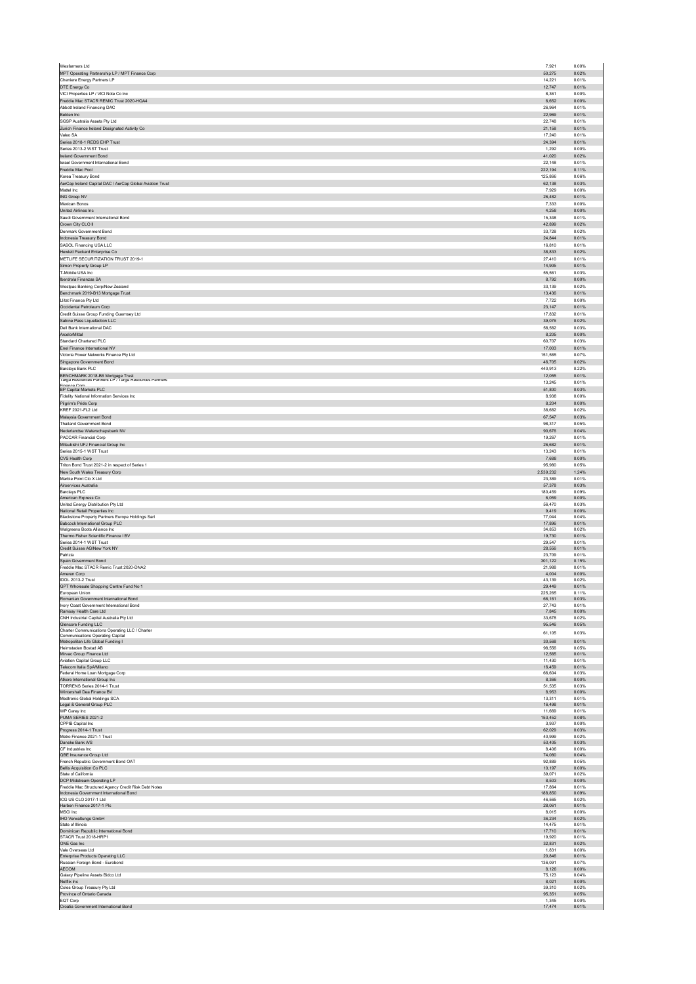| Wesfarmers Ltd                                                                             | 7,921                   | 0.00%          |
|--------------------------------------------------------------------------------------------|-------------------------|----------------|
| MPT Operating Partnership LP / MPT Finance Corp                                            | 50,275                  | 0.02%          |
| Cheniere Energy Partners LP                                                                | 14,221                  | 0.01%          |
| DTE Energy Co<br>VICI Properties LP / VICI Note Co Inc.                                    | 12,747<br>8.361         | 0.01%<br>0.00% |
| Freddie Mac STACR REMIC Trust 2020-HQA4                                                    | 6,652                   | 0.00%          |
| Abbott Ireland Financing DAC                                                               | 26.964                  | 0.01%          |
| Belden Inc.                                                                                | 22,969                  | 0.01%          |
| SGSP Australia Assets Ptv Ltd.<br>Zurich Finance Ireland Designated Activity Co            | 22,748<br>21,158        | 0.01%<br>0.01% |
| Valeo SA                                                                                   | 17,240                  | 0.01%          |
| Series 2018-1 REDS EHP Trust                                                               | 24,394                  | 0.01%          |
| Series 2013-2 WST Trust                                                                    | 1,292                   | 0.00%          |
| Ireland Government Bond                                                                    | 41,020                  | 0.02%          |
| Israel Government International Bond<br>Freddie Mac Pool                                   | 22,148<br>222,194       | 0.01%<br>0.11% |
| Korea Treasury Bond                                                                        | 125,866                 | 0.06%          |
| AerCap Ireland Capital DAC / AerCap Global Aviation Trust                                  | 62,138                  | 0.03%          |
| Mattel Inc.                                                                                | 7,929                   | 0.00%          |
| ING Groep NV<br>Mexican Bonos                                                              | 26.482<br>7.333         | 0.01%<br>0.00% |
| <b>United Airlines Inc.</b>                                                                | 4,258                   | 0.00%          |
| Saudi Government International Bond                                                        | 15,348                  | 0.01%          |
| Crown City CLO II                                                                          | 42,899                  | 0.02%          |
| Denmark Government Bond                                                                    | 33,728                  | 0.02%          |
| Indonesia Treasury Bond<br>SASOL Financing USA LLC                                         | 24,844<br>16,810        | 0.01%<br>0.01% |
| Hewlett Packard Enterprise Co                                                              | 38,833                  | 0.02%          |
| METLIFE SECURITIZATION TRUST 2019-1                                                        | 27,410                  | 0.01%          |
| Simon Property Group LP                                                                    | 14,905                  | 0.01%          |
| T-Mobile USA Inc.                                                                          | 55,561                  | 0.03%          |
| Iberdrola Finanzas SA                                                                      | 8,792<br>33.139         | 0.00%<br>0.02% |
| Westpac Banking Corp/New Zealand<br>Benchmark 2019-B13 Mortgage Trust                      | 13.436                  | 0.01%          |
| Llitst Finance Pty Ltd                                                                     | 7.722                   | 0.00%          |
| Occidental Petroleum Corp                                                                  | 23,147                  | 0.01%          |
| Credit Suisse Group Funding Guernsey Ltd                                                   | 17,832                  | 0.01%          |
| Sabine Pass Liquefaction LLC<br>Dell Bank International DAC                                | 39,076<br>58,582        | 0.02%<br>0.03% |
| ArcelorMittal                                                                              | 8,205                   | 0.00%          |
| Standard Chartered PLC                                                                     | 60,707                  | 0.03%          |
| Enel Finance International NV                                                              | 17,003                  | 0.01%          |
| Victoria Power Networks Finance Pty Ltd                                                    | 151,585                 | 0.07%          |
| Singapore Government Bond<br>Barclays Bank PLC                                             | 46,705<br>440,913       | 0.02%<br>0.22% |
| BENCHMARK 2018-B6 Mortgage Trust<br>Targa Resources Partners LP / Targa Resources Partners | 12.055                  | 0.01%          |
|                                                                                            | 13.245                  | 0.01%          |
| Finance Com<br>BP Capital Markets PLC                                                      | 51.800                  | 0.03%          |
| Fidelity National Information Services Inc                                                 | 8.938                   | 0.00%          |
| Pilgrim's Pride Corp<br>KREF 2021-FL2 Ltd                                                  | 8,204<br>38,682         | 0.00%<br>0.02% |
| Malaysia Government Bond                                                                   | 67,547                  | 0.03%          |
| <b>Thailand Government Bond</b>                                                            | 98,317                  | 0.05%          |
| Nederlandse Waterschapsbank NV                                                             | 90,676                  | 0.04%          |
| PACCAR Financial Corp                                                                      | 19,267                  | 0.01%          |
| Mitsubishi UFJ Financial Group Inc<br>Series 2015-1 WST Trust                              | 26,682<br>13,243        | 0.01%<br>0.01% |
| CVS Health Corp                                                                            | 7,688                   | 0.00%          |
| Triton Bond Trust 2021-2 in respect of Series 1                                            | 95,980                  | 0.05%          |
| New South Wales Treasury Corp                                                              | 2,539,232               | 1.24%          |
| Marble Point Clo X Ltd<br>Airservices Australia                                            | 23,389<br>57,378        | 0.01%<br>0.03% |
| Barclays PLC                                                                               | 180.459                 | 0.09%          |
| American Express Co                                                                        | 6.059                   | 0.00%          |
| United Energy Distribution Pty Ltd<br>National Retail Properties Inc                       | 56,470<br>9.419         | 0.03%<br>0.00% |
| Blackstone Property Partners Europe Holdings Sarl                                          | 77,044                  | 0.04%          |
| Babcock International Group PLC                                                            | 17,896                  | 0.01%          |
| Walgreens Boots Alliance Inc.<br>Thermo Fisher Scientific Finance I BV                     | 34.853<br>19,730        | 0.02%<br>0.01% |
| Series 2014-1 WST Trust                                                                    | 29.547                  | 0.01%          |
| Credit Suisse AG/New York NY                                                               | 28,556                  | 0.01%          |
| Patrizia<br>Spain Government Bond                                                          | 23,709<br>301,122       | 0.01%<br>0.15% |
| Freddie Mac STACR Remic Trust 2020-DNA2                                                    | 21,988                  | 0.01%          |
| Ameren Corp                                                                                | 4,004                   | 0.00%          |
| IDOL 2013-2 Trust                                                                          | 43.139<br><b>20 440</b> | 0.02%<br>0.01% |
| <b>GPT</b> Wholesale S<br>opping :<br>Furonean Union                                       | 225.265                 | 0.11%          |
| Romanian Government International Bond                                                     | 66,161                  | 0.03%          |
| Ivory Coast Government International Bond                                                  | 27,743                  | 0.01%          |
| Ramsay Health Care Ltd<br>CNH Industrial Capital Australia Pty Ltd                         | 7,845<br>33,678         | 0.00%<br>0.02% |
| Glencore Funding LLC                                                                       | 95,546                  | 0.05%          |
| Charter Communications Operating LLC / Charter                                             | 61,105                  | 0.03%          |
| Communications Operating Capital<br>Metropolitan Life Global Funding I                     | 30,568                  | 0.01%          |
| Heimstaden Bostad AB                                                                       | 98,556                  | 0.05%          |
| Mirvac Group Finance Ltd<br>Aviation Capital Group LLC                                     | 12.565<br>11,430        | 0.01%<br>0.01% |
| Telecom Italia SpA/Milano                                                                  | 16,459                  | 0.01%          |
| Federal Home Loan Mortgage Corp                                                            | 66.604                  | 0.03%          |
| Atkore International Group Inc<br>TORRENS Series 2014-1 Trust                              | 8,366<br>51.535         | 0.00%<br>0.03% |
| Wintershall Dea Finance BV                                                                 | 8,953                   | 0.00%          |
| Medtronic Global Holdings SCA                                                              | 13,311                  | 0.01%          |
| Legal & General Group PLC<br>WP Carey Inc                                                  | 16,498<br>11,669        | 0.01%<br>0.01% |
| PUMA SERIES 2021-2                                                                         | 153.452                 | 0.08%          |
| CPPIB Capital Inc                                                                          | 3,937                   | 0.00%          |
| Progress 2014-1 Trust<br>Metro Finance 2021-1 Trust                                        | 62,029                  | 0.03%<br>0.02% |
| Danske Bank A/S                                                                            | 40.999<br>53,405        | 0.03%          |
| CF Industries Inc.                                                                         |                         | 0.00%          |
| QBE Insurance Group Ltd                                                                    | 8.406                   | 0.04%          |
|                                                                                            | 74,080                  |                |
| French Republic Government Bond OAT                                                        | 92,889                  | 0.05%          |
| Bellis Acquisition Co PLC<br>State of California                                           | 10.197<br>39,071        | 0.00%<br>0.02% |
| DCP Midstream Operating LP                                                                 | 8.503                   | 0.00%          |
| Freddie Mac Structured Agency Credit Risk Debt Notes                                       | 17,864                  | 0.01%          |
| Indonesia Government International Bond<br>ICG US CLO 2017-1 Ltd                           | 188,850<br>46.565       | 0.09%<br>0.02% |
| Harben Finance 2017-1 Plc                                                                  | 28,061                  | 0.01%          |
| MSCI Inc                                                                                   | 8.015                   | 0.00%          |
| IHO Verwaltungs GmbH<br>State of Illinois                                                  | 36,234<br>14.475        | 0.02%<br>0.01% |
| Dominican Republic International Bond                                                      | 17,710                  | 0.01%          |
| STACR Trust 2018-HRP1                                                                      | 19,920                  | 0.01%          |
| ONE Gas Inc<br>Vale Overseas Ltd                                                           | 32.831<br>1,831         | 0.02%<br>0.00% |
| <b>Enterprise Products Operating LLC</b>                                                   | 20,846                  | 0.01%          |
| Russian Foreign Bond - Eurobond                                                            | 136.091                 | 0.07%          |
| AECOM<br>Galaxy Pipeline Assets Bidco Ltd                                                  | 8,126<br>75.123         | 0.00%<br>0.04% |
| Netflix Inc                                                                                | 8,021                   | 0.00%          |
| Coles Group Treasury Pty Ltd                                                               | 39,310                  | 0.02%          |
| Province of Ontario Canada<br>EQT Corp                                                     | 95.351<br>1,345         | 0.05%<br>0.00% |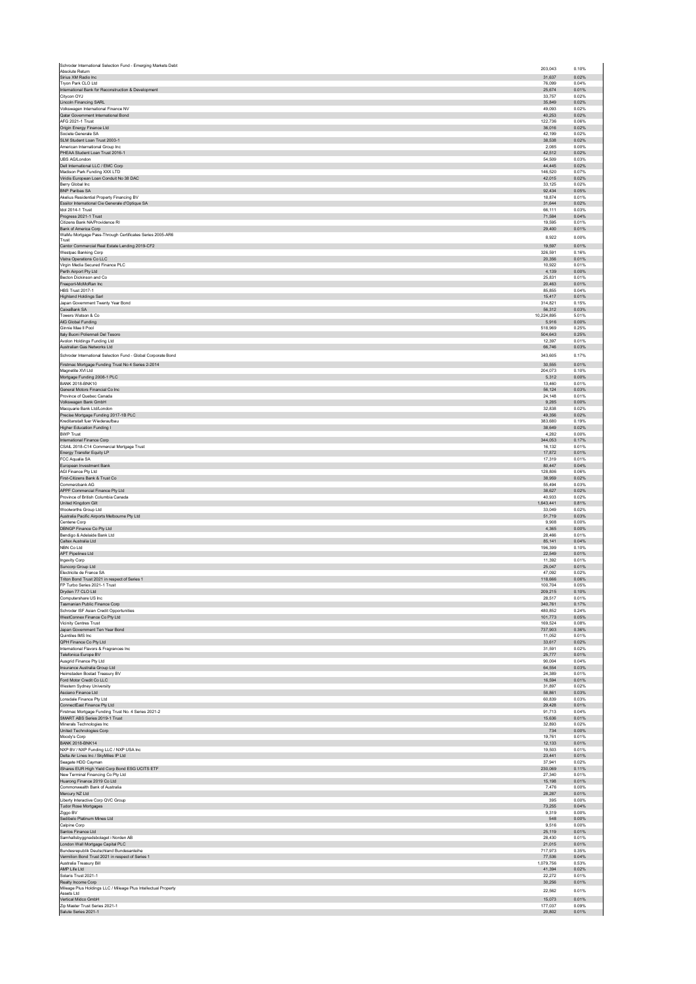| Schroder International Selection Fund - Emerging Markets Debt<br>Absolute Return | 203,043          | 0.10%          |
|----------------------------------------------------------------------------------|------------------|----------------|
| Sirius XM Radio Inc                                                              | 31,637           | 0.02%<br>0.04% |
| Tryon Park CLO Ltd<br>International Bank for Reconstruction & Development        | 76,099<br>25.674 | 0.01%          |
| Citycon OYJ                                                                      | 33,757           | 0.02%          |
| Lincoln Financing SARL                                                           | 35,849           | 0.02%          |
| Volkswagen International Finance NV                                              | 49,093           | 0.02%          |
| Qatar Government International Bond                                              | 40,253           | 0.02%          |
| AFG 2021-1 Trust                                                                 | 122.736          | 0.06%          |
| Origin Energy Finance Ltd                                                        | 36,016           | 0.02%          |
| Societe Generale SA                                                              | 42.199           | 0.02%          |
| SLM Student Loan Trust 2003-1                                                    | 38,538           | 0.02%          |
| American International Group Inc.                                                | 2,085            | 0.00%          |
| PHEAA Student Loan Trust 2016-1                                                  | 42.512           | 0.02%          |
| UBS AG/London                                                                    | 54,509           | 0.03%          |
| Dell International LLC / EMC Corp                                                | 44,445           | 0.02%          |
| Madison Park Funding XXX LTD                                                     | 146,520          | 0.07%          |
| Viridis European Loan Conduit No 38 DAC                                          | 42,015           | 0.02%          |
| Berry Global Inc.                                                                | 33.125           | 0.02%          |
| BNP Paribas SA                                                                   | 92,434           | 0.05%          |
| Akelius Residential Property Financing BV                                        | 18,874           | 0.01%          |
| Essilor International Cie Generale d'Optique SA                                  | 31,644           | 0.02%          |
| Idol 2014-1 Trust                                                                | 66,111           | 0.03%          |
| Progress 2021-1 Trust                                                            | 71.584           | 0.04%          |
| Citizens Bank NA/Providence RI                                                   | 19,595           | 0.01%          |
| Bank of America Corp                                                             | 29,400           | 0.01%          |
| WaMu Mortgage Pass-Through Certificates Series 2005-AR6<br>Trust                 | 8,922            | 0.00%          |
| Cantor Commercial Real Estate Lending 2019-CF2                                   | 19.597           | 0.01%          |
| Westpac Banking Corp                                                             | 326,591          | 0.16%          |
| Vistra Operations Co LLC                                                         | 20.356           | 0.01%          |
| Virgin Media Secured Finance PLC                                                 | 10.922           | 0.01%          |
| Perth Airport Pty Ltd                                                            | 4,139            | 0.00%          |
| Becton Dickinson and Co                                                          | 25.831           | 0.01%          |
| Freeport-McMoRan Inc                                                             | 20,463           | 0.01%          |
| <b>HBS Trust 2017-1</b>                                                          | 85,855           | 0.04%          |
| Highland Holdings Sarl                                                           | 15.417           | 0.01%          |
| Japan Government Twenty Year Bond                                                | 314,821          | 0.15%          |
| CaixaBank SA                                                                     | 56,312           | 0.03%          |
| Towers Watson & Co                                                               | 10,224,895       | 5.01%          |
| AIG Global Funding                                                               | 5,916            | 0.00%          |
| Ginnie Mae II Pool                                                               | 518,969          | 0.25%          |
| Italy Buoni Poliennali Del Tesoro                                                | 504,643          | 0.25%          |
| Avolon Holdings Funding Ltd                                                      | 12.397           | 0.01%          |
| Australian Gas Networks Ltd                                                      | 66,746           | 0.03%          |
| Schroder International Selection Fund - Global Corporate Bond                    | 343,605          | 0.17%          |
| Firstmac Mortgage Funding Trust No 4 Series 2-2014                               | 30,555           | 0.01%          |
| Magnetite XVI Ltd                                                                | 204,073          | 0.10%          |
| Mortgage Funding 2008-1 PLC<br><b>BANK 2018-BNK10</b>                            | 5.312            | 0.00%          |
| General Motors Financial Co Inc                                                  | 13,460<br>56,124 | 0.01%<br>0.03% |
| Province of Quebec Canada                                                        | 24,148           | 0.01%          |
| Volkswagen Bank GmbH                                                             | 9,285            | 0.00%          |
| Macquarie Bank Ltd/London                                                        | 32.838           | 0.02%          |
| Precise Mortgage Funding 2017-1B PLC                                             | 49,356           | 0.02%          |
| Kreditanstalt fuer Wiederaufbau                                                  | 383.680          | 0.19%          |
| Higher Education Funding I                                                       | 38,649           | 0.02%          |
| <b>BWP Trust</b>                                                                 | 4.282            | 0.00%          |
| International Finance Corp                                                       | 344,053          | 0.17%          |
| CSAIL 2018-C14 Commercial Mortgage Trust                                         | 16,132           | 0.01%          |
| Energy Transfer Equity LP                                                        | 17,872           | 0.01%          |
| FCC Aqualia SA                                                                   | 17,319           | 0.01%          |
| European Investment Bank                                                         | 80,447           | 0.04%          |
| AGI Finance Ptv Ltd                                                              | 128,806          | 0.06%          |
| First-Citizens Bank & Trust Co                                                   | 38,959           | 0.02%          |
| Commerzbank AG                                                                   | 55.494           | 0.03%          |
| APPF Commercial Finance Pty Ltd                                                  | 38,627           | 0.02%          |
| Province of British Columbia Canada                                              | 40,933           | 0.02%          |
| United Kingdom Gilt                                                              | 1.643.441        | 0.81%          |
| Woolworths Group Ltd                                                             | 33,049           | 0.02%          |
| Australia Pacific Airports Melbourne Pty Ltd                                     | 51,719           | 0.03%          |
| Centene Corp                                                                     | 9,908            | 0.00%          |
| DBNGP Finance Co Pty Ltd                                                         | 4,365            | 0.00%          |
| Bendino & Adelaide Bank Ltd                                                      | 28.466           | 0.01%          |
| Caltex Australia Ltd                                                             | 85,141           | 0.04%          |
| NBN Co Ltd                                                                       | 196,399          | 0.10%          |
| APT Pipelines Ltd                                                                | 22,549           | 0.01%          |
| Ingevity Corp                                                                    | 11.392           | 0.01%          |
| Suncorp Group Ltd                                                                | 25.047           | 0.01%          |
| Electricite de France SA                                                         | 47,092           | 0.02%          |
| Triton Bond Trust 2021 in respect of Series 1                                    | 118.666          | 0.06%          |
| FP Turbo Series 2021-1 Trust                                                     | 100,704          | 0.05%          |
| Dryden 77 CLO Ltd                                                                | 209,215          | 0.10%          |
| Computershare US Inc                                                             | 28.517           | 0.01%          |
| Tasmanian Public Finance Corp                                                    | 340,761          | 0.17%          |
| Schroder ISF Asian Credit Opportunities                                          | 480.852          | 0.24%          |
| WestConnex Finance Co Pty Ltd                                                    | 101,773          | 0.05%          |
| Vicinity Centres Trust                                                           | 169,524          | 0.08%          |
| Japan Government Ten Year Bond                                                   | 737.903          | 0.36%          |
| Quintiles IMS Inc                                                                | 11,052           | 0.01%          |
| QPH Finance Co Pty Ltd                                                           | 33,617           | 0.02%          |
| International Flavors & Fragrances Inc.                                          | 31,591           | 0.02%          |
| Telefonica Europe BV                                                             | 25,777           | 0.01%          |
| Ausgrid Finance Pty Ltd                                                          | 90.004           | 0.04%          |
| Insurance Australia Group Ltd                                                    | 64,554           | 0.03%          |
| Heimstaden Bostad Treasury BV                                                    | 24,389           | 0.01%          |
| Ford Motor Credit Co LLC                                                         | 16,594           | 0.01%          |
| Western Sydney University                                                        | 31,897           | 0.02%          |
| Asciano Finance Ltd                                                              | 58.861           | 0.03%          |
| Lonsdale Finance Pty Ltd                                                         | 60,839           | 0.03%          |
| ConnectEast Finance Pty Ltd                                                      | 29,428           | 0.01%          |
| Firstmac Mortgage Funding Trust No. 4 Series 2021-2                              | 91,713           | 0.04%          |
| SMART ABS Series 2019-1 Trust                                                    | 15,636           | 0.01%          |
| Minerals Technologies Inc.                                                       | 32.893           | 0.02%          |
| United Technologies Corp                                                         | 734              | 0.00%          |
| Moody's Corp                                                                     | 19,761           | 0.01%          |
| <b>BANK 2018-BNK14</b>                                                           | 12,133           | 0.01%          |
| NXP BV / NXP Funding LLC / NXP USA Inc                                           | 19,503           | 0.01%          |
| Delta Air Lines Inc / SkyMiles IP Ltd                                            | 23.441           | 0.01%          |
| Seagate HDD Cayman                                                               | 37,941           | 0.02%          |
| iShares EUR High Yield Corp Bond ESG UCITS ETF                                   | 230,069          | 0.11%          |
| New Terminal Financing Co Pty Ltd                                                | 27,340           | 0.01%          |
| Huarong Finance 2019 Co Ltd                                                      | 15,198           | 0.01%          |
| Commonwealth Bank of Australia                                                   | 7.476            | 0.00%          |
| Mercury NZ Ltd                                                                   | 28,287           | 0.01%          |
| Liberty Interactive Corp QVC Group                                               | 395              | 0.00%          |
| Tudor Rose Mortgages                                                             | 73,255           | 0.04%          |
| Ziggo BV                                                                         | 9,319            | 0.00%          |
| Sedibelo Platinum Mines Ltd                                                      | 548              | 0.00%          |
| Calpine Corp                                                                     | 9,516            | 0.00%          |
| Santos Finance Ltd                                                               | 25,119           | 0.01%          |
| Samhallsbyggnadsbolaget i Norden AB                                              | 28,430           | 0.01%          |
| London Wall Mortgage Capital PLC                                                 | 21,015           | 0.01%          |
| Bundesrepublik Deutschland Bundesanleihe                                         | 717.973          | 0.35%          |
| Vermilion Bond Trust 2021 in respect of Series 1                                 | 77,536           | 0.04%          |
| Australia Treasury Bill                                                          | 1,079,756        | 0.53%          |
| AMP Life Ltd                                                                     | 41,394           | 0.02%          |
| Solaris Trust 2021-1                                                             | 22,272           | 0.01%          |
| Realty Income Corp                                                               | 30.256           | 0.01%          |
| Mileage Plus Holdings LLC / Mileage Plus Intellectual Property                   | 22.562           | 0.01%          |
| Assets Ltd<br>Vertical Midco GmbH                                                | 15.073           | 0.01%          |
| Zip Master Trust Series 2021-1                                                   | 177,037          | 0.09%          |
| Salute Series 2021-1                                                             | 20,802           | 0.01%          |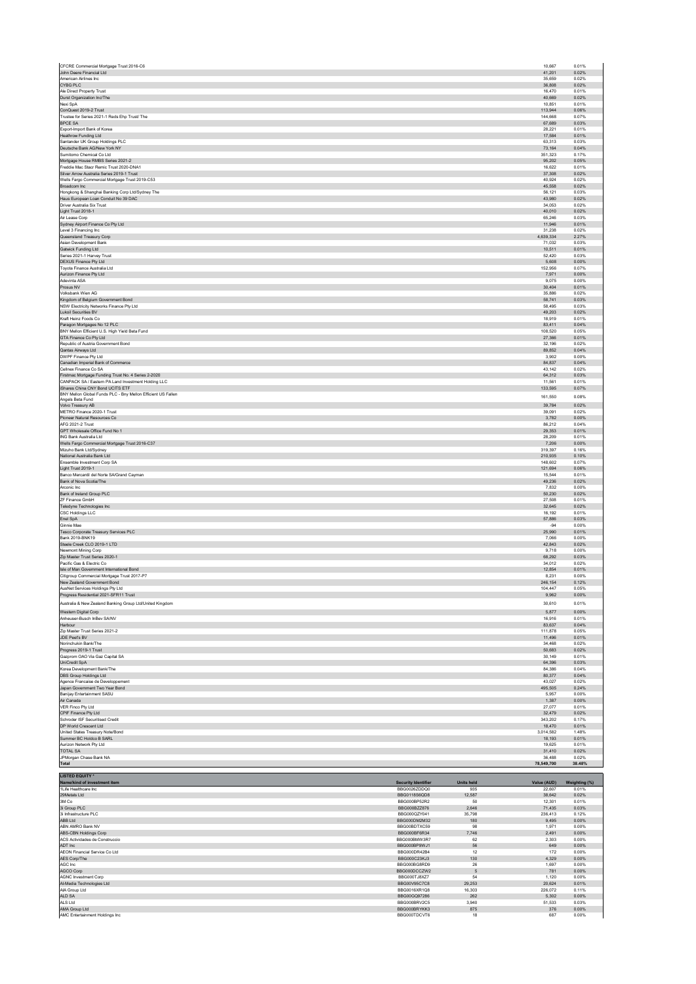| CFCRE Commercial Mortgage Trust 2016-C6<br>John Deere Financial Ltd                                        |                                            |                          | 10,667<br>41.201      | 0.01%<br>0.02%         |
|------------------------------------------------------------------------------------------------------------|--------------------------------------------|--------------------------|-----------------------|------------------------|
| American Airlines Inc<br>CYBG PLC                                                                          |                                            |                          | 35,659<br>36,808      | 0.02%<br>0.02%         |
| Ale Direct Property Trust<br>Durst Organization Inc/The                                                    |                                            |                          | 16.470<br>40,669      | 0.01%<br>0.02%         |
| Nexi SpA<br>ConQuest 2019-2 Trust                                                                          |                                            |                          | 10.851<br>113,944     | 0.01%<br>0.06%         |
| Trustee for Series 2021-1 Reds Ehp Trust/ The<br><b>BPCE SA</b>                                            |                                            |                          | 144,668<br>67,689     | 0.07%<br>0.03%         |
| Export-Import Bank of Korea<br>Heathrow Funding Ltd                                                        |                                            |                          | 28,221<br>17,584      | 0.01%<br>0.01%         |
| Santander UK Group Holdings PLC                                                                            |                                            |                          | 63,313                | 0.03%                  |
| Deutsche Bank AG/New York NY<br>Sumitomo Chemical Co Ltd                                                   |                                            |                          | 73,164<br>351.323     | 0.04%<br>0.17%         |
| Mortgage House RMBS Series 2021-2<br>Freddie Mac Stacr Remic Trust 2020-DNA1                               |                                            |                          | 95,202<br>16.622      | 0.05%<br>0.01%         |
| Silver Arrow Australia Series 2019-1 Trust<br>Wells Fargo Commercial Mortgage Trust 2019-C53               |                                            |                          | 37,308<br>40,924      | 0.02%<br>0.02%         |
| Broadcom Inc<br>Hongkong & Shanghai Banking Corp Ltd/Sydney The                                            |                                            |                          | 45.558<br>56,121      | 0.02%<br>0.03%         |
| Haus European Loan Conduit No 39 DAC<br>Driver Australia Six Trust                                         |                                            |                          | 43.980<br>34,053      | 0.02%<br>0.02%         |
| Light Trust 2018-1<br>Air Lease Corp                                                                       |                                            |                          | 40,010<br>65.246      | 0.02%<br>0.03%         |
| Sydney Airport Finance Co Pty Ltd                                                                          |                                            |                          | 11,946                | 0.01%<br>0.02%         |
| Level 3 Financing Inc<br>Queensland Treasury Corp                                                          |                                            |                          | 31,238<br>4,639,334   | 2.27%                  |
| Asian Development Bank<br>Gatwick Funding Ltd                                                              |                                            |                          | 71,032<br>10.511      | 0.03%<br>0.01%         |
| Series 2021-1 Harvey Trust<br>DEXUS Finance Pty Ltd                                                        |                                            |                          | 52,420<br>5,608       | 0.03%<br>0.00%         |
| Toyota Finance Australia Ltd<br>Aurizon Finance Pty Ltd                                                    |                                            |                          | 152,956<br>7,971      | 0.07%<br>0.00%         |
| Adevinta ASA<br>Prosus NV                                                                                  |                                            |                          | 9.075<br>30,404       | 0.00%<br>0.01%         |
| Volksbank Wien AG                                                                                          |                                            |                          | 35.886<br>58,741      | 0.02%<br>0.03%         |
| Kingdom of Belgium Government Bond<br>NSW Electricity Networks Finance Pty Ltd<br>Lukoil Securities BV     |                                            |                          | 58.495<br>49.203      | 0.03%<br>0.02%         |
| Kraft Heinz Foods Co                                                                                       |                                            |                          | 18,919                | 0.01%                  |
| Paragon Mortgages No 12 PLC<br>BNY Mellon Efficient U.S. High Yield Beta Fund                              |                                            |                          | 83,411<br>108,520     | 0.04%<br>0.05%         |
| GTA Finance Co Pty Ltd<br>Republic of Austria Government Bond                                              |                                            |                          | 27,366<br>32.196      | 0.01%<br>0.02%         |
| Qantas Airways Ltd<br>DWPF Finance Pty Ltd                                                                 |                                            |                          | 89,852<br>3,902       | 0.04%<br>0.00%         |
| Canadian Imperial Bank of Commerce<br>Cellnex Finance Co SA                                                |                                            |                          | 84,837<br>43.142      | 0.04%<br>0.02%         |
| Firstmac Mortgage Funding Trust No. 4 Series 2-2020<br>CANPACK SA / Eastern PA Land Investment Holding LLC |                                            |                          | 64.312<br>11,561      | 0.03%<br>0.01%         |
| iShares China CNY Bond UCITS ETF<br>BNY Mellon Global Funds PLC - Bny Mellon Efficient US Fallen           |                                            |                          | 133,595               | 0.07%                  |
| Angels Beta Fund<br>Volvo Treasury AB                                                                      |                                            |                          | 161,550<br>39,784     | 0.08%<br>0.02%         |
| METRO Finance 2020-1 Trust<br>Pioneer Natural Resources Co                                                 |                                            |                          | 39,091                | 0.02%                  |
| AFG 2021-2 Trust                                                                                           |                                            |                          | 3,782<br>86.212       | 0.00%<br>0.04%         |
| GPT Wholesale Office Fund No 1<br>ING Bank Australia Ltd                                                   |                                            |                          | 29,353<br>28.209      | 0.01%<br>0.01%         |
| Wells Fargo Commercial Mortgage Trust 2016-C37<br>Mizuho Bank Ltd/Sydney                                   |                                            |                          | 7,206<br>319,397      | 0.00%<br>0.16%         |
| National Australia Bank Ltd<br>Ensemble Investment Corp SA                                                 |                                            |                          | 210.935<br>148,602    | 0.10%<br>0.07%         |
| Light Trust 2019-1<br>Banco Mercantil del Norte SA/Grand Cayman                                            |                                            |                          | 121.694<br>15,544     | 0.06%<br>0.01%         |
| Bank of Nova Scotia/The<br>Arconic Inc.                                                                    |                                            |                          | 49,236<br>7.832       | 0.02%<br>0.00%         |
| Bank of Ireland Group PLC<br>ZF Finance GmbH                                                               |                                            |                          | 50,230                | 0.02%<br>0.01%         |
| Teledyne Technologies Inc                                                                                  |                                            |                          | 27.508<br>32,645      | 0.02%                  |
| CSC Holdings LLC<br>Enel SpA                                                                               |                                            |                          | 16,192<br>57,886      | 0.01%<br>0.03%         |
| Ginnie Mae<br>Tesco Corporate Treasury Services PLC                                                        |                                            |                          | $-94$<br>25.990       | 0.00%<br>0.01%         |
| Bank 2019-BNK19<br>Steele Creek CLO 2019-1 LTD                                                             |                                            |                          | 7,066<br>42.843       | 0.00%<br>0.02%         |
| Newmont Mining Corp<br>Zip Master Trust Series 2020-1                                                      |                                            |                          | 9.718<br>68,292       | 0.00%<br>0.03%         |
| Pacific Gas & Electric Co<br>Isle of Man Government International Bond                                     |                                            |                          | 34.012<br>12,854      | 0.02%<br>0.01%         |
| Citigroup Commercial Mortgage Trust 2017-P7                                                                |                                            |                          | 8.231<br>246.154      | 0.00%                  |
| New Zealand Government Bond<br>AusNet Services Holdings Pty Ltd                                            |                                            |                          |                       |                        |
| Progress Residential 2021-SFR11 Trust<br>Australia & New Zealand Banking Group Ltd/United Kingdom          |                                            |                          | 104,447               | 0.12%<br>0.05%         |
|                                                                                                            |                                            |                          | 9,962<br>30.610       | 0.00%<br>0.01%         |
| Western Digital Corp                                                                                       |                                            |                          | 5.877                 | 0.00%                  |
| Anheuser-Busch InBev SA/NV<br>Harbour                                                                      |                                            |                          | 16,916<br>83,637      | 0.01%<br>0.04%         |
| Zip Master Trust Series 2021-2                                                                             |                                            |                          | 111,878               | 0.05%<br>0.01%         |
| JDE Peet's BV<br>Norinchukin Bank/The                                                                      |                                            |                          | 11,496<br>34.468      | 0.02%                  |
| Progress 2019-1 Trust<br>Gazprom OAO Via Gaz Capital SA                                                    |                                            |                          | 50,683<br>30.149      | 0.02%<br>0.01%         |
| UniCredit SpA<br>Korea Development Bank/The                                                                |                                            |                          | 64,396<br>84,386      | 0.03%<br>0.04%         |
| DBS Group Holdings Ltd<br>Agence Francaise de Developpement                                                |                                            |                          | 80,377<br>43,027      | 0.04%<br>0.02%         |
| Japan Government Two Year Bond<br>Banijay Entertainment SASU                                               |                                            |                          | 495,505<br>5.957      | 0.24%<br>0.00%         |
| Air Canada<br>VER Finco Ptv Ltd                                                                            |                                            |                          | 1,387<br>27.077       | 0.00%<br>0.01%         |
| CPIF Finance Pty Ltd<br>Schroder ISF Securitised Credit                                                    |                                            |                          | 32,479<br>343,202     | 0.02%<br>0.17%         |
| DP World Crescent Ltd                                                                                      |                                            |                          | 18,470                | 0.01%                  |
| United States Treasury Note/Bond<br>Summer BC Holdco B SARL                                                |                                            |                          | 3,014,582<br>18,193   | 1.48%<br>0.01%         |
| Aurizon Network Pty Ltd<br>TOTAL SA                                                                        |                                            |                          | 19,625<br>31,410      | 0.01%<br>0.02%         |
| JPMorgan Chase Bank NA<br>Total                                                                            |                                            |                          | 36,488<br>78,549,700  | 0.02%<br>38.48%        |
| <b>LISTED EQUITY *</b>                                                                                     |                                            |                          |                       |                        |
| Name/kind of investment item<br>1Life Healthcare Inc                                                       | <b>Security Identifier</b><br>BBG0026ZDDQ0 | <b>Units held</b><br>935 | Value (AUD)<br>22.607 | Weighting (%)<br>0.01% |
| 29Metals Ltd<br>3M Co                                                                                      | BBG0118S6QD8<br>BBG000BP52R2               | 12,587<br>50             | 38,642<br>12.301      | 0.02%<br>0.01%         |
| 3i Group PLC<br>3i Infrastructure PLC                                                                      | BBG000BZZ876<br>BBG000QZY041               | 2,646<br>35,798          | 71,435<br>236,413     | 0.03%<br>0.12%         |
| ABB Ltd<br>ABN AMRO Bank NV                                                                                | BBG000DM2M32<br>BBG00BDTXC59               | 180<br>98                | 9.495<br>1,971        | 0.00%<br>0.00%         |
| ABS-CBN Holdings Corp                                                                                      | BBG000BF6R34                               | 7,746                    | 2.491                 | 0.00%                  |
| ACS Actividades de Construccio<br>ADT Inc                                                                  | BBG000BMW3R7<br>BBG000BP9WJ1               | 62<br>56                 | 2,303<br>649          | 0.00%<br>0.00%         |
| AEON Financial Service Co Ltd<br>AES Corp/The                                                              | BBG000DR42B4<br>BBG000C23KJ3               | 12<br>130                | 172<br>4,329          | 0.00%<br>0.00%         |
| AGC Inc<br>AGCO Corp                                                                                       | BBG000BG8RD9<br>BBG000DCCZW2               | 26<br>$\sqrt{5}$         | 1.697<br>781          | 0.00%<br>0.00%         |
| <b>AGNC Investment Corp</b><br>Al-Media Technologies Ltd                                                   | BBG000TJ8XZ7<br>BBG00V95C7C8               | 54<br>29,253             | 1,120<br>20.624       | 0.00%<br>0.01%         |
| AIA Group Ltd<br>ALD SA                                                                                    | BBG0016XR1Q8<br>BBG00GQ97286               | 16,303<br>262            | 226,072<br>5,302      | 0.11%<br>0.00%         |
| ALS Ltd<br>AMA Group Ltd                                                                                   | BBG000BRV2C5<br>BBG000BRYKK3               | 3,940<br>875             | 51,533<br>376         | 0.03%<br>0.00%         |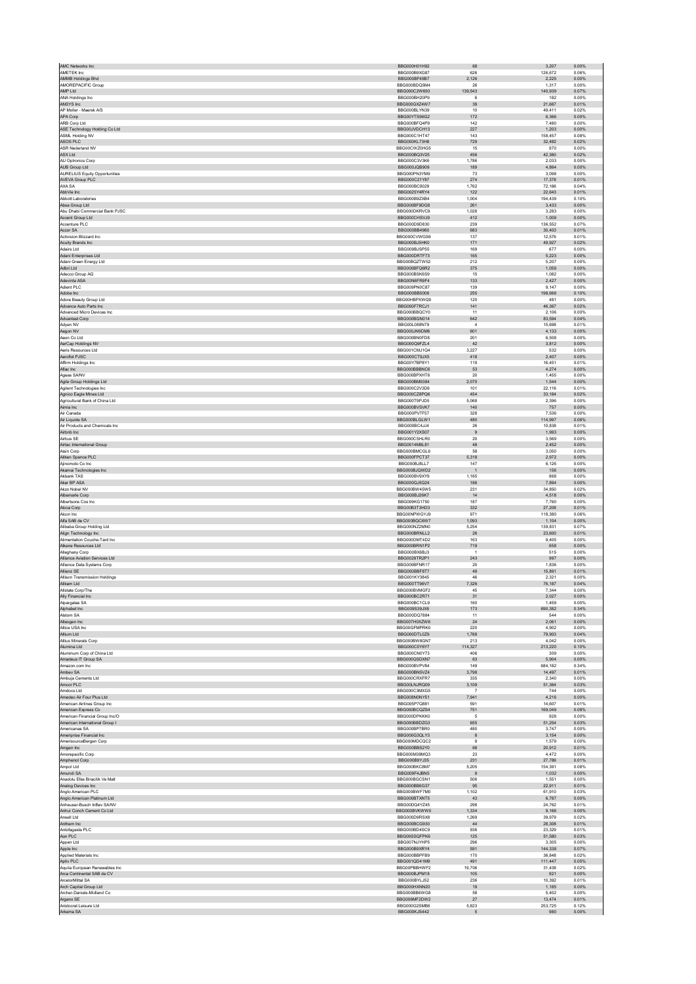| AMC Networks Inc                                      | BBG000H01H92                 | 68             | 3.207             | 0.00%          |
|-------------------------------------------------------|------------------------------|----------------|-------------------|----------------|
| AMETEK Inc                                            | BBG000B9XG87                 | 626            | 126,672           | 0.06%          |
| AMMB Holdings Bhd                                     | BBG000BF49B7                 | 2,126          | 2,225             | 0.00%          |
| AMOREPACIFIC Group                                    | BBG000BDQ5M4                 | 26             | 1,317             | 0.00%          |
| AMP Ltd                                               | BBG000C2W693                 | 139,543        | 140,939           | 0.07%          |
| ANA Holdings Inc                                      | BBG000BH20P9                 | 6              | 182               | 0.00%          |
| ANSYS Inc                                             | BBG000GXZ4W7                 | 39             | 21,687            | 0.01%          |
| AP Moller - Maersk A/S<br>APA Corp                    | BBG000BLYN39<br>BBG00YTS96G2 | 10<br>172      | 49.411<br>6,366   | 0.02%<br>0.00% |
| ARB Corp Ltd                                          | BBG000BFQ4P9                 | 142            | 7,480             | 0.00%          |
| ASE Technology Holding Co Ltd                         | BBG00JVDCH13                 | 227            | 1.203             | 0.00%          |
| ASML Holding NV                                       | BBG000C1HT47                 | 143            | 158,457           | 0.08%          |
| ASOS PLC                                              | BBG000KL73H8                 | 729            | 32.482            | 0.02%          |
| ASR Nederland NV                                      | BBG00CWZ0HG5                 | 15             | 970               | 0.00%          |
| ASX Ltd                                               | BBG000BQ3V25                 | 456            | 42,360            | 0.02%          |
| AU Optronics Corp                                     | BBG000C3V3K6                 | 1.786          | 2.033             | 0.00%          |
| AUB Group Ltd                                         | BBG000JQB909                 | 189            | 4,864             | 0.00%          |
| <b>AURELIUS Equity Opportunities</b>                  | BBG000PN3YM9                 | 73             | 3.098             | 0.00%          |
| AVEVA Group PLC                                       | BBG000C21Y87                 | 274            | 17,378            | 0.01%          |
| AXA SA<br>AbbVie Inc.                                 | BBG000BC8029<br>BBG0025Y4RY4 | 1,762<br>122   | 72,166<br>22.643  | 0.04%<br>0.01% |
| Abbott Laboratories                                   | BBG000B9ZXB4                 | 1,004          | 194,439           | 0.10%          |
| Absa Group Ltd                                        | BBG000BF9DG8                 | 261            | 3,433             | 0.00%          |
| Abu Dhabi Commercial Bank PJSC                        | BBG000DKRVC9                 | 1,028          | 3,283             | 0.00%          |
| Accent Group Ltd                                      | BBG000CHSVJ9                 | 412            | 1,009             | 0.00%          |
| Accenture PLC                                         | BBG000D9D830                 | 239            | 136.552           | 0.07%          |
| Accor SA                                              | BBG000BB4980                 | 683            | 30,403            | 0.01%          |
| Activision Blizzard Inc.<br>Acuity Brands Inc         | BBG000CVWGS6<br>BBG000BJ5HK0 | 137<br>171     | 12.576<br>49,927  | 0.01%<br>0.02% |
| Adairs Ltd                                            | BBG009BJSP55                 | 169            | 677               | 0.00%          |
| Adani Enterprises Ltd                                 | BBG000DRTF73                 | 165            | 5.223             | 0.00%          |
| Adani Green Energy Ltd                                | BBG00BQZTW52                 | 212            | 5,207             | 0.00%          |
| Adbri Ltd                                             | BBG000BFQ6R2                 | 375            | 1,059             | 0.00%          |
| Adecco Group AG                                       | BBG000BSK6S9                 | 15             | 1,082             | 0.00%          |
| Adevinta ASA                                          | BBG00N6FR9F4                 | 133            | 2,427             | 0.00%          |
| Adient PLC                                            | BBG009PN0C87                 | 139            | 9.147             | 0.00%          |
| Adobe Inc<br>Adore Beauty Group Ltd                   | BBG000BB5006<br>BBG00HBPXWQ9 | 255<br>120     | 198,668<br>481    | 0.10%<br>0.00% |
| Advance Auto Parts Inc                                | BBG000F7RCJ1                 | 141            | 46,367            | 0.02%          |
| Advanced Micro Devices Inc                            | BBG000BBQCY0                 | 11             | 2,106             | 0.00%          |
| Advantest Corp                                        | BBG000BGN014                 | 642            | 83.594            | 0.04%          |
| Adyen NV                                              | BBG00L088N79                 | $\overline{4}$ | 15,698            | 0.01%          |
| Aegon NV                                              | BBG000JN9DM6                 | 601            | 4,133             | 0.00%          |
| Aeon Co Ltd                                           | BBG000BN0FD8                 | 201            | 6,508             | 0.00%          |
| AerCap Holdings NV                                    | BBG000Q9FZL4<br>BBG001CMJ1Q4 | 42<br>3.227    | 3,812             | 0.00%<br>0.00% |
| Aeris Resources Ltd                                   |                              |                | 532<br>2,407      |                |
| Aeroflot PJSC<br>Affirm Holdings Inc.                 | BBG000CT9JX5<br>BBG00Y7BP8Y1 | 418<br>119     | 16.451            | 0.00%<br>0.01% |
| Aflac Inc                                             | BBG000BBBNC6                 | 53             | 4,274             | 0.00%          |
| Ageas SA/NV                                           | BBG000BPXHT6                 | 20             | 1,455             | 0.00%          |
| Agile Group Holdings Ltd                              | BBG000BM9384                 | 2.070          | 1.544             | 0.00%          |
| Agilent Technologies Inc                              | BBG000C2V3D6                 | 101            | 22,116            | 0.01%          |
| Agnico Eagle Mines Ltd                                | BBG000CZ8PQ6                 | 454            | 33,184            | 0.02%          |
| Agricultural Bank of China Ltd                        | BBG000T9PJD5                 | 5,068          | 2,396             | 0.00%          |
| Aimia Inc                                             | BBG000BVSVK7                 | 140            | 757               | 0.00%          |
| Air Canada                                            | BBG000PV7F57                 | 328            | 7.536             | 0.00%          |
| Air Liquide SA<br>Air Products and Chemicals Inc.     | BBG000BLGLW1<br>BBG000BC4JJ4 | 480<br>26      | 114,997<br>10.838 | 0.06%<br>0.01% |
| Airbnb Inc.                                           | BBG001Y2XS07                 | 9              | 1.993             | 0.00%          |
| Airbus SE                                             | BBG000CSHLR0                 | $20\,$         | 3,569             | 0.00%          |
| Airtac International Group                            | BBG0014M8L81                 | 48             | 2.452             | 0.00%          |
| Aisin Corp                                            | BBG000BMCGL6                 | 58             | 3,050             | 0.00%          |
| Aitken Spence PLC                                     | BBG000FPCT37                 | 5,318          | 2,972             | 0.00%          |
| Alinomoto Co Inc.                                     | BBG000BJ8LL7                 | 147            | 6.126             | 0.00%          |
| Akamai Technologies Inc                               | BBG000BJQWD2                 | $\mathbf{1}$   | 156               | 0.00%          |
| Akbank TAS                                            | BBG000BV9XY9                 | 1.165          | 868               | 0.00%          |
| Aker BP ASA<br>Akzo Nobel NV                          | BBG000QJ5Q24<br>BBG000BW45W5 | 186<br>231     | 7,894<br>34.850   | 0.00%<br>0.02% |
| Albemarle Corp                                        | BBG000BJ26K7                 | 14             | 4.518             | 0.00%          |
| Albertsons Cos Inc                                    | BBG009KG1750                 | 187            | 7,760             | 0.00%          |
| Alcoa Corp                                            | BBG00B3T3HD3                 | 332            | 27.208            | 0.01%          |
| Alcon Inc                                             | BBG00NPWGYJ9                 | 971            | 118,380           | 0.06%          |
| Alfa SAB de CV                                        | BBG000BQC6W7                 | 1,093          | 1,104             | 0.00%          |
| Alihaha Group Holding Ltd                             | BBG000NZ2MN0                 | 5.254          | 139.831           | 0.07%          |
| Align Technology Inc                                  | BBG000BRNLL2                 | 26             | 23,600            | 0.01%          |
| Alimentation Couche-Tard Inc.<br>Alkane Resources Ltd | BBG000DMT4D2<br>BBG000BRN1P2 | 163<br>719     | 9.405<br>658      | 0.00%<br>0.00% |
| Alleghany Corp                                        | BBG000BX6BJ3                 | $\overline{1}$ | 515               | 0.00%          |
| Alliance Aviation Services Ltd                        | BBG0029TR2P1                 | 243            | 997               | 0.00%          |
| Alliance Data Systems Corp                            | BBG000BFNR17                 | 20             | 1,836             | 0.00%          |
| Allianz SE                                            | BBG000BBF8T7                 | 49             | 15.891            | 0.01%          |
| Allison Transmission Holdings                         | BBG001KY3845                 | 46             | 2,321             | 0.00%          |
| Allkem Ltd                                            | BBG000TT96V7                 | 7,326          | 76,187            | 0.04%          |
| Allstate Corp/The                                     | BBG000BVMGF2                 | 45             | 7,344             | 0.00%          |
| Ally Financial Inc<br>Alpargatas SA                   | BBG000BC2R71<br>BBG000BC1CL9 | 31<br>160      | 2,027<br>1.459    | 0.00%<br>0.00% |
| Alphabet Inc                                          | BBG009S39JX6                 | 173            | 690,382           | 0.34%          |
| Alstom SA                                             | BBG000DQ7884                 | 11             | 544               | 0.00%          |
| Alteogen Inc                                          | BBG007H0XZW6                 | 24             | 2,061             | 0.00%          |
| Altice USA Inc                                        | BBG00GFMPRK0                 | 220            | 4,902             | 0.00%          |
| Altium I td                                           | BBG000DTL0Z9                 | 1,768          | 79,903            | 0.04%          |
| Altius Minerals Corp                                  | BBG000BW8GN7                 | 213            | 4,042             | 0.00%          |
| Alumina Ltd                                           | BBG000C0Y6Y7                 | 114,327        | 213,220           | 0.10%          |
| Aluminum Corp of China Ltd<br>Amadeus IT Group SA     | BBG000CN0Y73<br>BBG000QSDXN7 | 406<br>63      | 309<br>5,904      | 0.00%<br>0.00% |
| Amazon com Inc.                                       | BBG000BVPV84                 | 149            | 684.182           | 0.34%          |
| Ambev SA                                              | BBG000BN5VZ4                 | 3,798          | 14,497            | 0.01%          |
| Ambuia Cements Ltd                                    | BBG000CRXFR7                 | 335            | 2.340             | 0.00%          |
| Amcor PLC                                             | BBG00LNJRQ09                 | 3,109          | 51,364            | 0.03%          |
| Amdocs Ltd                                            | BBG000C3MXG5                 | $\overline{7}$ | 744               | 0.00%          |
| Amedeo Air Four Plus Ltd                              | BBG008N0NY51                 | 7,941          | 4,216             | 0.00%          |
| American Airlines Group Inc                           | BBG005P7Q881<br>BBG000BCQZS4 | 591<br>751     | 14,607<br>169,049 | 0.01%<br>0.08% |
| American Express Co<br>American Financial Group Inc/O | BBG000DPKKK0                 | 5              | 928               | 0.00%          |
| American International Group I                        | BBG000BBDZG3                 | 655            | 51,254            | 0.03%          |
| Americanas SA                                         | BBG000BP7RR0                 | 480            | 3.747             | 0.00%          |
| Ameriprise Financial Inc                              | BBG000G3QLY3                 | $^{\rm 8}$     | 3,154             | 0.00%          |
| AmerisourceBergen Corp                                | BBG000MDCQC2                 | $\mathbf{Q}$   | 1.579             | 0.00%          |
| Amgen Inc                                             | BBG000BBS2Y0                 | 68             | 20.912            | 0.01%          |
| Amorepacific Corp                                     | BBG000M38MQ3                 | 23             | 4,472             | 0.00%          |
| Amphenol Corp<br>Ampol Ltd                            | BBG000B9YJ35<br>BBG000BKC8M7 | 231<br>5,205   | 27,786<br>154,391 | 0.01%<br>0.08% |
| Amundi SA                                             | BBG009F4JBN5                 | 9              | 1,032             | 0.00%          |
| Anadolu Efes Biracilik Ve Malt                        | BBG000BGCSN1                 | 506            | 1.551             | 0.00%          |
| Analog Devices Inc                                    | BBG000BB6G37                 | 95             | 22,911            | 0.01%          |
| Anglo American PLC                                    | BBG000BWF7M0                 | 1,102          | 61,910            | 0.03%          |
| Anglo American Platinum Ltd                           | BBG000BTXNT5                 | 43             | 6,787             | 0.00%          |
| Anheuser-Busch InBev SA/NV                            | BBG00DQ4YZ45                 | 298            | 24,762            | 0.01%          |
| Anhui Conch Cement Co Ltd                             | BBG000BVKWW0                 | 1,334          | 9.166             | 0.00%          |
| Ansell Ltd                                            | BBG000D9RSX8                 | 1,269          | 39,979            | 0.02%          |
| Anthem Inc.<br>Antofagasta PLC                        | BBG000BCG930<br>BBG000BD4SC9 | 44<br>936      | 28,308<br>23,329  | 0.01%<br>0.01% |
| Aon PLC                                               | BBG00SSQFPK6                 | 125            | 51,580            | 0.03%          |
| Appen Ltd                                             | BBG007NJYHP5                 | 296            | 3.305             | 0.00%          |
| Apple Inc                                             | BBG000B9XRY4                 | 591            | 144,338           | 0.07%          |
| Applied Materials Inc.                                | BBG000BBPFB9                 | 170            | 36,848            | 0.02%          |
| Aptiv PLC                                             | BBG001QD41M9                 | 491            | 111,447           | 0.05%          |
| Aquila European Renewables Inc.                       | BBG00PBBHWF2                 | 19,706         | 31,438            | 0.02%          |
| Arca Continental SAB de CV                            | BBG000BJPM18                 | 105            | 921               | 0.00%          |
| ArcelorMittal SA                                      | BBG000BYLJ52                 | 236            | 10,392            | 0.01%          |
| Arch Capital Group Ltd<br>Archer-Daniels-Midland Co   | BBG000HXNN20<br>BBG000BB6WG8 | 19<br>58       | 1,185<br>5,402    | 0.00%<br>0.00% |
| Argenx SE                                             | BBG006MF2DW2                 | $27\,$         | 13,474            | 0.01%          |
| Aristocrat Leisure Ltd                                | BBG000G2SMB6                 | 5.823          | 253.725           | 0.12%          |
| Arkema SA                                             | BBG000KJS442                 | 5              | 980               | 0.00%          |
|                                                       |                              |                |                   |                |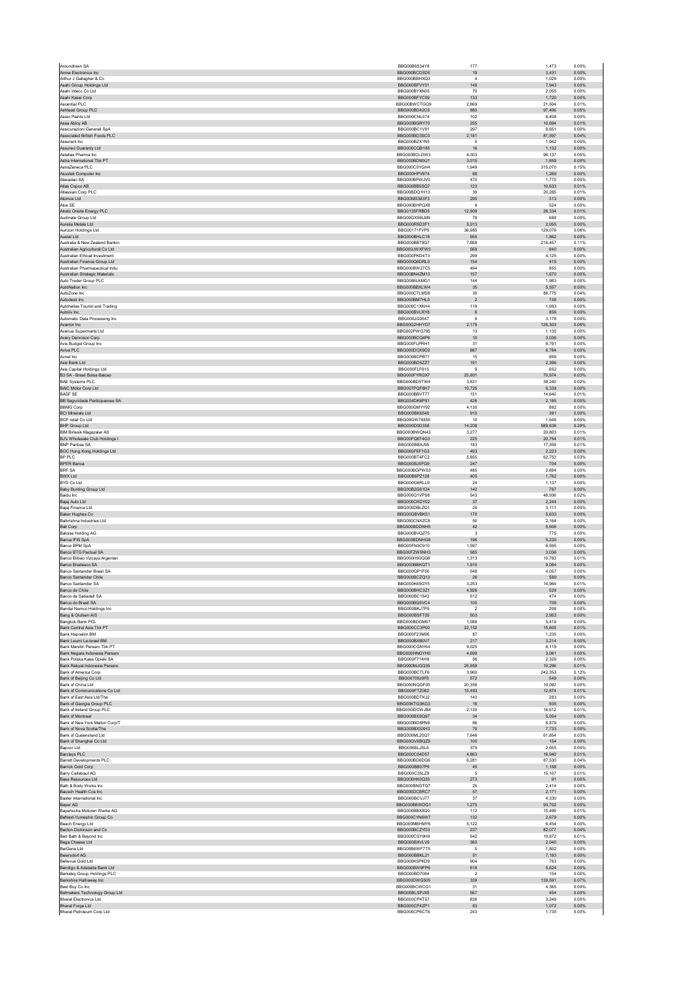| Aroundtown SA                                                | BBG00B6S34Y8                 | 177                   | 1,473            | 0.00%          |
|--------------------------------------------------------------|------------------------------|-----------------------|------------------|----------------|
| <b>Arrow Electronics Inc.</b>                                | BBG000BCD3D5                 | 19                    | 3.431            | 0.00%          |
| Arthur J Gallagher & Co<br>Asahi Group Holdings Ltd          | BBG000BBHXQ3<br>BBG000BFVY31 | $\sqrt{4}$<br>149     | 1,029<br>7,943   | 0.00%<br>0.00% |
| Asahi Intecc Co Ltd                                          | BBG000BYXN05                 | 70                    | 2.055            | 0.00%          |
| Asahi Kasei Corp                                             | BBG000BFYC09                 | 133                   | 1,720            | 0.00%          |
| Ascential PLC                                                | BBG00BWCTGG9                 | 2.869                 | 21.504           | 0.01%          |
| Ashtead Group PLC<br>Asian Paints Ltd                        | BBG000BD42C6<br>BBG000CNL074 | 880<br>102            | 97,406<br>6,408  | 0.05%<br>0.00% |
| Assa Ablov AB                                                | BBG000BGRY70                 | 255                   | 10,694           | 0.01%          |
| Assicurazioni Generali SpA                                   | BBG000BC1V91                 | 297                   | 8,651            | 0.00%          |
| Associated British Foods PLC                                 | BBG000BD3SC0                 | 2,181                 | 81.597           | 0.04%          |
| Assurant Inc<br>Assured Guaranty Ltd                         | BBG000BZX1N5<br>BBG000CQB185 | $\sqrt{5}$<br>16      | 1,062<br>1,132   | 0.00%<br>0.00% |
| Astellas Pharma Inc.                                         | BBG000BCLDW3                 | 4.303                 | 96.137           | 0.05%          |
| Astra International Tbk PT                                   | BBG000BDMXJ1                 | 3,015                 | 1,659            | 0.00%          |
| AstraZeneca PLC                                              | BBG000C0YGH4                 | 1.949                 | 315.070          | 0.15%          |
| Asustek Computer Inc<br>Atacadao SA                          | BBG000HPV974<br>BBG000BPWJV0 | 68<br>470             | 1,269<br>1,770   | 0.00%<br>0.00% |
| Atlas Copco AB                                               | BBG000BB5SQ7                 | 123                   | 10.633           | 0.01%          |
| Atlassian Corp PLC                                           | BBG00BDQ1H13                 | 39                    | 20,285           | 0.01%          |
| Atomos Ltd                                                   | BBG00MS383F3                 | 295                   | 313              | 0.00%          |
| Atos SE                                                      | BBG000BHPQX8                 | $9\,$                 | 524              | 0.00%          |
| Atrato Onsite Energy PLC<br>Audinate Group Ltd               | BBG0135FRBD5<br>BBG00GXS6LM9 | 12,909<br>78          | 26,334<br>688    | 0.01%<br>0.00% |
| Aurelia Metals Ltd                                           | BBG000R5D3F1                 | 5,013                 | 2,055            | 0.00%          |
| Aurizon Holdings Ltd                                         | BBG00171FVP5                 | 36,985                | 129.076          | 0.06%          |
| Austal Ltd<br>Australia & New Zealand Bankin                 | BBG000BHLC18<br>BBG000BB79Q7 | 955                   | 1,862            | 0.00%<br>0.11% |
| Australian Agricultural Co Ltd                               | BBG000JWXFW3                 | 7,868<br>568          | 216,457<br>840   | 0.00%          |
| Australian Ethical Investment                                | BBG000PKD4T3                 | 299                   | 4,125            | 0.00%          |
| Australian Finance Group Ltd                                 | BBG000Q6DRL0                 | 154                   | 415              | 0.00%          |
| Australian Pharmaceutical Indu                               | BBG000BW27C5                 | 494                   | 855              | 0.00%          |
| Australian Strategic Materials<br>Auto Trader Group PLC      | BBG00BN4ZM13<br>BBG0086LKMG1 | 157<br>144            | 1,670<br>1.983   | 0.00%<br>0.00% |
| AutoNation Inc                                               | BBG000BBXLW4                 | $35\,$                | 5,557            | 0.00%          |
| AutoZone Inc.                                                | BBG000C7LMS8                 | 30                    | 86,775           | 0.04%          |
| Autodesk Inc                                                 | BBG000BM7HL0                 | $\overline{2}$        | 748              | 0.00%          |
| Autohellas Tourist and Trading<br>Autoliv Inc.               | BBG000C1XKH4<br>BBG000BVLRY8 | 119<br>6              | 1,683<br>856     | 0.00%<br>0.00% |
| Automatic Data Processing Inc.                               | BBG000JG0547                 | $\boldsymbol{9}$      | 3,178            | 0.00%          |
| Avantor Inc.                                                 | BBG00G2HHYD7                 | 2,179                 | 126.303          | 0.06%          |
| Avenue Supermarts Ltd                                        | BBG002PWG795                 | 13                    | 1,135            | 0.00%          |
| Avery Dennison Corp                                          | BBG000BCQ4P6                 | 10                    | 3,036            | 0.00%          |
| Avis Budget Group Inc<br>Aviva PLC                           | BBG000FLPRH1<br>BBG000DCK9D2 | 31<br>887             | 8.791<br>6,784   | 0.00%<br>0.00% |
| Avnet Inc.                                                   | BBG000BCPB71                 | 15                    | 869              | 0.00%          |
| Axis Bank Ltd                                                | BBG000BD5ZZ7                 | 191                   | 2,396            | 0.00%          |
| Axis Capital Holdings Ltd                                    | BBG000FLF615                 | 9                     | 652              | 0.00%          |
| B3 SA - Brasil Bolsa Balcao<br><b>BAE Systems PLC</b>        | BBG000FYRGX7<br>BBG000BD5TW4 | 25.801<br>3,831       | 70,974<br>39,240 | 0.03%<br>0.02% |
| <b>BAIC Motor Corp Ltd</b>                                   | BBG007PQF8H7                 | 10,725                | 6,339            | 0.00%          |
| <b>BASF SE</b>                                               | BBG000BBVT77                 | 151                   | 14,640           | 0.01%          |
| BB Seguridade Participacoes SA                               | BBG004DK6P91                 | 426                   | 2,185            | 0.00%          |
| <b>BBMG Corp</b>                                             | BBG000GMYY92                 | 4.130                 | 882              | 0.00%          |
| <b>BCI Minerals Ltd</b><br><b>BGF</b> retail Co Ltd          | BBG000BK6540<br>BBG00GW74856 | 910<br>10             | 391<br>1.646     | 0.00%<br>0.00% |
| <b>BHP Group Ltd</b>                                         | BBG000D0D358                 | 14,208                | 589,636          | 0.29%          |
| <b>BIM Birlesik Magazalar AS</b>                             | BBG000BWQN43                 | 3,277                 | 20,803           | 0.01%          |
| BJ's Wholesale Club Holdings I                               | BBG00FQ8T4G3                 | 225                   | 20.754           | 0.01%          |
| <b>BNP Paribas SA</b><br><b>BOC Hong Kong Holdings Ltd</b>   | BBG000BBXJ95<br>BBG000F6F1G3 | 183<br>493            | 17,358<br>2,223  | 0.01%<br>0.00% |
| BP PLC                                                       | BBG000BT4FC2                 | 5,855                 | 62,753           | 0.03%          |
| <b>BPER Banca</b>                                            | BBG000BJ5FG9                 | 247                   | 704              | 0.00%          |
| <b>BRF SA</b>                                                | BBG000BGPWS3                 | 485                   | 2.694            | 0.00%          |
| <b>BWX Ltd</b>                                               | BBG00B8PZ128                 | 405                   | 1,762            | 0.00%          |
| BYD Co Ltd<br>Baby Bunting Group Ltd                         | BBG000G6RLL9<br>BBG00B2G61D4 | 24<br>142             | 1,137<br>797     | 0.00%<br>0.00% |
| Baidu Inc                                                    | BBG000Q1VPS8                 | 543                   | 48,936           | 0.02%          |
| Bajaj Auto Ltd                                               | BBG000CKDY02                 | 37                    | 2.244            | 0.00%          |
| Bajaj Finance Ltd                                            | BBG000DBLZQ1                 | 24                    | 3,111            | 0.00%          |
| Baker Hughes Co<br>Balkrishna Industries Ltd                 | BBG00GBVBK51<br>BBG000CNXZC8 | 170<br>50             | 5.633<br>2,164   | 0.00%<br>0.00% |
| <b>Ball Corp</b>                                             | BBG000BDDNH5                 | 42                    | 5,606            | 0.00%          |
| Baloise Holding AG                                           | BBG000BVQZ75                 | -3                    | 775              | 0.00%          |
| Banca IFIS SpA                                               | BBG000BDNHG8                 | 196                   | 5,230            | 0.00%          |
| <b>Banco BPM SnA</b><br>Banco BTG Pactual SA                 | BBG00FN3C910<br>BBG00FZW5NH3 | 1.597<br>585          | 6.595<br>3,036   | 0.00%<br>0.00% |
| Banco Bilbao Vizcaya Argentari                               | BBG000H90QG6                 | 1,313                 | 10,783           | 0.01%          |
| Banco Bradesco SA                                            | BBG000BBKQT1                 | 1.915                 | 9.084            | 0.00%          |
| Banco Santander Brasil SA                                    | BBG000QP1F00                 | 548                   | 4,057            | 0.00%          |
| Banco Santander Chile<br>Banco Santander SA                  | BBG000BCZQ13<br>BBG000K65GY5 | $26\,$<br>3,253       | 589<br>14,964    | 0.00%<br>0.01% |
| Banco de Chile                                               | BBG000BHC3Z1                 | 4,926                 | 529              | 0.00%          |
| Banco de Sabadell SA                                         | BBG000BC1543                 | 512                   | 474              | 0.00%          |
| Banco do Brasil SA                                           | BBG000BG5VC4                 | 100                   | 709              | 0.00%          |
| Bandai Namco Holdings Inc<br>Bang & Olufsen A/S              | BBG000BKJ7P9                 | $\overline{2}$        | 208              | 0.00%          |
| Bangkok Bank PCL                                             | BBG000BSFT05<br>BBG000BDGM57 | 503<br>1,088          | 2,953<br>5,419   | 0.00%<br>0.00% |
| Bank Central Asia Tbk PT                                     | BBG000CC3P00                 | 22.152                | 15.605           | 0.01%          |
| Bank Hapoalim BM                                             | BBG000F23M06                 | 87                    | 1,235            | 0.00%          |
| Bank Leumi Le-Israel BM                                      | BBG000BXB0V7                 | 217                   | 3,214            | 0.00%          |
| Bank Mandiri Persero Tbk PT<br>Bank Negara Indonesia Persero | BBG000CGNY64<br>BBG000HNGYH0 | 9,025<br>4,699        | 6,119<br>3,061   | 0.00%<br>0.00% |
| Bank Polska Kasa Opieki SA                                   | BBG000F714H9                 | 56                    | 2.328            | 0.00%          |
| Bank Rakyat Indonesia Persero                                | BBG000MJGQ35                 | 25,959                | 10,296           | 0.01%          |
| Bank of America Corp<br>Bank of Beijing Co Ltd               | BBG000BCTLF6<br>BBG00709J9F8 | 3,960<br>572          | 242,353<br>549   | 0.12%<br>0.00% |
| Bank of China Ltd                                            | BBG000NQGF05                 | 20,358                | 10,092           | 0.00%          |
| Bank of Communications Co Ltd                                | BBG000FTZ082                 | 15,493                | 12,874           | 0.01%          |
| Bank of East Asia Ltd/The                                    | BBG000BDTKJ2                 | 143                   | 283              | 0.00%          |
| Bank of Georgia Group PLC<br>Bank of Ireland Group PLC       | BBG00KTG3KG3<br>BBG00GDCWJB4 | 16<br>2,130           | 505<br>16,612    | 0.00%<br>0.01% |
| Bank of Montreal                                             | BBG000BXSQ97                 | 34                    | 5,054            | 0.00%          |
| Bank of New York Mellon Corp/T                               | BBG000BD8PN9                 | 86                    | 6.879            | 0.00%          |
| Bank of Nova Scotia/The                                      | BBG000BXSXH3                 | 79                    | 7,733            | 0.00%          |
| Bank of Queensland Ltd<br>Bank of Shanghai Co Ltd            | BBG000ML20Q7<br>BBG00GVXBQZ9 | 7,646<br>100          | 61,854<br>154    | 0.03%<br>0.00% |
| Bapcor Ltd                                                   | BBG0068LJSL6                 | 379                   | 2,655            | 0.00%          |
| <b>Barclays PLC</b>                                          | BBG000C04D57                 | 4.863                 | 16.940           | 0.01%          |
| <b>Barratt Developments PLC</b>                              | BBG000BD6DG6                 | 6,281                 | 87,530           | 0.04%          |
| Barrick Gold Corp<br>Barry Callebaut AG                      | BBG000BB07P9<br>BBG000C35LZ9 | 45<br>5               | 1,188<br>15,107  | 0.00%<br>0.01% |
| Base Resources Ltd                                           | BBG000HK0Q35                 | 273                   | 91               | 0.00%          |
| Bath & Body Works Inc.                                       | BBG000BNGTQ7                 | 25                    | 2.414            | 0.00%          |
| Bausch Health Cos Inc                                        | BBG000DC8RC7                 | 57                    | 2,171            | 0.00%          |
| Baxter International Inc.<br>Bayer AG                        | BBG000BCVJ77<br>BBG000BBWDG1 | 37<br>1,275           | 4.330<br>93,702  | 0.00%<br>0.05% |
| Bayerische Motoren Werke AG                                  | BBG000BBX8Q0                 | 112                   | 15,499           | 0.01%          |
| BeNext-Yumeshin Group Co                                     | BBG000CYN6W7                 | 132                   | 2.679            | 0.00%          |
| Beach Energy Ltd                                             |                              | 5,122                 | 6,454            | 0.00%          |
| Becton Dickinson and Co.                                     | BBG000MBHMY6                 | 237                   | 82,077           | 0.04%<br>0.01% |
| Bed Bath & Beyond Inc                                        | BBG000BCZYD3                 |                       |                  |                |
|                                                              | BBG000CSY9H9                 | 542                   | 10,872           |                |
| Bega Cheese Ltd<br>BeiGene Ltd                               | BBG000BXVLV9<br>BBG00B6WF7T5 | 360<br>5              | 2,040<br>1.802   | 0.00%<br>0.00% |
| <b>Beiersdorf AG</b>                                         | BBG000BBKL21                 | 51                    | 7,193            | 0.00%          |
| Bellevue Gold Ltd                                            | BBG000K5PKD9                 | 904                   | 763              | 0.00%          |
| Bendigo & Adelaide Bank Ltd                                  | BBG000BW9FP6                 | 618<br>$\overline{2}$ | 5.624            | 0.00%          |
| Berkeley Group Holdings PLC<br>Berkshire Hathaway Inc        | BBG000BD7064<br>BBG000DWG505 | 339                   | 154<br>139.591   | 0.00%<br>0.07% |
| Best Buy Co Inc                                              | BBG000BCWCG1                 | 31                    | 4,365            | 0.00%          |
| Betmakers Technology Group Ltd                               | BBG00BLSPJX5                 | 567                   | 454              | 0.00%          |
| <b>Bharat Electronics Ltd</b>                                | BBG000CP4T57                 | 836                   | 3.249            | 0.00%          |
| Bharat Forge Ltd<br>Bharat Petroleum Corp Ltd                | BBG000CP4ZP1<br>BBG000CP6CT6 | 83<br>243             | 1,072<br>1,735   | 0.00%<br>0.00% |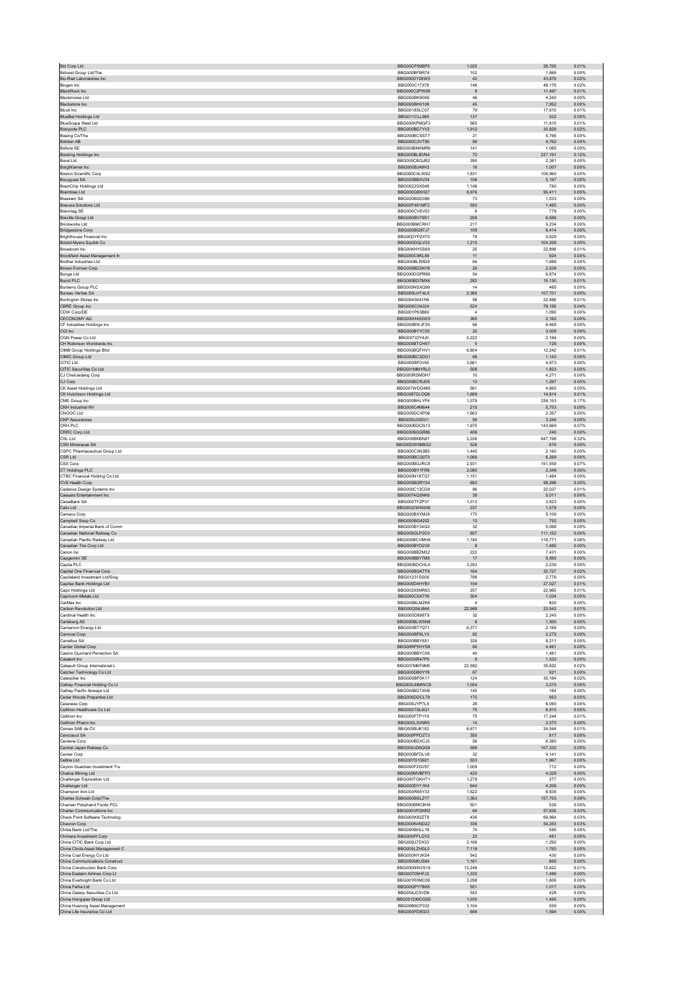| <b>Bid Corp Ltd</b>                                            | BBG00CP99BP5                 | 1,020                    | 28,705<br>0.01%                      |
|----------------------------------------------------------------|------------------------------|--------------------------|--------------------------------------|
| <b>Bidvest Group Ltd/The</b><br>Bio-Rad Laboratories Inc.      | BBG000BFBR74<br>BBG000DY28W5 | 102<br>42                | 1,666<br>0.00%<br>43,879<br>0.02%    |
| <b>Biogen</b> Inc.                                             | BBG000C17X76                 | 146                      | 48,178<br>0.02%                      |
| <b>BlackRock Inc.</b>                                          | BBG000C2PW58                 | 9                        | 0.01%<br>11,497                      |
| <b>Blackmores Ltd</b>                                          | BBG000BK90X6                 | 46                       | 4,240<br>0.00%                       |
| <b>Blackstone Inc.</b><br><b>Block Inc</b>                     | BBG000BH0106<br>BBG0018SLC07 | 45<br>79                 | 7,952<br>0.00%<br>17.615<br>0.01%    |
| <b>BlueBet Holdings Ltd</b>                                    | BBG011CLL985                 | 137                      | 202<br>0.00%                         |
| <b>BlueScope Steel Ltd</b>                                     | BBG000KPMQF3                 | 565                      | 11.815<br>0.01%                      |
| Bodycote PLC                                                   | BBG000BD7YV2                 | 1,912                    | 30,829<br>0.02%                      |
| Boeing Co/The<br>Boliden AB                                    | BBG000BCSST7<br>BBG000C2VT85 | 21<br>90                 | 5,766<br>0.00%<br>4,762<br>0.00%     |
| <b>Bollore SE</b>                                              | BBG000BNKMR6                 | 141                      | 1,085<br>0.00%                       |
| Booking Holdings Inc                                           | BBG000BLBVN4                 | 72                       | 0.12%<br>237,191                     |
| <b>Boral Ltd</b>                                               | BBG000CBQJR2                 | 390                      | 2,381<br>0.00%                       |
| BorgWarner Inc                                                 | BBG000BJ49H3                 | 16                       | 1,007<br>0.00%                       |
| <b>Boston Scientific Corp</b>                                  | BBG000C0LW92                 | 1.831                    | 106,960<br>0.05%                     |
| Bouygues SA<br><b>BrainChip Holdings Ltd</b>                   | BBG000BBXV34<br>BBG0022SXS49 | 106<br>1.148             | 5,197<br>0.00%<br>780<br>0.00%       |
| Brambles Ltd                                                   | BBG000Q8XH27                 | 8,976                    | 95,411<br>0.05%                      |
| <b>Braskem SA</b>                                              | BBG000BSD386                 | 73                       | 1,033<br>0.00%                       |
| <b>Bravura Solutions Ltd</b>                                   | BBG00F461MF2                 | 593                      | 1,465<br>0.00%                       |
| <b>Brenntag SE</b>                                             | BBG000CVSV53<br>BBG000BV79S1 | 6<br>208                 | 779<br>0.00%<br>0.00%                |
| <b>Breville Group Ltd</b><br>Brickworks Ltd                    | BBG000BMCRH7                 | 217                      | 6,586<br>5,234<br>0.00%              |
| <b>Bridgestone Corp</b>                                        | BBG000BG87J7                 | 109                      | 6,414<br>0.00%                       |
| <b>Brighthouse Financial Inc.</b>                              | BBG00DYPZ4T0                 | 79                       | 5.629<br>0.00%                       |
| Bristol-Myers Squibb Co                                        | BBG000DQLV23                 | 1,215                    | 104,206<br>0.05%                     |
| Broadcom Inc<br>Brookfield Asset Management In                 | BBG00KHY5S69<br>BBG000C9KL89 | 25<br>11                 | 22.898<br>0.01%<br>924<br>0.00%      |
| Brother Industries Ltd                                         | BBG000BLR8D9                 | 64                       | 1,686<br>0.00%                       |
| Brown-Forman Corp                                              | BBG000BD2NY8                 | 25                       | 2,539<br>0.00%                       |
| <b>Bunge Ltd</b>                                               | BBG000DGPR66                 | 54                       | 6,874<br>0.00%                       |
| <b>Bunzl PLC</b>                                               | BBG000BD7MX6                 | 282                      | 15,130<br>0.01%                      |
| <b>Burberry Group PLC</b><br>Bureau Veritas SA                 | BBG000NSXQ99<br>BBG000LHT4L5 | 14<br>2,360              | 465<br>0.00%<br>107,701<br>0.05%     |
| <b>Burlington Stores Inc.</b>                                  | BBG004S641N5                 | 56                       | 0.01%<br>22.488                      |
| CBRE Group Inc                                                 | BBG000C04224                 | 524                      | 78,156<br>0.04%                      |
| CDW Corp/DE                                                    | BBG001P63B80                 | $\boldsymbol{A}$         | 1.090<br>0.00%                       |
| CECONOMY AG                                                    | BBG000H4S5W5                 | 365                      | 2,162<br>0.00%                       |
| CF Industries Holdings Inc<br>CGI Inc                          | BBG000BWJFZ4<br>BBG000BYYC35 | 66<br>25                 | 6,468<br>0.00%<br>3.009<br>0.00%     |
| CGN Power Co Ltd                                               | BBG00732Y4J0                 | 5,222                    | 2,184<br>0.00%                       |
| CH Robinson Worldwide Inc                                      | BBG000BTCH57                 | 5                        | 729<br>0.00%                         |
| CIMB Group Holdings Bhd                                        | BBG000BQFHV1                 | 6,804                    | 12,242<br>0.01%                      |
| CIMIC Group Ltd                                                | BBG000BC3DG1                 | 68                       | 1,143<br>0.00%                       |
| CITIC Ltd                                                      | BBG000BF0V40                 | 3.661                    | 4.973<br>0.00%                       |
| CITIC Securities Co Ltd<br>CJ CheilJedang Corp                 | BBG001MM1RL0<br>BBG000RSMDH7 | 508<br>10 <sup>1</sup>   | 1,823<br>0.00%<br>4.271<br>0.00%     |
| CJ Corp                                                        | BBG000BCRJD5                 | $13$                     | 1,297<br>0.00%                       |
| CK Asset Holdings Ltd                                          | BBG007WDD4B5                 | 561                      | 4,865<br>0.00%                       |
| CK Hutchison Holdings Ltd                                      | BBG0087DLDQ6                 | 1,669                    | 14.814<br>0.01%                      |
| CME Group Inc                                                  | BBG000BHLYP4                 | 1,079                    | 339,153<br>0.17%                     |
| CNH Industrial NV<br>CNOOC Ltd                                 | BBG005C4M644<br>BBG000DCXP06 | 215<br>1,663             | 0.00%<br>5,753<br>2,357<br>0.00%     |
| <b>CNP Assurances</b>                                          | BBG000J355V1                 | 95                       | 3,246<br>0.00%                       |
| CRH PLC                                                        | BBG000BDCN13                 | 1.975                    | 143,669<br>0.07%                     |
| CRRC Corp Ltd                                                  | BBG000BGGR86                 | 406                      | 240<br>0.00%                         |
| CSL Ltd                                                        | BBG000BKBN81                 | 2.226                    | 647,198<br>0.32%                     |
| CSN Mineracao SA<br>CSPC Pharmaceutical Group Ltd              | BBG00DW0M9Q3<br>BBG000C3N3B5 | 526<br>1,445             | 876<br>0.00%<br>2,160<br>0.00%       |
| <b>CSR Ltd</b>                                                 | BBG000BCQ0T0                 | 1.066                    | 0.00%<br>6.269                       |
| CSX Corp                                                       | BBG000BGJRC8                 | 2,931                    | 151,559<br>0.07%                     |
| CT Holdings PLC                                                | BBG000BY1FR8                 | 2,080                    | 2,349<br>0.00%                       |
| CTBC Financial Holding Co Ltd                                  | BBG000N1KTQ7                 | 1,151                    | 1,484<br>0.00%                       |
|                                                                |                              | 693                      |                                      |
| CVS Health Corp                                                | BBG000BGRY34                 |                          | 98,298<br>0.05%                      |
| Cadence Design Systems Inc.                                    | BBG000C13CD9                 | 86                       | 22.037<br>0.01%                      |
| Caesars Entertainment Inc<br>CaixaBank SA                      | BBG0074Q3NK6<br>BBG000TFZP37 | $39\,$<br>1.013          | 5,011<br>0.00%<br>3.823<br>0.00%     |
| Calix Ltd                                                      | BBG0032WNXX6                 | 237                      | 1,578<br>0.00%                       |
| Cameco Corp                                                    | BBG000BXYMJ8                 | 170                      | 5,109<br>0.00%                       |
| Campbell Soup Co.                                              | BBG000BG4202                 | $13$                     | 752<br>0.00%                         |
| Canadian Imperial Bank of Comm                                 | BBG000BY34Q2                 | $32\,$                   | 5,088<br>0.00%                       |
| Canadian National Railway Co<br>Canadian Pacific Railway Ltd   | BBG000GLP2C0<br>BBG000BCVMH9 | 657<br>1,180             | 111,152<br>0.05%<br>116,771<br>0.06% |
| Canadian Tire Corp Ltd                                         | BBG000BYD2V9                 | $\boldsymbol{8}$         | 1,485<br>0.00%                       |
| Canon Inc.                                                     | BBG000BBZM32                 | 222                      | 7.431<br>0.00%                       |
| Capgemini SE                                                   | BBG000BBY7M5                 | 17                       | 5,565<br>0.00%                       |
| Capita PLC                                                     | BBG000BDCHL4                 | 3.293                    | 2.239<br>0.00%                       |
| Capital One Financial Corp<br>Capitaland Investment Ltd/Sing   | BBG000BGKTF9<br>BBG01231SS06 | 164<br>798               | 32,727<br>0.02%<br>2,776<br>0.00%    |
| Capitec Bank Holdings Ltd                                      | BBG000D4HYB1                 | 154                      | 0.01%<br>27.027                      |
| Capri Holdings Ltd                                             | BBG0029SNR63                 | 257                      | 22,965<br>0.01%                      |
| Capricorn Metals Ltd                                           | BBG000C0X7Y6                 | 304                      | 1,034<br>0.00%                       |
| CarMax Inc<br>Carbon Revolution Ltd                            | BBG000BLMZK6<br>BBG00QS6J846 | $\overline{4}$<br>22,969 | 800<br>0.00%<br>23,543<br>0.01%      |
| Cardinal Health Inc.                                           | BBG000D898T9                 | 32                       | 0.00%<br>2.245                       |
| Carlsberg AS                                                   | BBG000BLW5N8                 | $\,6$                    | 1,500<br>0.00%                       |
| Carnarvon Energy Ltd                                           | BBG000BT7Q71                 | 6.377                    | 2.168<br>0.00%                       |
| Carnival Corp                                                  | BBG000BF6LY3                 | 82                       | 2.275<br>0.00%                       |
| Carrefour SA<br>Carrier Global Corp                            | BBG000BBY8X1<br>BBG00RP5HYS8 | 326<br>60                | 8,211<br>0.00%<br>0.00%<br>4.461     |
| Casino Guichard Perrachon SA                                   | BBG000BBYC08                 | 40                       | 1,461<br>0.00%                       |
| Catalent Inc                                                   | BBG005XR47P5                 | 9                        | 1,533<br>0.00%                       |
| Catapult Group International L                                 | BBG007MKF9M5                 | 22.982                   | 35.622<br>0.02%                      |
| Catcher Technology Co Ltd<br>Caterpillar Inc.                  | BBG000DB0YY8<br>BBG000BF0K17 | 67<br>124                | 521<br>0.00%<br>35.184<br>0.02%      |
| Cathay Financial Holding Co Lt                                 | BBG000LMMWC9                 | 1,054                    | 3,275<br>0.00%                       |
| Cathay Pacific Airways Ltd                                     | BBG000BDTXH6                 | 145                      | 164<br>0.00%                         |
| Cedar Woods Properties Ltd                                     | BBG000DDCL79                 | 175                      | 953<br>0.00%                         |
| Celanese Corp<br>Celltrion Healthcare Co Ltd.                  | BBG000JYP7L8                 | ${\bf 26}$               | 6,090<br>0.00%                       |
|                                                                | BBG0027SL6Q1                 | $75\,$                   | 0.00%<br>6.915                       |
| Celltrion Inc<br>Celltrion Pharm Inc                           | BBG000F7P1Y0<br>BBG000L3VNR5 | 75<br>14                 | 17,244<br>0.01%<br>2,075<br>0.00%    |
| Cemex SAB de CV                                                | <b>BBG000BJK182</b>          | 6,671                    | 24,544<br>0.01%                      |
| Cencosud SA                                                    | BBG000PPDZT3                 | 355                      | 817<br>0.00%                         |
| Centene Corp                                                   | BBG000BDXCJ5                 | 56                       | 6,380<br>0.00%                       |
| Central Japan Railway Co<br>Cerner Corp                        | BBG000JD6QG9<br>BBG000BFDLV8 | 586<br>32                | 107,332<br>0.05%<br>4,141<br>0.00%   |
| Cettire Ltd                                                    | BBG00YD15921                 | 553                      | 0.00%<br>1.967                       |
| Ceylon Guardian Investment Tru                                 | BBG000F2GV57                 | 1,009                    | 712<br>0.00%                         |
| Chalice Mining Ltd                                             | BBG000MVBFP3                 | 420                      | 4.029<br>0.00%                       |
| Challenger Exploration Ltd                                     | BBG000TGKHT1                 | 1,279<br>644             | 377<br>0.00%                         |
| Challenger Ltd<br>Champion Iron Ltd                            | BBG000DY11K4<br>BBG000R65Y33 | 1.622                    | 4,208<br>0.00%<br>8.835<br>0.00%     |
| Charles Schwab Corp/The                                        | BBG000BSLZY7                 | 1,363                    | 157,703<br>0.08%                     |
| Charoen Pokphand Foods PCL                                     | BBG000BMC8H9                 | 501                      | 0.00%<br>526                         |
| Charter Communications Inc                                     | BBG000VPGNR2                 | 64                       | 57,635<br>0.03%                      |
| Check Point Software Technolog                                 | BBG000K82ZT8                 | 436                      | 69,964<br>0.03%                      |
| Chevron Corp<br>Chiba Bank Ltd/The                             | BBG000K4ND22<br>BBG000BHLL18 | 336<br>74                | 0.03%<br>54,253<br>586<br>0.00%      |
| Chimera Investment Corp.                                       | BBG000PFLGY2                 | 23                       | 481<br>0.00%                         |
| China CITIC Bank Corp Ltd                                      | BBG000J7DX33                 | 2,166                    | 1,292<br>0.00%                       |
| China Cinda Asset Management C                                 | BBG005LZHGL0                 | 7,118                    | 1,783<br>0.00%                       |
| China Coal Energy Co Ltd                                       | BBG000NYJKS4                 | 542                      | 0.00%<br>430                         |
| China Communications Construct<br>China Construction Bank Corp | BBG000M0JS84<br>BBG000NW2S18 | 1,161<br>13.249          | 868<br>0.00%<br>0.01%                |
| China Eastern Airlines Corp Lt                                 | BBG00709HFJ2                 | 1,332                    | 12,622<br>1,486<br>0.00%             |
| China Everbright Bank Co Ltd                                   | BBG001R0MC06                 | 3,298                    | 1,606<br>0.00%                       |
| China Feihe Ltd                                                | BBG00QPY7B08                 | 551                      | 0.00%<br>1.017                       |
| China Galaxy Securities Co Ltd                                 | BBG004JC5VD6                 | 542                      | 428<br>0.00%                         |
| China Hongqiao Group Ltd<br>China Huarong Asset Management     | BBG001DMCGS5<br>BBG00B6CF032 | 1,030<br>3,104           | 1,495<br>0.00%<br>0.00%<br>559       |
| China Life Insurance Co Ltd                                    | BBG000FD8023                 | 699                      | 1,594<br>0.00%                       |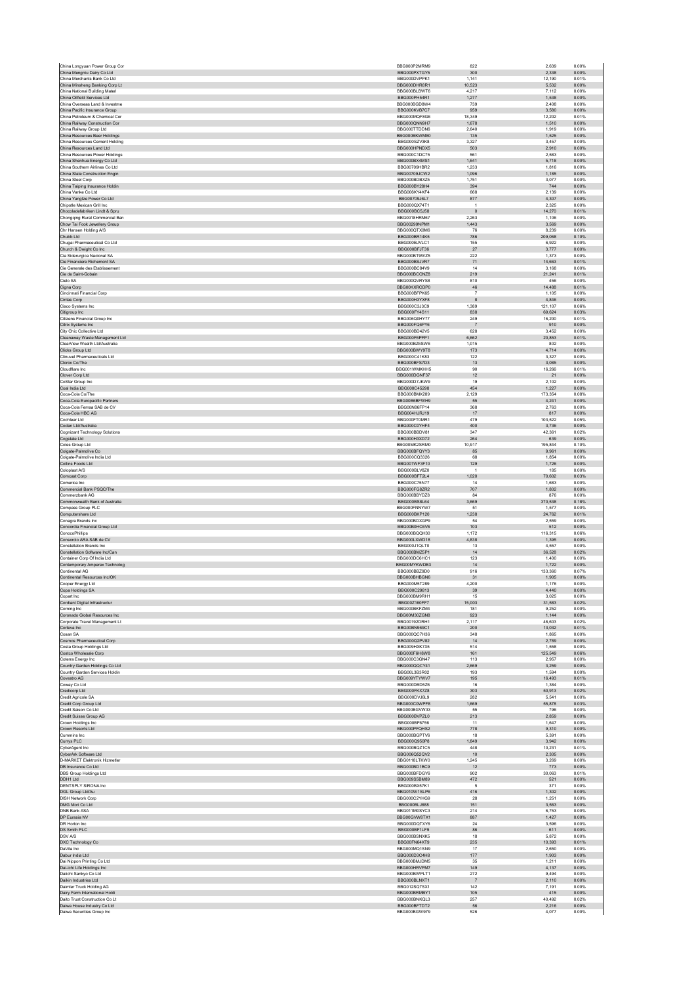| China Mengniu Dairy Co Ltd                                      |                               |                     |                  |                |
|-----------------------------------------------------------------|-------------------------------|---------------------|------------------|----------------|
| China Merchants Bank Co Ltd                                     | BBG000PXTGY5<br>BBG000DVPPK1  | 300<br>1,141        | 2,338<br>12,190  | 0.00%<br>0.01% |
| China Minsheng Banking Corp Lt                                  | BBG000DHR8R1                  | 10,523              | 5,532            | 0.00%          |
| China National Building Materi                                  | BBG000BLBWT6                  | 4,217               | 7,112            | 0.00%          |
| China Oilfield Services Ltd                                     | BBG000PH54R1                  | 1.277               | 1.538            | 0.00%          |
| China Overseas Land & Investme                                  | BBG000BGD8W4<br>BBG000KVB7C7  | 739<br>959          | 2,408            | 0.00%          |
| China Pacific Insurance Group<br>China Petroleum & Chemical Cor | BBG000MQF8G6                  | 18,349              | 3,580<br>12,202  | 0.00%<br>0.01% |
| China Railway Construction Cor                                  | BBG000QNN9H7                  | 1,678               | 1,510            | 0.00%          |
| China Railway Group Ltd                                         | BBG000TTDDN6                  | 2.640               | 1.919            | 0.00%          |
| China Resources Beer Holdings                                   | BBG000BKWM80                  | 135                 | 1,525            | 0.00%          |
| China Resources Cement Holding<br>China Resources Land Ltd      | BBG000SZV3K8<br>BBG000HPNDX5  | 3.327<br>503        | 3.457<br>2,910   | 0.00%<br>0.00% |
| China Resources Power Holdings                                  | BBG000C1DC75                  | 561                 | 2,583            | 0.00%          |
| China Shenhua Energy Co Ltd                                     | BBG000BX4MS1                  | 1.641               | 5.718            | 0.00%          |
| China Southern Airlines Co Ltd                                  | BBG00709HBR2                  | 1,233               | 1,816            | 0.00%          |
| China State Construction Engin                                  | BBG00709JCW2                  | 1,096               | 1,185            | 0.00%          |
| China Steel Corp<br>China Taiping Insurance Holdin              | BBG000BDBXZ5<br>BBG000BY28H4  | 1,751<br>394        | 3,077<br>744     | 0.00%<br>0.00% |
| China Vanke Co Ltd                                              | BBG006KY4KF4                  | 668                 | 2.139            | 0.00%          |
| China Yangtze Power Co Ltd                                      | BBG00709J6L7                  | 877                 | 4,307            | 0.00%          |
| Chipotle Mexican Grill Inc.                                     | BBG000QX74T1                  | $\overline{1}$      | 2,325            | 0.00%          |
| Chocoladefabriken Lindt & Spru                                  | BBG000BC5J58                  | $\,$ 0              | 14,270           | 0.01%          |
| Chongqing Rural Commercial Ban<br>Chow Tai Fook Jewellery Group | BBG0018HRM67<br>BBG00299NPM1  | 2,263<br>1.443      | 1,106<br>3.569   | 0.00%<br>0.00% |
| Chr Hansen Holding A/S                                          | BBG000QTX0M6                  | 76                  | 8,239            | 0.00%          |
| Chubb Ltd                                                       | BBG000BR14K5                  | 786                 | 209,068          | 0.10%          |
| Chugai Pharmaceutical Co Ltd                                    | BBG000BJVLC1                  | 155                 | 6,922            | 0.00%          |
| Church & Dwight Co Inc                                          | BBG000BFJT36                  | $27\,$              | 3,777            | 0.00%          |
| Cia Siderurgica Nacional SA<br>Cie Financiere Richemont SA      | BBG000BT9WZ5<br>BBG000BSJVR7  | 222<br>71           | 1.373<br>14,663  | 0.00%<br>0.01% |
| Cie Generale des Etablissement                                  | BBG000BC84V9                  | 14                  | 3.168            | 0.00%          |
| Cie de Saint-Gobain                                             | BBG000BCCNZ8                  | 219                 | 21,241           | 0.01%          |
| Cielo SA                                                        | BBG000QVRYS8                  | 810                 | 456              | 0.00%          |
| Cigna Corp                                                      | BBG00KXRCDP0                  | 46                  | 14.488           | 0.01%          |
| Cincinnati Financial Corp<br>Cintas Corp                        | BBG000BFPK65<br>BBG000H3YXF8  | $\overline{7}$<br>8 | 1,105<br>4,846   | 0.00%<br>0.00% |
| Cisco Systems Inc                                               | BBG000C3J3C9                  | 1,389               | 121,107          | 0.06%          |
| Citigroup Inc                                                   | BBG000FY4S11                  | 838                 | 69,624           | 0.03%          |
| Citizens Financial Group Inc                                    | BBG006Q0HY77                  | 249                 | 16,200           | 0.01%          |
| Citrix Systems Inc                                              | BBG000FQ6PY6                  | $\overline{7}$      | 910              | 0.00%          |
| City Chic Collective Ltd<br>Cleanaway Waste Management Ltd      | BBG000BD42V5<br>BBG000F6PFP1  | 628<br>6,662        | 3,452<br>20,853  | 0.00%<br>0.01% |
| ClearView Wealth Ltd/Australia                                  | BBG000BZ6SW6                  | 1,015               | 802              | 0.00%          |
| Clicks Group Ltd                                                | BBG000BWY9T8                  | 173                 | 4.714            | 0.00%          |
| Clinuvel Pharmaceuticals Ltd                                    | BBG000C41K83                  | 122                 | 3,327            | 0.00%          |
| Clorox Co/The                                                   | BBG000BFS7D3                  | 13                  | 3,085            | 0.00%          |
| Cloudflare Inc<br>Clover Corp Ltd                               | BBG001WMKHH5                  | 90                  | 16,266           | 0.01%          |
| CoStar Group Inc.                                               | BBG000DGNF37<br>BBG000D7.IKW9 | 12<br>19            | 21<br>2.102      | 0.00%<br>0.00% |
| Coal India Ltd                                                  | BBG000C45298                  | 454                 | 1,227            | 0.00%          |
| Coca-Cola Co/The                                                | BBG000BMX289                  | 2,129               | 173,354          | 0.08%          |
| Coca-Cola Europacific Partners                                  | BBG00B6BFWH9                  | 55                  | 4,241            | 0.00%          |
| Coca-Cola Femsa SAB de CV<br>Coca-Cola HBC AG                   | BBG00N86FP14<br>BBG004HJRJ19  | 368                 | 2,763            | 0.00%<br>0.00% |
| Cochlear Ltd                                                    | BBG000FT0MR1                  | 17<br>479           | 817<br>103,522   | 0.05%          |
| Codan Ltd/Australia                                             | BBG000C0YHF4                  | 400                 | 3,736            | 0.00%          |
| Cognizant Technology Solutions                                  | BBG000BBDV81                  | 347                 | 42,361           | 0.02%          |
| Cogstate Ltd                                                    | BBG000H3XD72                  | 264                 | 639              | 0.00%          |
| Coles Group Ltd                                                 | BBG00MK2SRM0                  | 10.917              | 195,844          | 0.10%          |
| Colgate-Palmolive Co<br>Colgate-Palmolive India Ltd             | BBG000BFQYY3<br>BBG000CQ3326  | 85<br>68            | 9,961<br>1,854   | 0.00%<br>0.00% |
| Collins Foods Ltd                                               | BBG001WF3F10                  | 129                 | 1,726            | 0.00%          |
| Coloplast A/S                                                   | BBG000BLV8Z0                  | $\overline{1}$      | 185              | 0.00%          |
| Comcast Corp                                                    | BBG000BFT2L4                  | 1.020               | 70.602           | 0.03%          |
| Comerica Inc                                                    | BBG000C75N77                  | 14                  | 1,683            | 0.00%          |
| Commercial Bank PSQC/The<br>Commerzbank AG                      | BBG000FG8ZR2<br>BBG000BBYDZ8  | 707<br>84           | 1,802<br>876     | 0.00%<br>0.00% |
| Commonwealth Bank of Australia                                  | BBG000BS8L64                  | 3,669               | 370,538          | 0.18%          |
| Compass Group PLC                                               | BBG000FNNYW7                  | 51                  | 1.577            | 0.00%          |
| Computershare Ltd                                               | BBG000BKP120                  | 1,238               | 24,762           | 0.01%          |
|                                                                 |                               |                     |                  | 0.00%          |
| Conagra Brands Inc                                              | BBG000BDXGP9                  | 54                  | 2,559            |                |
| Concordia Financial Group Ltd                                   | BBG00B0HC6V6                  | 103                 | 512              | 0.00%          |
| ConocoPhillips                                                  | BBG000BQQH30                  | 1,172               | 116,315          | 0.06%          |
| Consorcio ARA SAB de CV                                         | BBG000LXWD18<br>BBG000J1QLT0  | 4.838               | 1.395            | 0.00%          |
| Constellation Brands Inc<br>Constellation Software Inc/Can      | BBG000BMZ5P1                  | 13<br>14            | 4,557<br>36,528  | 0.00%<br>0.02% |
| Container Corp Of India Ltd.                                    | BBG000DC6HC1                  | 123                 | 1.400            | 0.00%          |
| Contemporary Amperex Technolog                                  | BBG00MYKWDB3                  | 14                  | 1,722            | 0.00%          |
| Continental AG                                                  | BBG000BBZ9D0                  | 916                 | 133,360          | 0.07%          |
| Continental Resources Inc/OK                                    | BBG000BHBGN6<br>BBG000M5T289  | 31<br>4.200         | 1,905<br>1,176   | 0.00%<br>0.00% |
| Cooper Energy Ltd<br>Copa Holdings SA                           | BBG000C29813                  | 39                  | 4.440            | 0.00%          |
| Copart Inc                                                      | BBG000BM9RH1                  | 15                  | 3,025            | 0.00%          |
| Cordiant Digital Infrastructur                                  | BBG00Z160FF7                  | 15.003              | 31.583           | 0.02%          |
| Corning Inc                                                     | BBG000BKFZM4                  | 181                 | 9,252            | 0.00%          |
| Coronado Global Resources Inc<br>Corporate Travel Management Lt | BBG00M30ZGN8<br>BBG00192DRH1  | 923<br>2,117        | 1,144<br>46.603  | 0.00%<br>0.02% |
| Corteva Inc.                                                    | BBG00BN969C1                  | 200                 | 13,032           | 0.01%          |
| Cosan SA                                                        | BBG000QC7H36                  | 348                 | 1,865            | 0.00%          |
| Cosmos Pharmaceutical Corp                                      | BBG000Q2PV82                  | 14                  | 2,789            | 0.00%          |
| Costa Group Holdings Ltd                                        | BBG009HXK7X5<br>BBG000F6H8W8  | 514<br>161          | 1,558            | 0.00%          |
| Costco Wholesale Corp<br>Coterra Energy Inc                     | BBG000C3GN47                  | 113                 | 125,549<br>2,957 | 0.06%<br>0.00% |
| Country Garden Holdings Co Ltd                                  | BBG000QQCY41                  | 2.669               | 3,259            | 0.00%          |
| Country Garden Services Holdin                                  | BBG00L3B3R02                  | 193                 | 1,594            | 0.00%          |
| Covestro AG<br>Coway Co Ltd                                     | BBG009YTYWV7                  | 195                 | 16,493           | 0.01%          |
| Credicorp Ltd                                                   | BBG000DBD5Z6<br>BBG000FKX7Z8  | 16<br>303           | 1.384<br>50,913  | 0.00%<br>0.02% |
| Credit Agricole SA                                              | BBG000DVJ6L9                  | 282                 | 5.541            | 0.00%          |
| Credit Corp Group Ltd                                           | BBG000C0WPF8                  | 1,669               | 55,878           | 0.03%          |
| Credit Saison Co Ltd                                            | BBG000BGVW33                  | 55                  | 796              | 0.00%          |
| Credit Suisse Group AG                                          | BBG000BVPZL0                  | 213                 | 2,859            | 0.00%          |
| Crown Holdings Inc<br>Crown Resorts Ltd                         | BBG000BF6756<br>BBG000PFQHS2  | 11<br>778           | 1,647<br>9,310   | 0.00%<br>0.00% |
| Cummins Inc.                                                    | BBG000BGPTV6                  | 18                  | 5,391            | 0.00%          |
| Currys PLC                                                      | BBG000Q950P8                  | 1,849               | 3,942            | 0.00%          |
| <b>CyberAgent Inc.</b>                                          | BBG000BQZ1C5                  | 448                 | 10.231           | 0.01%          |
| CyberArk Software Ltd                                           | BBG006Q52QV2                  | 10                  | 2,305            | 0.00%          |
| D-MARKET Elektronik Hizmetler<br>DB Insurance Co Ltd            | BBG0118LTKW0<br>BBG000BD1BC9  | 1,245<br>12         | 3,269<br>773     | 0.00%<br>0.00% |
| DBS Group Holdings Ltd                                          | BBG000BFDGY6                  | 902                 | 30,063           | 0.01%          |
| DDH1 Ltd                                                        | BBG009S5BM89                  | 472                 | 521              | 0.00%          |
| DENTSPLY SIRONA Inc                                             | BBG000BX57K1                  | $\sqrt{5}$          | 371              | 0.00%          |
| DGL Group Ltd/Au<br><b>DISH Network Corp</b>                    | BBG010W1SLP6<br>BBG000C2YHG9  | 416<br>28           | 1,302<br>1,251   | 0.00%<br>0.00% |
| DMG Mori Co Ltd                                                 | BBG000BLJ688                  | 151                 | 3,563            | 0.00%          |
| DNB Bank ASA                                                    | BBG011M0SYC3                  | 214                 | 6.753            | 0.00%          |
| DP Eurasia NV                                                   | BBG00GVW8TX1                  | 887                 | 1,427            | 0.00%          |
| DR Horton Inc.                                                  | BBG000DQTXY6                  | 24                  | 3.596            | 0.00%          |
| DS Smith PLC<br>DSV A/S                                         | BBG000BF1LF9<br>BBG000BSNXK5  | 86<br>18            | 611<br>5,872     | 0.00%<br>0.00% |
| DXC Technology Co                                               | BBG00FN64XT9                  | 235                 | 10.393           | 0.01%          |
| DaVita Inc                                                      | BBG000MQ1SN9                  | 17                  | 2,650            | 0.00%          |
| Dabur India Ltd                                                 | BBG000D3C4H8                  | 177                 | 1,903            | 0.00%          |
| Dai Nippon Printing Co Ltd                                      | BBG000BMJDM5                  | 35                  | 1,211            | 0.00%          |
| Dai-ichi Life Holdings Inc<br>Daiichi Sankvo Co Ltd             | BBG000HRVPM7<br>BBG000BWPLT1  | 149<br>272          | 4,137<br>9.494   | 0.00%<br>0.00% |
| Daikin Industries Ltd                                           | BBG000BLNXT1                  | $\overline{7}$      | 2,110            | 0.00%          |
| Daimler Truck Holding AG                                        | BBG012SQ7SX1                  | 142                 | 7,191            | 0.00%          |
| Dairy Farm International Holdi                                  | BBG000BRMBY1                  | 105                 | 415              | 0.00%          |
| Daito Trust Construction Co Lt                                  | BBG000BNKQL3                  | 257                 | 40,492           | 0.02%          |
| Daiwa House Industry Co Ltd<br>Daiwa Securities Group Inc       | BBG000BFTDT2<br>BBG000BGW979  | 56<br>526           | 2.216<br>4,077   | 0.00%<br>0.00% |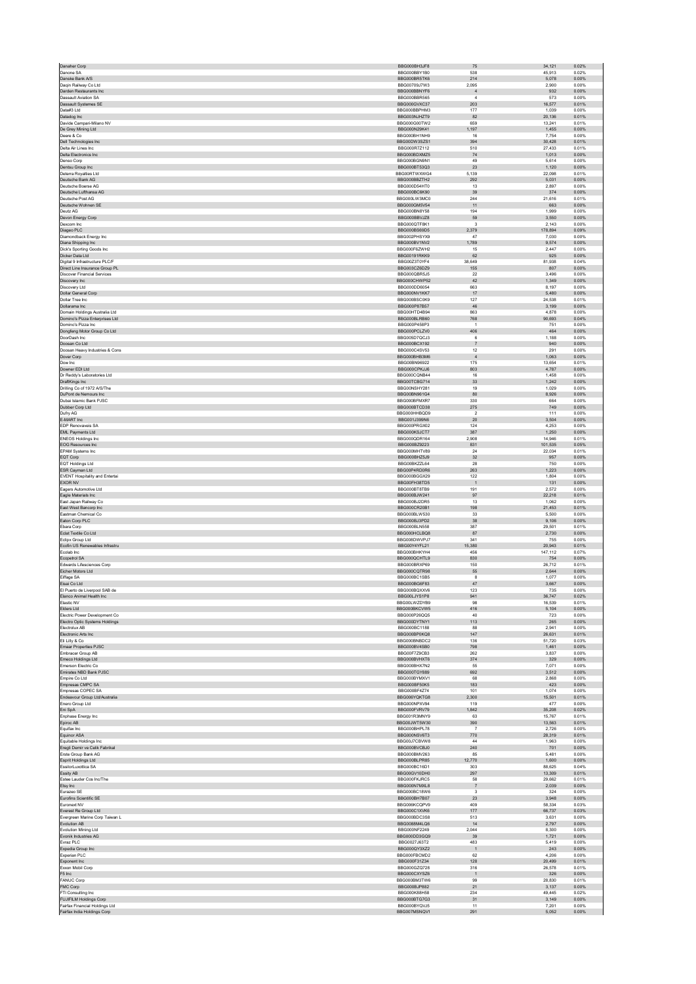| Danone SA                                                        | BBG000BH3JF8                 | 75                               | 34,121           | 0.02%          |
|------------------------------------------------------------------|------------------------------|----------------------------------|------------------|----------------|
|                                                                  | BBG000BBY1B0                 | 538                              | 45.913           | 0.02%          |
| Danske Bank A/S<br>Dagin Railway Co Ltd                          | BBG000BR5TK6<br>BBG00709J7W3 | 214<br>2.095                     | 5,078<br>2.900   | 0.00%<br>0.00% |
| Darden Restaurants Inc.                                          | BBG000BBNYF6                 | $\overline{4}$                   | 932              | 0.00%          |
| <b>Dassault Aviation SA</b>                                      | BBG000BBR565                 | $\overline{4}$                   | 573              | 0.00%          |
| <b>Dassault Systemes SE</b>                                      | BBG000GVXC37                 | 203                              | 16.577           | 0.01%          |
| Data#3 Ltd                                                       | BBG000BBPHM3<br>BBG003NJHZT9 | 177<br>82                        | 1,039<br>20,136  | 0.00%<br>0.01% |
| Datadog Inc<br>Davide Campari-Milano NV                          | BBG000G00TW2                 | 659                              | 13,241           | 0.01%          |
| De Grey Mining Ltd                                               | BBG000N29K41                 | 1,197                            | 1,455            | 0.00%          |
| Deere & Co.                                                      | BBG000BH1NH9                 | 16                               | 7.754            | 0.00%          |
| Dell Technologies Inc<br>Delta Air Lines Inc.                    | BBG00DW3SZS1                 | 394                              | 30,428           | 0.01%          |
| Delta Electronics Inc                                            | BBG000R7Z112<br>BBG000BDXMZ5 | 510<br>74                        | 27,433<br>1.013  | 0.01%<br>0.00% |
| Denso Corp                                                       | BBG000BGN9N1                 | 49                               | 5,614            | 0.00%          |
| Dentsu Group Inc.                                                | BBG000BT53Q3                 | 23                               | 1.120            | 0.00%          |
| Deterra Royalties Ltd                                            | BBG00RTWXWG4                 | 5,139                            | 22,098           | 0.01%          |
| Deutsche Bank AG                                                 | BBG000BBZTH2                 | 292                              | 5,031            | 0.00%          |
| Deutsche Boerse AG<br>Deutsche Lufthansa AG                      | BBG000D54HT0<br>BBG000BC6K90 | 13<br>39                         | 2,897<br>374     | 0.00%<br>0.00% |
| Deutsche Post AG                                                 | BBG000LW3MC0                 | 244                              | 21.616           | 0.01%          |
| Deutsche Wohnen SE                                               | BBG000GM5V54                 | 11                               | 663              | 0.00%          |
| Deutz AG                                                         | BBG000BN8Y58                 | 194                              | 1.999            | 0.00%          |
| Devon Energy Corp                                                | BBG000BBVJZ8                 | 59                               | 3,550            | 0.00%          |
| Dexcom Inc<br>Diageo PLC                                         | BBG000QTF8K1<br>BBG000BS69D5 | $\overline{\mathbf{3}}$<br>2,379 | 2,143<br>178.894 | 0.00%<br>0.09% |
| Diamondback Energy Inc                                           | BBG002PHSYX9                 | 47                               | 7,030            | 0.00%          |
| Diana Shipping Inc                                               | BBG000BV1NV2                 | 1,789                            | 9,574            | 0.00%          |
| Dick's Sporting Goods Inc.                                       | BBG000F6ZWH2                 | 15                               | 2,447            | 0.00%          |
| Dicker Data Ltd                                                  | BBG00191RKK9                 | 62                               | 925              | 0.00%          |
| Digital 9 Infrastructure PLC/F<br>Direct Line Insurance Group PL | BBG00Z3T0YF4<br>BBG003CZ6DZ9 | 38.649<br>155                    | 81.938<br>807    | 0.04%<br>0.00% |
| <b>Discover Financial Services</b>                               | BBG000QBR5J5                 | 22                               | 3.496            | 0.00%          |
| Discovery Inc                                                    | BBG000CHWP52                 | 42                               | 1,349            | 0.00%          |
| Discovery Ltd                                                    | BBG000DD6054                 | 663                              | 8,197            | 0.00%          |
| Dollar General Corp                                              | BBG000NV1KK7                 | 17                               | 5.480            | 0.00%          |
| Dollar Tree Inc<br>Dollarama Inc                                 | BBG000BSC0K9<br>BBG000P87B57 | 127<br>46                        | 24,538<br>3,199  | 0.01%<br>0.00% |
| Domain Holdings Australia I td                                   | BBG00HTD4B94                 | 863                              | 4.878            | 0.00%          |
| Domino's Pizza Enterprises Ltd                                   | BBG000BLRB60                 | 768                              | 90,693           | 0.04%          |
| Domino's Pizza Inc.                                              | BBG000P458P3                 | $\overline{1}$                   | 751              | 0.00%          |
| Dongfeng Motor Group Co Ltd                                      | BBG000PCLZV0                 | 406                              | 464              | 0.00%          |
| DoorDash Inc.<br>Doosan Co Ltd                                   | BBG005D7QCJ3<br>BBG000BCX192 | 6<br>$\overline{7}$              | 1,188<br>940     | 0.00%<br>0.00% |
| Doosan Heavy Industries & Cons                                   | BBG000C4SV53                 | 12                               | 291              | 0.00%          |
| Dover Corp                                                       | BBG000BHB3M6                 | $\overline{4}$                   | 1,063            | 0.00%          |
| Dow Inc                                                          | BBG00BN96922                 | 175                              | 13,654           | 0.01%          |
| Downer EDI Ltd                                                   | BBG000CPKJJ6                 | 803                              | 4,787            | 0.00%          |
| Dr Reddy's Laboratories Ltd                                      | BBG000CQNB44                 | 16                               | 1.458            | 0.00%          |
| DraftKings Inc<br>Drilling Co of 1972 A/S/The                    | BBG00TCBG714<br>BBG00NSHY281 | $33\,$<br>19                     | 1,242<br>1.029   | 0.00%<br>0.00% |
| DuPont de Nemours Inc                                            | BBG00BN961G4                 | 80                               | 8,926            | 0.00%          |
| Dubai Islamic Bank PJSC                                          | BBG000BFMXR7                 | 330                              | 664              | 0.00%          |
| Dubber Corp Ltd                                                  | BBG000BTCD38                 | 275                              | 749              | 0.00%          |
| Dufry AG                                                         | BBG000HHBQD9                 | $\overline{\mathbf{2}}$          | 111              | 0.00%          |
| E-MART Inc<br>EDP Renovaveis SA                                  | BBG001J399N6<br>BBG000PRGX02 | 20<br>124                        | 3,504<br>4,253   | 0.00%<br>0.00% |
| EML Payments Ltd                                                 | BBG000KSJCT7                 | 387                              | 1,250            | 0.00%          |
| <b>ENEOS Holdings Inc.</b>                                       | BBG000QDR164                 | 2.908                            | 14.946           | 0.01%          |
| EOG Resources Inc                                                | BBG000BZ9223                 | 831                              | 101,535          | 0.05%          |
| <b>EPAM Systems Inc.</b>                                         | BBG000MHTV89                 | 24                               | 22,034           | 0.01%          |
| EQT Corp<br><b>EQT Holdings Ltd</b>                              | BBG000BHZ5J9<br>BBG00BKZZL64 | 32<br>28                         | 957<br>750       | 0.00%<br>0.00% |
| ESR Cayman Ltd                                                   | BBG00P4RD0R6                 | 263                              | 1.223            | 0.00%          |
| <b>EVENT Hospitality and Entertai</b>                            | BBG000BGGX29                 | 122                              | 1,804            | 0.00%          |
| <b>EXOR NV</b>                                                   | BBG00FH38TD5                 | $\overline{1}$                   | 131              | 0.00%          |
| Eagers Automotive Ltd                                            | BBG000BT8TB9                 | 191                              | 2,572            | 0.00%          |
| Eagle Materials Inc<br>East Japan Railway Co                     | BBG000BJW241<br>BBG000BJ2DR5 | 97<br>13                         | 22,218<br>1.062  | 0.01%<br>0.00% |
| East West Bancorp Inc                                            | BBG000CR20B1                 | 198                              | 21,453           | 0.01%          |
| Eastman Chemical Co.                                             | BBG000BLW530                 | 33                               | 5.500            | 0.00%          |
| Eaton Corp PLC                                                   | BBG000BJ3PD2                 | $38\,$                           | 9,106            | 0.00%          |
| Ebara Corp                                                       | BBG000BLN558                 | 387                              | 29,501           | 0.01%          |
| Eclat Textile Co Ltd<br>Eclipx Group Ltd                         | BBG000HCLBQ8<br>BBG008DWVPJ7 | 87<br>341                        | 2.730<br>755     | 0.00%<br>0.00% |
| Ecofin US Renewables Infrastru                                   | BBG00Y4YFL21                 | 15,380                           | 20,943           | 0.01%          |
| Ecolab Inc                                                       |                              |                                  | 147,112          | 0.07%          |
|                                                                  |                              | 456                              |                  |                |
| Ecopetrol SA                                                     | BBG000BHKYH4<br>BBG000QCHTL9 | 830                              | 754              | 0.00%          |
| Edwards Lifesciences Corp.                                       | BBG000BRXP69                 | 150                              | 26.712           | 0.01%          |
| Eicher Motors Ltd                                                | BBG000CQTR98                 | 55                               | 2,644            | 0.00%          |
| Eiffage SA                                                       | BBG000BC1SB5                 | 8                                | 1.077            | 0.00%          |
| Eisai Co Ltd                                                     | BBG000BG6F83                 | 47                               | 3,667<br>735     | 0.00%          |
| El Puerto de Liverpool SAB de<br>Elanco Animal Health Inc        | BBG000BQXXV6<br>BBG00LJYS1P8 | 123<br>941                       | 36.747           | 0.00%<br>0.02% |
| Elastic NV                                                       | BBG00LWZDYB9                 | 98                               | 16,539           | 0.01%          |
| Elders Ltd                                                       | BBG000BKCVW5                 | 416                              | 5,104            | 0.00%          |
| Electric Power Development Co                                    | BBG000P26QQ5                 | 40                               | 723              | 0.00%          |
| Electro Optic Systems Holdings<br>Flectrolux AB                  | BBG000DYTNY1                 | 113                              | 265              | 0.00%          |
| Electronic Arts Inc                                              | BBG000BC1188<br>BBG000BP0KQ8 | 88<br>$147$                      | 2.941<br>26,631  | 0.00%<br>0.01% |
| Eli Lilly & Co                                                   | BBG000BNBDC2                 | 136                              | 51,720           | 0.03%          |
| Emaar Properties PJSC                                            | BBG000BV4SB0                 | 798                              | 1,461            | 0.00%          |
| Embracer Group AB                                                | BBG00F7Z9CB3<br>BBG000BVHXT6 | 262<br>374                       | 3,837<br>329     | 0.00%<br>0.00% |
| Emeco Holdings Ltd<br>Emerson Electric Co                        | BBG000BHX7N2                 | 55                               | 7,071            | 0.00%          |
| Emirates NBD Bank PJSC                                           | BBG000TGY889                 | 692                              | 3,512            | 0.00%          |
| Empire Co Ltd                                                    | BBG000BYMXV1                 | 68                               | 2,868            | 0.00%          |
| Empresas CMPC SA                                                 | BBG000BF50K5                 | 183                              | 423              | 0.00%          |
| Empresas COPEC SA<br>Endeavour Group Ltd/Australia               | BBG000BF4Z74                 | 101                              | 1.074            | 0.00%          |
| Enero Group Ltd                                                  | BBG006YQKTG8<br>BBG000NPXV94 | 2,300<br>119                     | 15,501<br>477    | 0.01%<br>0.00% |
| Eni SpA                                                          | BBG000FVRV79                 | 1,842                            | 35,208           | 0.02%          |
| Enphase Energy Inc                                               | BBG001R3MNY9                 | 63                               | 15,767           | 0.01%          |
| Epiroc AB                                                        | BBG00JWT5W30                 | 390                              | 13.563           | 0.01%          |
| Equifax Inc                                                      | BBG000BHPL78<br>BBG000NSV6T3 | $\overline{7}$<br>770            | 2,726<br>28,319  | 0.00%<br>0.01% |
| Equinor ASA<br>Equitable Holdings Inc.                           | BBG00J7CBVW8                 | 44                               | 1,963            | 0.00%          |
| Eregli Demir ve Celik Fabrikal                                   | BBG000BVCBJ0                 | 240                              | 701              | 0.00%          |
| Erste Group Bank AG                                              | BBG000BMV263                 | 85                               | 5.481            | 0.00%          |
| Esprit Holdings Ltd                                              | BBG000BLPR85                 | 12,770                           | 1,600            | 0.00%          |
| EssilorLuxottica SA<br>Essity AB                                 | BBG000BC16D1<br>BBG00GV10DH0 | 303<br>297                       | 88,625<br>13,309 | 0.04%<br>0.01% |
| Estee Lauder Cos Inc/The                                         | BBG000FKJRC5                 | 58                               | 29,662           | 0.01%          |
| Etsy Inc                                                         | BBG000N7MXL8                 | $\overline{7}$                   | 2.039            | 0.00%          |
| Eurazeo SE                                                       | BBG000BC18W6                 | $\overline{\mathbf{3}}$          | 324              | 0.00%          |
| Eurofins Scientific SE<br>Euronext NV                            | BBG000BH7B07<br>BBG006KCQPV9 | 23                               | 3.948            | 0.00%          |
| Everest Re Group Ltd                                             | BBG000C1XVK6                 | 409<br>$177$                     | 58,334<br>66,737 | 0.03%<br>0.03% |
| Evergreen Marine Corp Taiwan L                                   | BBG000BDC3S8                 | 513                              | 3.631            | 0.00%          |
| Evolution AB                                                     | BBG0088M4LQ6                 | 14                               | 2,797            | 0.00%          |
| <b>Evolution Mining Ltd</b>                                      | BBG000NF2249                 | 2,044                            | 8,300            | 0.00%          |
| Evonik Industries AG                                             | BBG000DD3GQ9                 | 39                               | 1,721            | 0.00%          |
| Evraz PLC<br>Expedia Group Inc                                   | BBG0027J63T2<br>BBG000QY3XZ2 | 483<br>$\overline{1}$            | 5,419<br>243     | 0.00%<br>0.00% |
| Experian PLC                                                     | BBG000FBCMD2                 | 62                               | 4,206            | 0.00%          |
| Exponent Inc                                                     | BBG000F31Z34                 | 128                              | 20,499           | 0.01%          |
| Exxon Mobil Corp                                                 | BBG000GZQ728                 | 316                              | 26.578           | 0.01%          |
| F5 Inc<br><b>FANUC Corp</b>                                      | BBG000CXYSZ6<br>BBG000BM3TW6 | $\overline{1}$<br>99             | 326<br>28.830    | 0.00%<br>0.01% |
| FMC Corp                                                         | BBG000BJP882                 | 21                               | 3,137            | 0.00%          |
| FTI Consulting Inc                                               | BBG000K88H58                 | 234                              | 49,445           | 0.02%          |
| FUJIFILM Holdings Corp                                           | BBG000BTG7G3                 | 31                               | 3.149            | 0.00%          |
| Fairfax Financial Holdings Ltd<br>Fairfax India Holdings Corp    | BBG000BYQVJ5<br>BBG007MSNQV1 | 11<br>291                        | 7,201<br>5.052   | 0.00%<br>0.00% |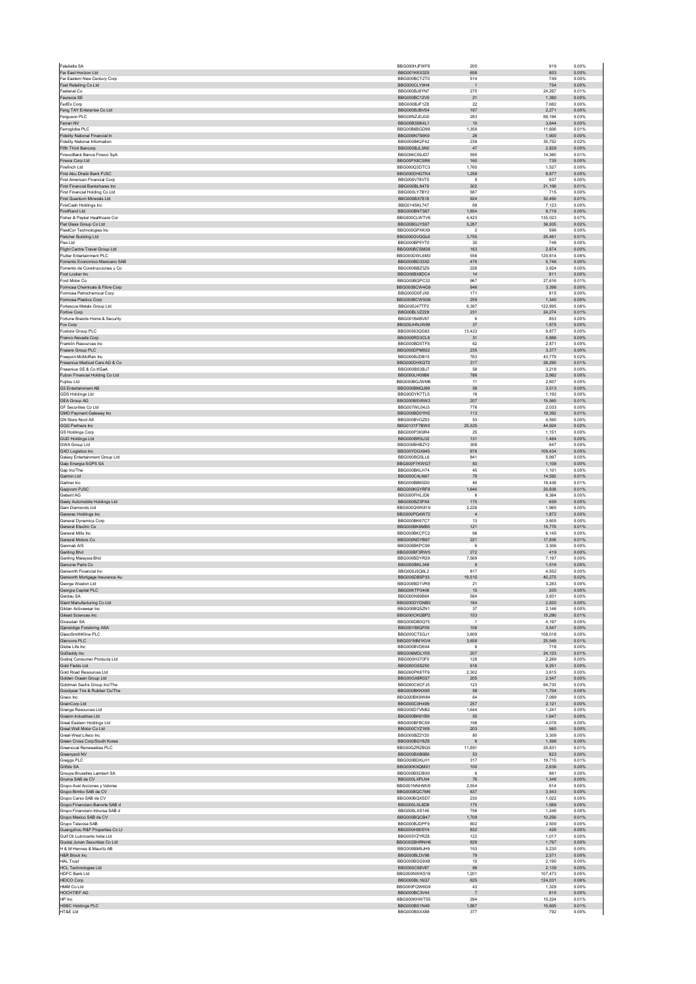| Far East Horizon Ltd                           | BBG000HJFWF6<br><b>BBG001KKX325</b> | 205            | 919             | 0.00%          |
|------------------------------------------------|-------------------------------------|----------------|-----------------|----------------|
| Far Eastern New Century Corp                   | BBG000BCTZT0                        | 658<br>514     | 803<br>749      | 0.00%<br>0.00% |
| Fast Retailing Co Ltd                          | BBG000CLY9H4                        | $\overline{1}$ | 754             | 0.00%          |
| Fastenal Co                                    | BBG000BJ8YN7                        | 275            | 24,267          | 0.01%          |
| Faurecia SE                                    | BBG000BC12V0                        | 21             | 1,380           | 0.00%          |
| FedEx Corp                                     | BBG000BJF1Z8                        | $22\,$         | 7,682           | 0.00%          |
| Feng TAY Enterprise Co Ltd                     | BBG000BJBVS4                        | 197            | 2,271           | 0.00%          |
| Ferauson PLC<br>Ferrari NV                     | BBG00NZJ0JG0                        | 283            | 69.194          | 0.03%          |
| Ferroglobe PLC                                 | BBG00BS9K4L1                        | $10$           | 3,644           | 0.00%          |
|                                                | BBG00B6BGD99                        | 1.359          | 11,606          | 0.01%          |
| Fidelity National Financial In                 | BBG006N7S6K9                        | 26             | 1,900           | 0.00%          |
| <b>Fidelity National Information</b>           | BBG000BK2F42                        | 238            | 35,752          | 0.02%          |
| Fifth Third Bancorp                            | BBG000BJL3N0                        | 47             | 2.829           | 0.00%          |
| FinecoBank Banca Fineco SpA                    | BBG006C09JD7                        | 595            | 14,360          | 0.01%          |
| Fineos Corp Ltd                                | BBG00PX8CSR6                        | 160            | 735             | 0.00%          |
| Firefinch Ltd                                  | BBG000Q3DTC3                        | 1,765          | 1,527           | 0.00%          |
| First Abu Dhabi Bank PJSC                      | BBG000DHGTK4                        | 1,258          | 8,877           | 0.00%          |
| First American Financial Corp.                 | BBG000V78V75                        | 9              | 937             | 0.00%          |
| First Financial Bankshares Inc                 | BBG000BL8476                        | 302            | 21,106          | 0.01%          |
| First Financial Holding Co Ltd.                | BBG000LY7BY2                        | 587            | 715             | 0.00%          |
| First Quantum Minerals Ltd                     | BBG000BX7818                        | 924            | 30,456          | 0.01%          |
| FirstCash Holdings Inc                         | BBG0145KL747                        | 69             | 7,123           | 0.00%          |
| FirstRand Ltd                                  | BBG000BNTS67                        | 1,854          | 9.716           | 0.00%          |
| Fisher & Paykel Healthcare Cor                 | BBG000CLWTV6                        | 4,423          | 135,023         | 0.07%          |
| Flat Glass Group Co Ltd                        | BBG00BGJYS07                        | 5,287          | 36,935          | 0.02%          |
| FleetCor Technologies Inc.                     | BBG000GPXKX9                        | $\overline{2}$ | 596             | 0.00%          |
| Fletcher Building Ltd                          | BBG000GVQGL6                        | 3,755          | 25,461          | 0.01%          |
| Flex Ltd                                       | BBG000BP5YT0                        | 30             | 748             | 0.00%          |
| Flight Centre Travel Group Ltd                 | BBG000BCSM38                        | 163            | 2,874           | 0.00%          |
| Flutter Entertainment PLC                      | BBG000DWL6M3                        | 556            | 120,814         | 0.06%          |
| Fomento Economico Mexicano SAB                 | BBG000BD33X2                        | 476            | 5.746           | 0.00%          |
| Fomento de Construcciones y Co                 | BBG000BBZ3Z9                        | 226            | 3,924           | 0.00%          |
| Foot Locker Inc.                               | BBG000BX8DC4                        | 14             | 811             | 0.00%          |
| Ford Motor Co                                  | BBG000BQPC32                        | 967            | 27,616          | 0.01%          |
| Formosa Chemicals & Fibre Corp                 | BBG000BCW4G9                        | 846            | 3,398           | 0.00%          |
| Formosa Petrochemical Corp.                    | BBG000D0FJX0                        | 171            | 815             | 0.00%          |
| Formosa Plastics Corp                          | BBG000BCW5G6                        | 259            | 1,340           | 0.00%          |
| Fortescue Metals Group Ltd                     | BBG000J47TP2                        | 6.397          | 122.895         | 0.06%          |
| Fortive Corp                                   | BBG00BLVZ228                        | 231            | 24,274          | 0.01%          |
| Fortune Brands Home & Security                 | BBG001B4BV87                        | 6              | 853             | 0.00%          |
| Fox Corp                                       | BBG00JHNJW99                        | 37             | 1,875           | 0.00%          |
| Foxtons Group PLC                              | BBG00563QG83                        | 13,423         | 9,877           | 0.00%          |
| Franco-Nevada Corp.                            | BBG000RD3CL8                        | 31             | 5.886           | 0.00%          |
| Franklin Resources Inc                         | BBG000BD0TF8                        | 62             | 2,871           | 0.00%          |
| Frasers Group PLC                              | BBG000DPM932                        | 235            | 3,377           | 0.00%          |
| Freeport-McMoRan Inc.                          | BBG000BJDB15                        | 763            | 43.779          | 0.02%          |
| Fresenius Medical Care AG & Co                 | BBG000DHXQT2                        | 317            | 28,295          | 0.01%          |
| Fresenius SE & Co KGaA                         | BBG000BS3BJ7                        | 58             | 3.218           | 0.00%          |
| Fubon Financial Holding Co Ltd                 | BBG000LH09B6                        | 786            | 2,982           | 0.00%          |
| Fujitsu Ltd                                    | BBG000BGJWM6                        | 11             | 2,607           | 0.00%          |
| G5 Entertainment AB                            | BBG000BMQJ99                        | 58             | 3.513           | 0.00%          |
| GDS Holdings Ltd                               | BBG00DYK7TL5                        | 18             | 1,192           | 0.00%          |
| <b>GEA Group AG</b>                            | BBG000BSV6W2                        | 207            | 15.565          | 0.01%          |
| GF Securities Co Ltd                           | BBG007WL04J3                        | 776            | 2,033           | 0.00%          |
| GMO Payment Gateway Inc                        | BBG000BD0YH5                        | 113            | 19,392          | 0.01%          |
| <b>GN Store Nord AS</b>                        | BBG000BVGZ03                        | 53             | 4.590           | 0.00%          |
| GQG Partners Inc                               | BBG0131F7BW0                        | 25,525         | 44,924          | 0.02%          |
| <b>GS Holdings Corp</b>                        | BBG000P3K9R4                        | 25             | 1.151           | 0.00%          |
| <b>GUD Holdings Ltd</b>                        | BBG000BRSJ32                        | 131            | 1,484           | 0.00%          |
| GWA Group Ltd                                  | BBG000BHBZY2                        | 308            | 847             | 0.00%          |
| <b>GXO Logistics Inc</b>                       | BBG00YDGX945                        | 876            | 109,434         | 0.05%          |
| Galaxy Entertainment Group Ltd                 | BBG000BG5LL6                        | 841            | 5,997           | 0.00%          |
| Galp Energia SGPS SA                           | BBG000F7KWG7                        | 83             | 1,108           | 0.00%          |
| Gap Inc/The                                    | BBG000BKLH74                        | 45             | 1,101           | 0.00%          |
| Garmin Ltd                                     | BBG000C4LN67                        | 78             | 14,592          | 0.01%          |
| Gartner Inc.                                   | BBG000BB65D0                        | 40             | 18,438          | 0.01%          |
| Gazprom PJSC                                   | BBG000KGYRF8                        | 1,640          | 20,838          | 0.01%          |
| Geberit AG                                     | BBG000FHLJD6                        | 6              | 6,364           | 0.00%          |
| Geely Automobile Holdings Ltd                  | BBG000BZ3PX4                        | 175            | 658             | 0.00%          |
| Gem Diamonds Ltd                               | BBG000QWK819                        | 2,226          | 1.965           | 0.00%          |
| Generac Holdings Inc.                          | BBG000PQ4W72                        | $\overline{4}$ | 1.872           | 0.00%          |
| General Dynamics Corp                          | BBG000BK67C7                        |                |                 |                |
| General Electric Co.                           | BBG000BK6MB5                        | 13<br>121      | 3,605<br>15,776 | 0.00%<br>0.01% |
| General Mills Inc                              | BBG000BKCFC2                        | 66             | 6,145           | 0.00%          |
| General Motors Co                              | BBG000NDYB67                        | 221            | 17,838          | 0.01%          |
| Genmab A/S                                     | BBG000BKPC99                        | 6              | 3.306           | 0.00%          |
| Genting Bhd                                    | BBG000BF3RW5                        | 272            | 419             | 0.00%          |
| Genting Malaysia Bhd                           | BBG000BDYR29                        | 7,569          | 7.197           | 0.00%          |
| Genuine Parts Co                               | BBG000BKL348                        | 8              | 1,516           | 0.00%          |
| Genworth Financial Inc.                        | BBG000J5Q6L2                        | 817            | 4.552           | 0.00%          |
| Genworth Mortgage Insurance Au                 | BBG006DB5P33                        | 19,515         | 45,275          | 0.02%          |
| George Weston Ltd                              | BBG000BD1VR9                        | 21             | 3,283           | 0.00%          |
| Georgia Capital PLC                            | BBG00KTP3406                        | 15             | 205             | 0.00%          |
| Gerdau SA                                      | BBG000N89B84                        | 584            | 3,931           | 0.00%          |
| Giant Manufacturing Co Ltd                     | BBG000DYGNB0                        | 164            | 2,820           | 0.00%          |
| Gildan Activewear Inc                          | BBG000BQ5ZN1                        | 37             | 2.146           | 0.00%          |
| Gilead Sciences Inc                            | BBG000CKGBP2                        | 153            | 15,290          | 0.01%          |
| Givenden SA                                    | BBG000DB0Q75                        | $\overline{1}$ | 4.197           | 0.00%          |
| Gjensidige Forsikring ASA                      | BBG00188QF09                        | 106            | 3,547           | 0.00%          |
| GlaxoSmithKline PLC                            | BBG000CT5GJ1                        | 3,609          | 108,018         | 0.05%          |
| Glencore PLC                                   | BBG001MM1KV4                        | 3,658          | 25.549          | 0.01%          |
| Globe Life Inc                                 | BBG000BVD6X4                        | 6              | 718             | 0.00%          |
| GoDaddy Inc<br>Godrej Consumer Products Ltd    | BBG006MDLY05                        | 207            | 24,123          | 0.01%          |
| Gold Fields Ltd                                | BBG000H370F0                        | 128            | 2,289           | 0.00%          |
|                                                | BBG000G5S250                        | 616            | 9,251           | 0.00%          |
| Gold Road Resources Ltd                        | BBG000PK8TF9                        | 2.302          | 3.615           | 0.00%          |
| Golden Ocean Group Ltd                         | BBG00GX8R037                        | 205            | 2,547           | 0.00%          |
| Goldman Sachs Group Inc/The                    | BBG000C6CE.I5                       | 123            | 64,733          | 0.03%          |
| Goodyear Tire & Rubber Co/The                  | BBG000BKNX95                        | 58             | 1,704           | 0.00%          |
| Graco Inc                                      | BBG000BK9W84                        | 64             | 7,089           | 0.00%          |
| GrainCorp Ltd                                  | BBG000C0H499                        | 257            | 2.121           | 0.00%          |
| Grange Resources Ltd                           | BBG000D7VNB2                        | 1,644          | 1,241           | 0.00%          |
| Grasim Industries Ltd                          | BBG000BK6YB9                        | 55             | 1,647           | 0.00%          |
| Great Eastern Holdings Ltd                     | BBG000BFBC59                        | 198            | 4,076           | 0.00%          |
| Great Wall Motor Co Ltd                        | BBG000CYZ1K8                        | 203            | 960             | 0.00%          |
| Great-West Lifeco Inc.                         | BBG000BZ2Y20                        | 80             | 3.309           | 0.00%          |
| Green Cross Corp/South Korea                   | BBG000BGY8Z8                        | $\,6\,$        | 1,398           | 0.00%          |
| Greencoat Renewables PLC                       | BBG00GZRZBQ5                        | 11,891         | 20,831          | 0.01%          |
| Greenyard NV                                   | BBG000BXB6B6                        | 53             | 823             | 0.00%          |
| Greggs PLC                                     | BBG000BDKLH1                        | 317            | 19,715          | 0.01%          |
| Grifols SA                                     | BBG000KXQMX1                        | 100            | 2.636           | 0.00%          |
| Groupe Bruxelles Lambert SA<br>Gruma SAB de CV | BBG000BSDBX0<br>BBG000LXPLN4        | 6              | 861             | 0.00%<br>0.00% |
| Grupo Aval Acciones y Valores                  | BBG001NNHMV0                        | 76<br>2,554    | 1,348<br>914    | 0.00%          |
| Grupo Bimbo SAB de CV                          | BBG000BQC7M6                        | 837            | 3,543           | 0.00%          |
| Grupo Carso SAB de CV                          | BBG000BQXSD7                        | 230            | 1.022           | 0.00%          |
| Grupo Financiero Banorte SAB d                 | BBG000LXL8D8                        | 175            | 1,569           | 0.00%          |
| Grupo Financiero Inbursa SAB d                 | BBG000LXS146                        | 756            | 1,246           | 0.00%          |
| Grupo Mexico SAB de CV                         | BBG000BQCB47                        | 1,709          | 10,256          | 0.01%          |
| Grupo Televisa SAB                             | BBG000BJDPF9                        | 802            | 2,509           | 0.00%          |
| Guangzhou R&F Properties Co Lt                 | BBG000H80SY4                        | 832            | 426             | 0.00%          |
| Gulf Oil Lubricants India Ltd                  | BBG005YZYRZ8                        | 122            | 1,017           | 0.00%          |
| Guotai Junan Securities Co Ltd                 | BBG00GBHRNH6                        | 828            | 1,767           | 0.00%          |
| H & M Hennes & Mauritz AB                      | BBG000BM9JH9                        | 193            | 5,230           | 0.00%          |
| H&R Block Inc                                  | BBG000BLDV98                        | 79             | 2,571           | 0.00%          |
| <b>HAL Trust</b>                               | BBG000BGG9X8                        | 10             | 2.190           | 0.00%          |
| <b>HCL Technologies Ltd</b>                    | BBG000C68V87                        | 88             | 2,139           | 0.00%          |
| HDFC Bank Ltd                                  | BBG000NWKS18                        | 1,201          | 107.473         | 0.05%          |
| <b>HEICO Corp</b>                              | BBG000BL16Q7                        | 625            | 124,031         | 0.06%          |
| HMM Co Ltd                                     | BBG000FQW6G9                        | 43             | 1,329           | 0.00%          |
| HOCHTIEF AG                                    | BBG000BC3V44                        | $\overline{7}$ | 815             | 0.00%          |
| HP Inc                                         | BBG000KHWT55                        | 294            | 15,224          | 0.01%          |
| <b>HSBC Holdings PLC</b>                       | BBG000BS1N49                        | 1,867          | 15,605          | 0.01%          |
| HT&E Ltd                                       | BBG000BSXX88                        | 377            | 792             | 0.00%          |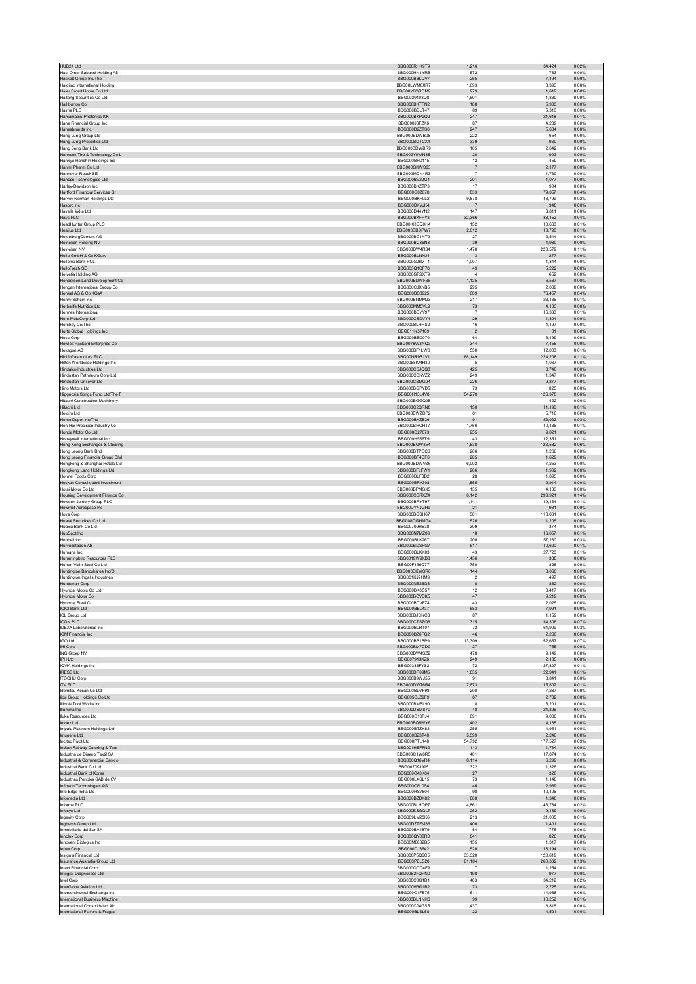| HUB24 Ltd                                                        | BBG000RHK9T9                 | 1,216                    | 34,424            | 0.02%          |
|------------------------------------------------------------------|------------------------------|--------------------------|-------------------|----------------|
| Haci Omer Sabanci Holding AS                                     | BBG000HN1YR5                 | 572                      | 783               | 0.00%          |
| Hackett Group Inc/The<br>Haidilao International Holding          | BBG000BBLQV7<br>BBG00LWM0XR7 | 265<br>1,093             | 7,494<br>3.393    | 0.00%<br>0.00% |
| Haier Smart Home Co Ltd                                          | BBG00Y6QRDM9                 | 279                      | 1.619             | 0.00%          |
| Haitong Securities Co Ltd                                        | BBG0029103Q8                 | 1,501                    | 1,830             | 0.00%          |
| <b>Halliburton Co</b><br>Halma PLC                               | BBG000BKTFN2<br>BBG000BDLT47 | 188<br>89                | 5.903<br>5,313    | 0.00%<br>0.00% |
| Hamamatsu Photonics KK                                           | BBG000BKP2Q2                 | 247                      | 21,618            | 0.01%          |
| Hana Financial Group Inc.                                        | BBG000J3FZK6                 | 87                       | 4.239             | 0.00%          |
| Hanesbrands Inc<br>Hang Lung Group Ltd                           | BBG000D2ZTS8<br>BBG000BDWB08 | 247<br>222               | 5,684<br>654      | 0.00%<br>0.00% |
| Hang Lung Properties Ltd                                         | BBG000BDTCX4                 | 339                      | 960               | 0.00%          |
| Hang Seng Bank Ltd                                               | BBG000BDWBR9                 | 105                      | 2,642             | 0.00%          |
| Hankook Tire & Technology Co L                                   | BBG002Y0WN38                 | 20                       | 903               | 0.00%          |
| Hankyu Hanshin Holdings Inc<br>Hanmi Pharm Co Ltd                | BBG000BH0115<br>BBG000QKWS63 | 12<br>$\overline{7}$     | 459<br>2.177      | 0.00%<br>0.00% |
| Hannover Rueck SE                                                | BBG000MDN4R3                 | $\overline{7}$           | 1,760             | 0.00%          |
| Hansen Technologies Ltd                                          | BBG000BV22G4                 | 201                      | 1,077             | 0.00%          |
| Harley-Davidson Inc.<br><b>Hartford Financial Services Gr</b>    | BBG000BKZTP3<br>BBG000G0Z878 | 17<br>833                | 904<br>79,057     | 0.00%<br>0.04% |
| Harvey Norman Holdings Ltd                                       | BBG000BKF0L2                 | 9,878                    | 48.799            | 0.02%          |
| Hasbro Inc                                                       | BBG000BKVJK4                 | $\overline{7}$           | 948               | 0.00%          |
| Havells India Ltd<br>Hays PLC                                    | BBG000D44YN2<br>BBG000BKFPY3 | 147<br>32.366            | 3,811<br>88.152   | 0.00%<br>0.04% |
| HeadHunter Group PLC                                             | BBG00KHGQ0H4                 | 152                      | 10,663            | 0.01%          |
| <b>Healius Ltd</b>                                               | BBG000BBDPW7                 | 2,612                    | 13,790            | 0.01%          |
| HeidelbergCement AG                                              | BBG000BC1HT0                 | 27<br>39                 | 2,544<br>4,980    | 0.00%<br>0.00% |
| Heineken Holding NV<br>Heineken NV                               | BBG000BC36N8<br>BBG000BW4R84 | 1.478                    | 228.572           | 0.11%          |
| Hella GmbH & Co KGaA                                             | BBG000BLNNJ4                 | $\overline{\mathbf{3}}$  | 277               | 0.00%          |
| Hellenic Bank PCL                                                | BBG000GJ6MT4                 | 1,007                    | 1,344             | 0.00%          |
| HelloFresh SE<br>Helvetia Holding AG                             | BBG003Q1CF78<br>BBG000GR9XT9 | 49<br>$\overline{4}$     | 5,222<br>652      | 0.00%<br>0.00% |
| Henderson Land Development Co                                    | BBG000BDWF36                 | 1,125                    | 6,587             | 0.00%          |
| Hengan International Group Co                                    | BBG000CJXNB5                 | 295                      | 2,089             | 0.00%          |
| Henkel AG & Co KGaA<br>Henry Schein Inc.                         | BBG000BC3925<br>BBG000BNMMJ3 | 689<br>217               | 76,457<br>23,135  | 0.04%<br>0.01% |
| Herbalife Nutrition Ltd                                          | BBG000MM5VL9                 | 73                       | 4,103             | 0.00%          |
| Hermes International                                             | BBG000BDYY97                 | $\overline{7}$           | 16.333            | 0.01%          |
| Hero MotoCorp Ltd<br>Hershey Co/The                              | BBG000CSDVY4<br>BBG000BLHRS2 | 29<br>16                 | 1,304<br>4,197    | 0.00%<br>0.00% |
| Hertz Global Holdings Inc                                        | BBG011N57109                 | $\overline{\mathbf{c}}$  | 81                | 0.00%          |
| <b>Hess Corp</b>                                                 | BBG000BBD070                 | 64                       | 6,499             | 0.00%          |
| Hewlett Packard Enterprise Co<br>Hexagon AB                      | BBG0078W3NQ3<br>BBG000BF1LW0 | 344<br>550               | 7.456<br>12,003   | 0.00%<br>0.01% |
| Hicl Infrastructure PLC                                          | BBG00NR9B1V1                 | 68,149                   | 224,206           | 0.11%          |
| Hilton Worldwide Holdings Inc                                    | BBG0058KMH30                 | 5                        | 1,037             | 0.00%          |
| Hindalco Industries Ltd<br>Hindustan Petroleum Corp Ltd          | BBG000CSJQQ8<br>BBG000CSNVZ2 | 425<br>249               | 3,740<br>1.347    | 0.00%<br>0.00% |
| Hindustan Unilever Ltd                                           | BBG000CSMG04                 | 226                      | 9,877             | 0.00%          |
| Hino Motors Ltd                                                  | BBG000BGPYD5                 | 73                       | 825               | 0.00%          |
| Hipgnosis Songs Fund Ltd/The F<br>Hitachi Construction Machinery | BBG00H13L4V8<br>BBG000BGGQ06 | 54,270<br>11             | 126,378<br>422    | 0.06%<br>0.00% |
| Hitachi Ltd                                                      | BBG000C2QRN8                 | 150                      | 11.196            | 0.01%          |
| Holcim Ltd                                                       | BBG000BWZDP2                 | 81                       | 5,716             | 0.00%          |
| Home Depot Inc/The                                               | BBG000BKZB36                 | 91                       | 52.022            | 0.03%          |
| Hon Hai Precision Industry Co<br>Honda Motor Co Ltd              | BBG000BHCH17<br>BBG000C27673 | 1,766<br>255             | 10,435<br>9,821   | 0.01%<br>0.00% |
| Honeywell International Inc.                                     | BBG000H556T9                 | 43                       | 12.351            | 0.01%          |
| Hong Kong Exchanges & Clearing                                   | BBG000BGW354<br>BBG000BTPCC6 | 1,538<br>206             | 123,532<br>1,266  | 0.06%<br>0.00% |
| Hong Leong Bank Bhd<br>Hong Leong Financial Group Bhd            | BBG000BF4CF6                 | 285                      | 1,629             | 0.00%          |
| Hongkong & Shanghai Hotels Ltd                                   | BBG000BDWVZ6                 | 6,002                    | 7,253             | 0.00%          |
| Hongkong Land Holdings Ltd<br>Hormel Foods Corp                  | BBG000BFLFW1<br>BBG000BLF8D2 | 266<br>28                | 1.902<br>1,895    | 0.00%<br>0.00% |
| <b>Hosken Consolidated Investment</b>                            | BBG000BFH308                 | 1,555                    | 9.914             | 0.00%          |
| Hotai Motor Co Ltd                                               | BBG000BPMGX5                 | 135                      | 4,133             | 0.00%          |
| Housing Development Finance Co<br>Howden Joinery Group PLC       | BBG000CSRXZ4<br>BBG000BRYT97 | 6,142<br>1.141           | 293,921<br>19.164 | 0.14%<br>0.01% |
| Howmet Aerospace Inc                                             | BBG00DYNJGH9                 | 21                       | 931               | 0.00%          |
| Hoya Corp                                                        | BBG000BGSH67                 | 581                      | 118,831           | 0.06%          |
| Huatai Securities Co Ltd<br>Huaxia Bank Co Ltd                   | BBG008QGHMG4<br>BBG00709HB38 | 526<br>309               | 1,205<br>374      | 0.00%<br>0.00% |
| HubSpot Inc.                                                     | BBG000N7MZ06                 | 18                       | 16.657            | 0.01%          |
| Hubbell Inc                                                      | BBG000BLK267                 | 200                      | 57,280            | 0.03%          |
| Hufvudstaden AB<br>Humana Inc                                    | BBG000BDSFG7<br>BBG000BLKK03 | 517<br>43                | 10,620<br>27,720  | 0.01%<br>0.01% |
| Hummingbird Resources PLC                                        | BBG0019W9XB3                 | 1,436                    | 388               | 0.00%          |
| Hunan Valin Steel Co Ltd                                         | BBG00F136Q77                 | 750                      | 828               | 0.00%          |
| Huntington Bancshares Inc/OH                                     | BBG000BKWSR6<br>BBG001KJ2HM9 | 144<br>$\overline{2}$    | 3,060<br>497      | 0.00%<br>0.00% |
| Huntington Ingalls Industries<br>Huntsman Corp                   | BBG000NS26Q8                 | 18                       | 882               | 0.00%          |
| Hvundai Mobis Co Ltd                                             |                              |                          | 3,417             | 0.00%          |
|                                                                  | BBG000BK3C57                 | 12                       |                   |                |
| Hyundai Motor Co                                                 | BBG000BCVDK5                 | 47                       | 9.219             | 0.00%          |
| Hyundai Steel Co<br>ICICI Bank Ltd                               | BBG000BCVFZ4<br>BBG000BBL437 | 43<br>583                | 2,025<br>7,991    | 0.00%<br>0.00% |
| ICL Group Ltd                                                    | BBG000BJCNC8                 | 87                       | 1,159             | 0.00%          |
| <b>ICON PLC</b>                                                  | BBG000CTSZQ6                 | 315                      | 134,306           | 0.07%          |
| <b>IDEXX Laboratories Inc.</b><br><b>IGM Financial Inc</b>       | BBG000BLRT07<br>BBG000BZ6FG2 | 72<br>$46\,$             | 64.909<br>2,266   | 0.03%<br>0.00% |
| <b>IGO Ltd</b>                                                   | BBG000BB1BP9                 | 13,309                   | 152,657           | 0.07%          |
| IHI Corp                                                         | BBG000BM7CD0                 | 27                       | 755               | 0.00%          |
| ING Groep NV<br>IPH Ltd                                          | BBG000BW4SZ2<br>BBG007913KZ6 | 478<br>249               | 9,149<br>2.185    | 0.00%<br>0.00% |
| <b>IQVIA Holdings Inc</b>                                        | BBG00333FYS2                 | 72                       | 27,807            | 0.01%          |
| <b>IRESS Ltd</b>                                                 | BBG000DP09M5                 | 1,835                    | 22.941            | 0.01%          |
| <b>ITOCHU Corp</b><br><b>ITV PLC</b>                             | BBG000B9WJ55<br>BBG000DW76R4 | 91<br>7,673              | 3,841<br>15,802   | 0.00%<br>0.01% |
| Idemitsu Kosan Co Ltd                                            | BBG000BD7F98                 | 208                      | 7.287             | 0.00%          |
| lida Group Holdings Co Ltd                                       | BBG005CJZ9F9                 | 87                       | 2,782             | 0.00%          |
| Illinois Tool Works Inc.<br>Illumina Inc                         | BBG000BMBL90<br>BBG000DSMS70 | 18<br>48                 | 6.201<br>24,896   | 0.00%<br>0.01% |
| Iluka Resources Ltd                                              | BBG000C13PJ4                 | 891                      | 9,000             | 0.00%          |
| Imdex Ltd                                                        | BBG000BQ5WY6                 | 1,402                    | 4.135             | 0.00%          |
| Impala Platinum Holdings Ltd                                     | BBG000BTZK82<br>BBG000BZ3T48 | 255<br>5,599             | 4,951<br>2,240    | 0.00%<br>0.00% |
| Imugene Ltd<br>Incitec Pivot Ltd                                 | BBG000PTL148                 | 54,792                   | 177,527           | 0.09%          |
| Indian Railway Catering & Tour                                   | BBG001HSFFN2                 | 113                      | 1,734             | 0.00%          |
| Industria de Diseno Textil SA                                    | BBG000C1W6R5                 | 401                      | 17.874            | 0.01%          |
| Industrial & Commercial Bank o<br>Industrial Bank Co Ltd         | BBG000Q16VR4<br>BBG00709J995 | 8,114<br>322             | 6,299<br>1,326    | 0.00%<br>0.00% |
| Industrial Bank of Korea                                         | BBG000C40K84                 | 27                       | 326               | 0.00%          |
| Industrias Penoles SAB de CV<br>Infineon Technologies AG         | BBG000LXSL15<br>BBG000C8L0S4 | 73<br>46                 | 1,148<br>2.939    | 0.00%<br>0.00% |
| Info Edge India Ltd                                              | BBG000HS7804                 | 98                       | 10,105            | 0.00%          |
| Infomedia Ltd                                                    | BBG000BZDK82                 | 880                      | 1,346             | 0.00%          |
| Informa PLC                                                      | BBG000BLHQP7                 | 4,861                    | 46,784            | 0.02%          |
| Infosys Ltd<br>Ingevity Corp                                     | BBG000BSGQL7<br>BBG009LM28K6 | 262<br>213               | 9,139<br>21.005   | 0.00%<br>0.01% |
| Inghams Group Ltd                                                | BBG00DZTFM86                 | 400                      | 1,401             | 0.00%          |
| Inmobiliaria del Sur SA                                          | BBG000BH18T9                 | 64                       | 775               | 0.00%          |
| Innolux Corp<br>Innovent Biologics Inc.                          | BBG000QY03R0<br>BBG00M8832B5 | 841<br>155               | 820<br>1,317      | 0.00%<br>0.00% |
| Inpex Corp                                                       | BBG000DJ3642                 | 1,520                    | 18.194            | 0.01%          |
| Insignia Financial Ltd                                           | BBG000P5Q6C5                 | 33,320                   | 120,619           | 0.06%          |
| Insurance Australia Group Ltd<br>Intact Financial Corp.          | BBG000PBLS20<br>BBG000QDQ4F9 | 61,104<br>$\overline{7}$ | 260,302<br>1.254  | 0.13%<br>0.00% |
| Integral Diagnostics Ltd                                         | BBG00B2FQPN0                 | 198                      | 977               | 0.00%          |
| Intel Corp                                                       | BBG000C0G1D1                 | 483                      | 34.212            | 0.02%          |
| InterGlobe Aviation Ltd<br>Intercontinental Exchange Inc.        | BBG000H3G1B2<br>BBG000C1FB75 | $73\,$<br>611            | 2,725<br>114,988  | 0.00%<br>0.06% |
| International Business Machine                                   | BBG000BLNNH6                 | 99                       | 18.252            | 0.01%          |
| International Consolidated Air<br>International Flavors & Fragra | BBG000C04GS5<br>BBG000BLSL58 | 1,437<br>22              | 3,815<br>4.521    | 0.00%<br>0.00% |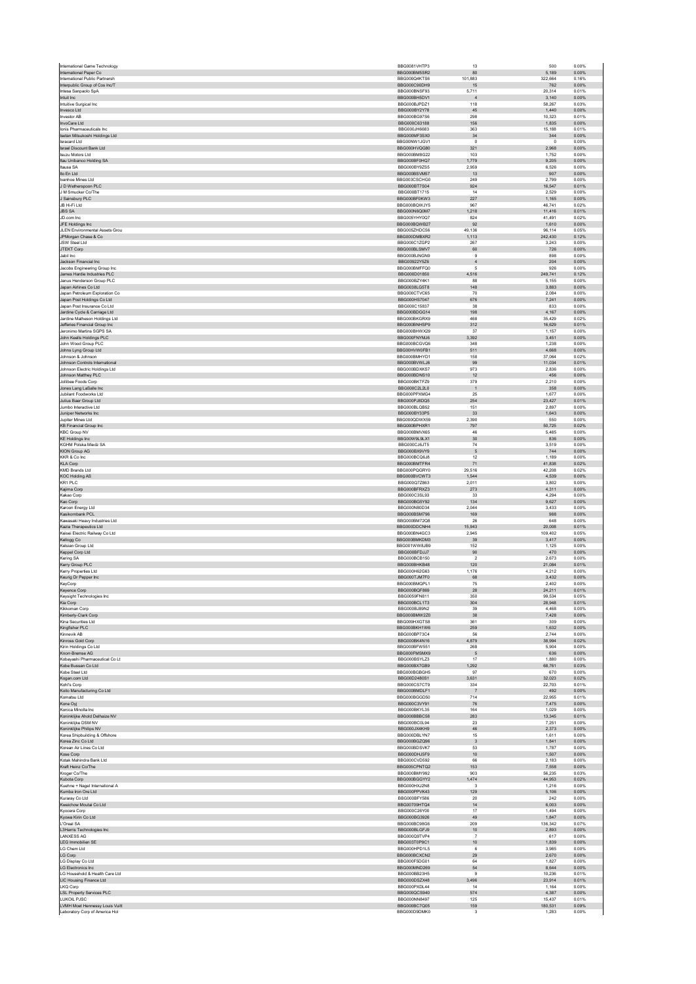|                                                                  | BBG0081VHTP3                 | 13                             | 500               | 0.00%          |
|------------------------------------------------------------------|------------------------------|--------------------------------|-------------------|----------------|
| International Paper Co<br>International Public Partnersh         | BBG000BM5SR2<br>BBG000Q4KTS6 | 80<br>101.883                  | 5,189<br>322.664  | 0.00%<br>0.16% |
| Interpublic Group of Cos Inc/T                                   | BBG000C90DH9                 | 15                             | 762               | 0.00%          |
| Intesa Sanpaolo SpA                                              | BBG000BNSF93                 | 5,711                          | 20.314            | 0.01%          |
| Intuit Inc<br>Intuitive Surgical Inc                             | BBG000BH5DV1<br>BBG000BJPDZ1 | $\overline{4}$<br>118          | 3,140<br>58.267   | 0.00%<br>0.03% |
| Invesco Ltd                                                      | BBG000BY2Y78                 | 45                             | 1.440             | 0.00%          |
| <b>Investor AB</b>                                               | BBG000BG97S6                 | 298                            | 10,323            | 0.01%          |
| InvoCare Ltd<br>Ionis Pharmaceuticals Inc.                       | BBG000C63188<br>BBG000JH6683 | 156<br>363                     | 1,835<br>15,188   | 0.00%<br>0.01% |
| Isetan Mitsukoshi Holdings Ltd                                   | BBG000MF3SX0                 | 34                             | 344               | 0.00%          |
| <b>Isracard Ltd</b>                                              | BBG00NW1JGV1<br>BBG000HVQG80 | $\mathbf{0}$                   | $\circ$           | 0.00%          |
| Israel Discount Bank Ltd<br><b>Isuzu Motors Ltd</b>              | BBG000BM8G22                 | 321<br>103                     | 2,968<br>1,752    | 0.00%<br>0.00% |
| Itau Unibanco Holding SA                                         | BBG000BF0HQ7                 | 1,779                          | 9,205             | 0.00%          |
| Itausa SA                                                        | BBG000BY9ZS5<br>BBG000BSVM57 | 2,959<br>13                    | 6,526<br>907      | 0.00%<br>0.00% |
| Ito En Ltd<br>Ivanhoe Mines Ltd                                  | BBG003CSCHG0                 | 249                            | 2,799             | 0.00%          |
| J D Wetherspoon PLC                                              | BBG000BT7S04                 | 924                            | 16,547            | 0.01%          |
| J M Smucker Co/The                                               | BBG000BT1715                 | 14                             | 2,529             | 0.00%          |
| J Sainsbury PLC<br>JB Hi-Fi Ltd                                  | BBG000BF0KW3<br>BBG000BQWJY5 | 227<br>967                     | 1,165<br>46.741   | 0.00%<br>0.02% |
| <b>JBS SA</b>                                                    | BBG000N6Q0M7                 | 1,218                          | 11,416            | 0.01%          |
| JD com Inc.                                                      | BBG005YHY0O7                 | 824                            | 41.491            | 0.02%          |
| JFE Holdings Inc<br>JLEN Environmental Assets Grou               | BBG000BQWB27<br>BBG005ZHDC56 | $92\,$<br>49,136               | 1,610<br>96,114   | 0.00%<br>0.05% |
| JPMorgan Chase & Co                                              | BBG000DMBXR2                 | 1,113                          | 242.430           | 0.12%          |
| <b>JSW Steel Ltd</b>                                             | BBG000C1ZGP2                 | 267                            | 3,243             | 0.00%          |
| JTEKT Corp<br>Jabil Inc                                          | BBG000BLSMV7<br>BBG000BJNGN9 | 60<br>$\overline{9}$           | 726<br>898        | 0.00%<br>0.00% |
| Jackson Financial Inc                                            | BBG00922Y5Z6                 | $\sqrt{4}$                     | 204               | 0.00%          |
| Jacobs Engineering Group Inc.                                    | BBG000BMFFQ0                 | 5                              | 926               | 0.00%          |
| James Hardie Industries PLC<br>Janus Henderson Group PLC         | BBG000D01850<br>BBG000BZY4K1 | 4,516<br>88                    | 249,741<br>5,155  | 0.12%<br>0.00% |
| Japan Airlines Co Ltd                                            | BBG0038LG5T8                 | 148                            | 3,883             | 0.00%          |
| Japan Petroleum Exploration Co                                   | BBG000CTVC65                 | 70                             | 2,084             | 0.00%          |
| Japan Post Holdings Co Ltd<br>Japan Post Insurance Co Ltd        | BBG000HS7047<br>BBG000C15837 | 676<br>38                      | 7,241<br>833      | 0.00%<br>0.00% |
| Jardine Cycle & Carriage Ltd                                     | BBG000BDGG14                 | 198                            | 4,167             | 0.00%          |
| Jardine Matheson Holdings Ltd                                    | BBG000BKGRX9                 | 468                            | 35,429            | 0.02%          |
| Jefferies Financial Group Inc                                    | BBG000BNHSP9                 | 312                            | 16,629            | 0.01%          |
| Jeronimo Martins SGPS SA<br>John Keells Holdings PLC             | BBG000BHWX29<br>BBG000FNYMJ6 | 37<br>3,392                    | 1.157<br>3,451    | 0.00%<br>0.00% |
| John Wood Group PLC                                              | BBG000BCGVQ6                 | 348                            | 1.238             | 0.00%          |
| Johns Lyng Group Ltd                                             | BBG00HVW0FB1                 | 511                            | 4,668             | 0.00%          |
| Johnson & Johnson<br>Johnson Controls International              | BBG000BMHYD1<br>BBG000BVWLJ6 | 158<br>99                      | 37,064<br>11.034  | 0.02%<br>0.01% |
| Johnson Electric Holdings Ltd                                    | BBG000BDXKS7                 | 973                            | 2,836             | 0.00%          |
| Johnson Matthey PLC                                              | BBG000BDNS10                 | 12                             | 456               | 0.00%          |
| Jollibee Foods Corp                                              | BBG000BKTFZ9                 | 379                            | 2,210             | 0.00%          |
| Jones Lang LaSalle Inc<br>Jubilant Foodworks Ltd                 | BBG000C2L2L0<br>BBG000PPXMG4 | $\overline{1}$<br>25           | 358<br>1.677      | 0.00%<br>0.00% |
| Julius Baer Group Ltd                                            | BBG000PJ8DQ5                 | 254                            | 23,427            | 0.01%          |
| Jumbo Interactive Ltd                                            | BBG000BLQB52                 | 151                            | 2,897             | 0.00%          |
| Juniper Networks Inc<br>Jupiter Mines Ltd                        | BBG000BY33P5<br>BBG000QDWX59 | $33\,$<br>2,390                | 1,643<br>550      | 0.00%<br>0.00% |
| <b>KB Financial Group Inc</b>                                    | BBG000BPHXR1                 | 797                            | 50.725            | 0.02%          |
| <b>KBC Group NV</b>                                              | BBG000BMVX65                 | 46                             | 5,485             | 0.00%          |
| <b>KE Holdings Inc</b><br>KGHM Polska Miedz SA                   | BBG00W9L9LX1<br>BBG000CJ6JT5 | 30<br>74                       | 836<br>3,519      | 0.00%<br>0.00% |
| <b>KION Group AG</b>                                             | BBG000BX9VY9                 | $\sqrt{5}$                     | 744               | 0.00%          |
| KKR & Co Inc                                                     | BBG000BCQ6J8                 | 12                             | 1.189             | 0.00%          |
| <b>KLA Corp</b>                                                  | BBG000BMTFR4                 | $71\,$                         | 41,838            | 0.02%          |
| <b>KMD Brands Ltd</b><br><b>KOC Holding AS</b>                   | BBG000PQGRY0<br>BBG000BVCWT3 | 29.516<br>1,544                | 42,208<br>4,539   | 0.02%<br>0.00% |
| KR1 PLC                                                          | BBG000Q7Z863                 | 2,011                          | 3,802             | 0.00%          |
| Kajima Corp                                                      | BBG000BFRXZ3                 | 273                            | 4.311             | 0.00%          |
| Kakao Corp<br>Kao Corp                                           | BBG000C3SL93<br>BBG000BG5Y92 | 33<br>134                      | 4,294<br>9,627    | 0.00%<br>0.00% |
| Karoon Energy Ltd                                                | BBG000N80D34                 | 2,044                          | 3,433             | 0.00%          |
| Kasikornbank PCL                                                 | BBG000BSM796                 | 169                            | 988               | 0.00%          |
| Kawasaki Heavy Industries Ltd<br>Kazia Therapeutics Ltd          | BBG000BM72Q8                 | 26                             | 648               | 0.00%          |
| Keisei Electric Railway Co Ltd                                   | BBG000DDCNH4<br>BBG000BN4GC3 | 15,943<br>2,945                | 20,008<br>109,402 | 0.01%<br>0.05% |
| Kellogg Co                                                       | BBG000BMKDM3                 | 39                             | 3,417             | 0.00%          |
| Kelsian Group Ltd                                                | BBG001WW8JB9                 | 152                            | 1,125             | 0.00%          |
| Keppel Corp Ltd<br>Kering SA                                     | BBG000BFDJJ7<br>BBG000BCB150 | 90<br>$\overline{2}$           | 470<br>2,673      | 0.00%<br>0.00% |
| Kerry Group PLC                                                  | BBG000BHKB48                 | 120                            | 21,084            | 0.01%          |
| Kerry Properties Ltd                                             | BBG000H62G63                 | 1,176                          | 4,212             | 0.00%          |
| Keurig Dr Pepper Inc<br>KeyCorp                                  | BBG000TJM7F0<br>BBG000BMQPL1 | 68<br>75                       | 3,432<br>2.402    | 0.00%<br>0.00% |
| Keyence Corp                                                     | BBG000BQF869                 | 28                             | 24,211            | 0.01%          |
| Keysight Technologies Inc                                        |                              | 350                            | 99,534            | 0.05%          |
|                                                                  | BBG0059FN811                 |                                |                   |                |
| Kia Corp                                                         | BBG000BCL1T3                 | 304                            | 28,948            | 0.01%          |
| Kikkoman Corp<br>Kimberly-Clark Corp                             | BBG000BJ89N2<br>BBG000BMW2Z0 | 39<br>38                       | 4,468<br>7.428    | 0.00%<br>0.00% |
| Kina Securities Ltd                                              | BBG009HXGTS8                 | 361                            | 309               | 0.00%          |
| Kingfisher PLC<br>Kinnevik AB                                    | BBG000BKH1W6<br>BBG000BP73C4 | 259<br>56                      | 1,632<br>2.744    | 0.00%<br>0.00% |
| Kinross Gold Corp                                                | BBG000BK4N16                 | 4,879                          | 38,994            | 0.02%          |
| Kirin Holdings Co Ltd                                            | BBG000BFW551                 | 268                            | 5.904             | 0.00%          |
| Knorr-Bremse AG                                                  | BBG000FMSMX9                 | $\sqrt{5}$<br>17               | 636               | 0.00%<br>0.00% |
| Kobayashi Pharmaceutical Co Lt<br>Kobe Bussan Co Ltd             | BBG000BSYLZ3<br>BBG000BX7GB9 | 1,292                          | 1,880<br>68,761   | 0.03%          |
| Kobe Steel Ltd                                                   | BBG000BGBGH5                 | 97                             | 670               | 0.00%          |
| Kogan.com Ltd                                                    | BBG00D2480S1                 | 3.631                          | 32.023            | 0.02%          |
| Kohl's Corp<br>Koito Manufacturing Co Ltd                        | BBG000CS7CT9<br>BBG000BMDLF1 | 334<br>$\overline{7}$          | 22,703<br>492     | 0.01%<br>0.00% |
| Komatsu I td                                                     | BBG000BGGD50                 | 714                            | 22,955            | 0.01%          |
| Kone Oyj<br>Konica Minolta Inc.                                  | BBG000C3VY91<br>BBG000BKYL35 | 76<br>164                      | 7,475<br>1.029    | 0.00%<br>0.00% |
| Koninklijke Ahold Delhaize NV                                    | BBG000BBBC58                 | 283                            | 13,345            | 0.01%          |
| Koninklijke DSM NV                                               | BBG000BC0L94                 | 23                             | 7,251             | 0.00%          |
| Koninklijke Philips NV                                           | BBG000JX4KH9                 | 46                             | 2,373             | 0.00%          |
| Korea Shipbuilding & Offshore<br>Korea Zinc Co Ltd               | BBG000DBLYN7<br>BBG000BGZQ96 | 15<br>$\overline{3}$           | 1,611<br>1.841    | 0.00%<br>0.00% |
| Korean Air Lines Co Ltd                                          | BBG000BDSVK7                 | 53                             | 1,787             | 0.00%          |
| Kose Corp                                                        | BBG000DHJ5F9                 | 10                             | 1,507             | 0.00%          |
| Kotak Mahindra Bank Ltd<br>Kraft Heinz Co/The                    | BBG000CVD592<br>BBG005CPNTQ2 | 66<br>153                      | 2.183<br>7,558    | 0.00%<br>0.00% |
| Kroger Co/The                                                    | BBG000BMY992                 | 903                            | 56.235            | 0.03%          |
| Kubota Corp                                                      | BBG000BGGYY2                 | 1,474                          | 44,953            | 0.02%          |
| Kuehne + Nagel International A<br>Kumba Iron Ore Ltd             | BBG000HXJ2N8<br>BBG000PPVK43 | $\overline{\mathbf{3}}$<br>129 | 1,216<br>5,106    | 0.00%<br>0.00% |
| Kuraray Co Ltd                                                   | BBG000BFY586                 | $20\,$                         | 242               | 0.00%          |
| Kweichow Moutai Co Ltd                                           | BBG00709HTQ4                 | 14                             | 6.003             | 0.00%          |
| Kyocera Corp<br>Kyowa Kirin Co Ltd                               | BBG000C26Y00<br>BBG000BG3926 | 17<br>49                       | 1,494<br>1,847    | 0.00%<br>0.00% |
| L'Oreal SA                                                       | BBG000BC98G6                 | 209                            | 136,342           | 0.07%          |
| L3Harris Technologies Inc                                        | BBG000BLGFJ9                 | $10$                           | 2,893             | 0.00%          |
| <b>LANXESS AG</b><br><b>LEG Immobilien SE</b>                    | BBG000Q9TVP4<br>BBG003T0P9C1 | $\overline{7}$<br>10           | 617<br>1,839      | 0.00%<br>0.00% |
| LG Chem Ltd                                                      | BBG000HPD1L5                 | 6                              | 3,985             | 0.00%          |
| LG Corp                                                          | BBG000BCXCN2                 | 29                             | 2,670             | 0.00%          |
| LG Display Co Ltd<br>LG Electronics Inc                          | BBG000F5DG01<br>BBG000MND269 | 64<br>54                       | 1,827<br>8.644    | 0.00%<br>0.00% |
| LG Household & Health Care Ltd                                   | BBG000BB23H5                 | $\overline{9}$                 | 10,236            | 0.01%          |
| LIC Housing Finance Ltd                                          | BBG000DSZX48                 | 3,496                          | 23,914            | 0.01%          |
| LKQ Corp                                                         | BBG000PXDL44                 | 14                             | 1.164             | 0.00%          |
| <b>LSL Property Services PLC</b><br>LUKOIL PJSC                  | BBG000QCS940<br>BBG000NN8497 | 574<br>125                     | 4,387<br>15.437   | 0.00%<br>0.01% |
| LVMH Moet Hennessy Louis Vuitt<br>Laboratory Corp of America Hol | BBG000BC7Q05<br>BBG000D9DMK0 | 159<br>3                       | 180,531<br>1,283  | 0.09%<br>0.00% |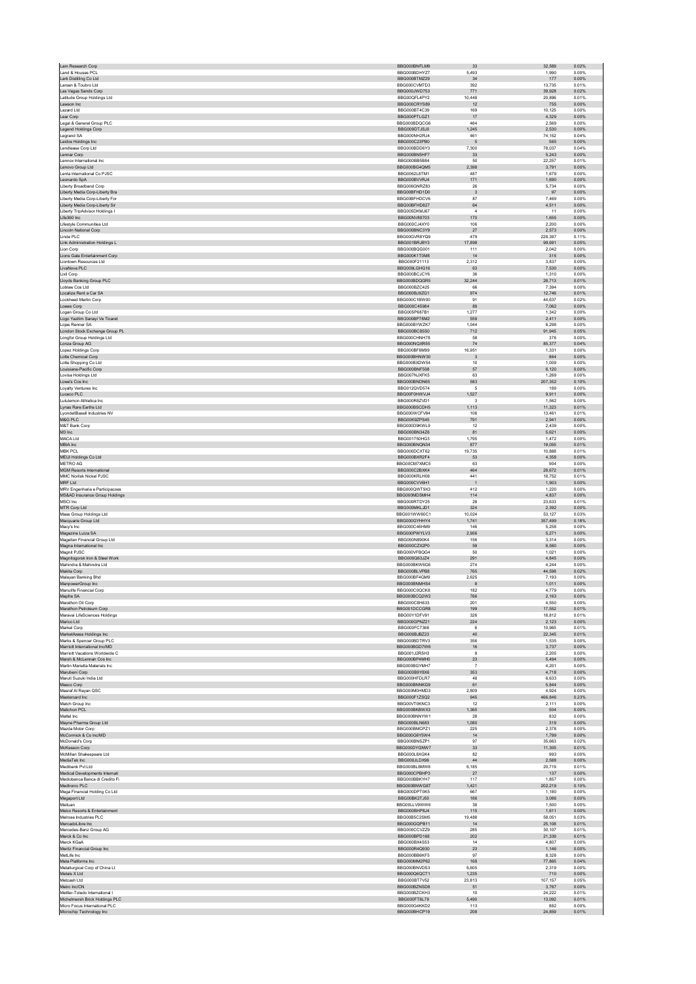| Lam Research Corp                                                | BBG000BNFLM9                 | 33                   | 32.589           | 0.02%          |
|------------------------------------------------------------------|------------------------------|----------------------|------------------|----------------|
| Land & Houses PCL                                                | BBG000BDHYZ7                 | 5,493                | 1,990            | 0.00%          |
| Lark Distilling Co Ltd                                           | BBG000BTMZ29                 | 34                   | 177              | 0.00%          |
| Larsen & Toubro Ltd                                              | BBG000CVM7D3                 | 392                  | 13.735           | 0.01%          |
| Las Vegas Sands Corp<br>Latitude Group Holdings Ltd              | BBG000JWD753<br>BBG00QFL4PY2 | 771<br>10,448        | 39,928<br>20,896 | 0.02%<br>0.01% |
| Lawson Inc                                                       | BBG000CRYS89                 | 12                   | 755              | 0.00%          |
| Lazard Ltd                                                       | BBG000BT4C39                 | 169                  | 10,125           | 0.00%          |
| Lear Corp                                                        | BBG000PTLGZ1                 | 17                   | 4.329            | 0.00%          |
| Legal & General Group PLC                                        | BBG000BDQCG6                 | 464                  | 2,569            | 0.00%          |
| Legend Holdings Corp                                             | BBG009DTJSJ0                 | 1,245                | 2,530            | 0.00%          |
| Legrand SA                                                       | BBG000NH2RJ4                 | 461                  | 74,152           | 0.04%          |
| Leidos Holdings Inc<br>Lendlease Corp Ltd                        | BBG000C23PB0<br>BBG000BDD6Y3 | $\sqrt{5}$<br>7.300  | 565<br>78.037    | 0.00%<br>0.04% |
| Lennar Corp                                                      | BBG000BN5HF7                 | 33                   | 5,243            | 0.00%          |
| Lennox International Inc.                                        | BBG000BB5B84                 | 50                   | 22 257           | 0.01%          |
| Lenovo Group Ltd                                                 | BBG000BG4QM5                 | 2,398                | 3,791            | 0.00%          |
| Lenta International Co PJSC                                      | BBG0062L8TM1                 | 487                  | 1,679            | 0.00%          |
| Leonardo SnA                                                     | BBG000BVVRJ4                 | 171                  | 1.690            | 0.00%          |
| Liberty Broadband Corp                                           | BBG006GNRZ83                 | 26                   | 5,734            | 0.00%          |
| Liberty Media Corp-Liberty Bra                                   | BBG00BFHD1D0                 | $\mathbf{3}$         | 97               | 0.00%          |
| Liberty Media Corp-Liberty For                                   | BBG00BFHDCV6                 | 87                   | 7,469            | 0.00%          |
| Liberty Media Corp-Liberty Sir<br>Liberty TripAdvisor Holdings I | BBG00BFHD827<br>BBG005DKMJ67 | 64<br>$\overline{4}$ | 4,511<br>11      | 0.00%<br>0.00% |
| Life360 Inc                                                      | BBG00NV88703                 | 170                  | 1,655            | 0.00%          |
| Lifestyle Communities Ltd                                        | BBG000CJ4XY0                 | 106                  | 2,200            | 0.00%          |
| Lincoln National Corp                                            | BBG000BNC3Y9                 | 27                   | 2.573            | 0.00%          |
| Linde PLC                                                        | BBG00GVR8YQ9                 | 479                  | 228,397          | 0.11%          |
| Link Administration Holdings L                                   | BBG001BRJBY3                 | 17,898               | 99,691           | 0.05%          |
| Lion Corp                                                        | BBG000BQG001                 | 111                  | 2,042            | 0.00%          |
| Lions Gate Entertainment Corp                                    | BBG000K1T0M8                 | 14                   | 315              | 0.00%          |
| Liontown Resources Ltd<br>LivaNova PLC                           | BBG000F21113<br>BBG009LGHG16 | 2.312<br>63          | 3.837<br>7,530   | 0.00%<br>0.00% |
| Lixil Corp                                                       | BBG000BCJCY6                 | 36                   | 1.310            | 0.00%          |
| Lloyds Banking Group PLC                                         | BBG000BDQGR5                 | 32,244               | 28,713           | 0.01%          |
| Loblaw Cos Ltd                                                   | BBG000BZC425                 | 66                   | 7.394            | 0.00%          |
| Localiza Rent a Car SA                                           | BBG000BJ9ZG1                 | 974                  | 12.746           | 0.01%          |
| Lockheed Martin Corp                                             | BBG000C1BW00                 | 91                   | 44,637           | 0.02%          |
| Loews Corp                                                       | BBG000C45984                 | 89                   | 7,062            | 0.00%          |
| Logan Group Co Ltd                                               | BBG005P687B1<br>BBG000BP78M2 | 1,277<br>559         | 1,342            | 0.00%<br>0.00% |
| Logo Yazilim Sanayi Ve Ticaret<br>Loias Renner SA                | BBG000BYWZK7                 | 1.044                | 2,411<br>6,298   | 0.00%          |
| London Stock Exchange Group PL                                   | BBG000BC85S0                 | 712                  | 91,945           | 0.05%          |
| Longfor Group Holdings Ltd                                       | BBG000CHNH78                 | 58                   | 376              | 0.00%          |
| Lonza Group AG                                                   | BBG000NQXR55                 | 74                   | 85,377           | 0.04%          |
| Lopez Holdings Corp                                              | BBG000BF6M99                 | 16,951               | 1,331            | 0.00%          |
| <b>Lotte Chemical Corp</b>                                       | BBG000BHNW30                 | $\overline{3}$       | 864              | 0.00%          |
| Lotte Shopping Co Ltd                                            | BBG000BXDW54                 | 10                   | 1,009            | 0.00%<br>0.00% |
| Louisiana-Pacific Corp<br>Lovisa Holdings Ltd                    | BBG000BNF508<br>BBG007NJXFK5 | 57<br>63             | 6,120<br>1,269   | 0.00%          |
| Lowe's Cos Inc                                                   | BBG000BNDN65                 | 583                  | 207,352          | 0.10%          |
| Loyalty Ventures Inc                                             | BBG012QVD574                 | 5                    | 189              | 0.00%          |
| Luceco PLC                                                       | BBG00F0HWVJ4                 | 1,527                | 9,911            | 0.00%          |
| Lululemon Athletica Inc.                                         | BBG000R8ZVD1                 | -3                   | 1.562            | 0.00%          |
| Lynas Rare Earths Ltd                                            | BBG000BSCDH5                 | 1,113                | 11,323           | 0.01%          |
| LyondellBasell Industries NV                                     | BBG000WCFV84                 | 106                  | 13.461           | 0.01%          |
| M&G PLC                                                          | BBG00K9ZPS45                 | 791                  | 2.941            | 0.00%          |
| M&T Bank Corp<br>M3 Inc                                          | BBG000D9KWL9<br>BBG000BN34Z6 | 12<br>81             | 2,439<br>5,621   | 0.00%<br>0.00% |
| MACA Ltd                                                         | BBG001750HG3                 | 1,795                | 1,472            | 0.00%          |
| MBIA Inc                                                         | BBG000BNQN34                 | 877                  | 19,055           | 0.01%          |
| MBK PCL                                                          | BBG000DCXT62                 | 19.735               | 10.888           | 0.01%          |
| MEIJI Holdings Co Ltd                                            | BBG000BXR2F4                 | 53                   | 4,358            | 0.00%          |
| <b>METRO AG</b>                                                  | BBG00CM7XMC5                 | 63                   | 904              | 0.00%          |
| <b>MGM Resorts International</b>                                 | BBG000C2BXK4                 | 464                  | 28,672           | 0.01%          |
| MMC Norilsk Nickel PJSC<br>MRF Ltd                               | BBG000KRLH06                 | 441                  | 18.752<br>1.903  | 0.01%          |
|                                                                  | BBG000CVV6H1                 | $\overline{1}$       |                  | 0.00%          |
|                                                                  |                              |                      |                  |                |
| MRV Engenharia e Participacoes                                   | BBG000QWT9X3                 | 412                  | 1,220            | 0.00%          |
| MS&AD Insurance Group Holdings                                   | BBG000MD5MH4                 | 114                  | 4,837            | 0.00%          |
| MSCI Inc                                                         | BBG000RTDY25<br>BBG000MKLJD1 | 28<br>324            | 23,633<br>2,392  | 0.01%<br>0.00% |
| MTR Corp Ltd<br>Maas Group Holdings Ltd                          | BBG001WW60C1                 | 10.024               | 53.127           | 0.03%          |
| Macquarie Group Ltd                                              | BBG000GYHHY4                 | 1,741                | 357,499          | 0.18%          |
| Macy's Inc.                                                      | BBG000C46HM9                 | 146                  | 5.258            | 0.00%          |
| Magazine Luiza SA                                                | BBG000PWYLV3                 | 2,956                | 5,271            | 0.00%          |
| Magellan Financial Group Ltd                                     | BBG000N890K4                 | 156                  | 3.314            | 0.00%          |
| Magna International Inc                                          | BBG000CZX2P0                 | 59                   | 6,580            | 0.00%          |
| Magnit PJSC                                                      | BBG000VFBQG4                 | 50                   | 1,021            | 0.00%          |
| Magnitogorsk Iron & Steel Work<br>Mahindra & Mahindra Ltd        | BBG000Q63JZ4<br>BBG000BKW6G6 | 291<br>274           | 4,845<br>4,244   | 0.00%<br>0.00% |
| Makita Corp                                                      | BBG000BLVPB8                 | 765                  | 44.598           | 0.02%          |
| Malayan Banking Bhd                                              | BBG000BF4GM9                 | 2.625                | 7.193            | 0.00%          |
| ManpowerGroup Inc                                                | BBG000BNMHS4                 | 8                    | 1,011            | 0.00%          |
| Manulife Financial Corp                                          | BBG000C0OCK8                 | 182                  | 4.779            | 0.00%          |
| Mapfre SA                                                        | BBG000BCQ2W2                 | 766                  | 2,163            | 0.00%          |
| Marathon Oil Corp<br>Marathon Petroleum Corp.                    | BBG000C8H633<br>BBG001DCCGR8 | 201<br>199           | 4.550<br>17,552  | 0.00%<br>0.01% |
| Maravai LifeSciences Holdings                                    | BBG00Y1DFV91                 | 326                  | 18,812           | 0.01%          |
| Marico Ltd                                                       | BBG000GPNZ21                 | 224                  | 2,123            | 0.00%          |
| Markel Corp                                                      | BBG000FC7366                 | 6                    | 10,965           | 0.01%          |
| MarketAxess Holdings Inc                                         | BBG000BJBZ23                 | $40\,$               | 22,345           | 0.01%          |
| Marks & Spencer Group PLC                                        | BBG000BDTRV3                 | 356                  | 1.535            | 0.00%          |
| Marriott International Inc/MD                                    | BBG000BGD7W6                 | 16                   | 3,737            | 0.00%          |
| Marriott Vacations Worldwide C<br>Marsh & McLennan Cos Inc       | BBG001J2R5H3<br>BBG000BP4MH0 | 9<br>23              | 2,205<br>5,494   | 0.00%<br>0.00% |
| Martin Marietta Materials Inc.                                   | BBG000BGYMH7                 | $\overline{7}$       | 4,201            | 0.00%          |
| Marubeni Corp                                                    | BBG000B9Y8X6                 | 353                  | 4.718            | 0.00%          |
| Maruti Suzuki India Ltd                                          | BBG000HFDLR7                 | 48                   | 6,633            | 0.00%          |
| Masco Corp                                                       | BBG000BNNKG9                 | 61                   | 5,844            | 0.00%          |
| Masraf Al Rayan QSC                                              | BBG000M0HMD3                 | 2,809                | 4,924            | 0.00%          |
| Mastercard Inc<br>Match Group Inc.                               | BBG000F1ZSQ2<br>BBG00VT0KNC3 | 945<br>12            | 466,846<br>2.111 | 0.23%<br>0.00% |
| Matichon PCL                                                     | BBG000BKBWX3                 | 1,360                | 504              | 0.00%          |
| Mattel Inc.                                                      | BBG000BNNYW1                 | 28                   | 832              | 0.00%          |
| Mayne Pharma Group Ltd                                           | BBG000BLN683                 | 1,080                | 319              | 0.00%          |
| Mazda Motor Corp                                                 | BBG000BMCPZ1                 | 225                  | 2,378            | 0.00%          |
| McCormick & Co Inc/MD                                            | BBG000G6Y5W4                 | 14                   | 1.799            | 0.00%          |
| McDonald's Corp                                                  | BBG000BNSZP1                 | 97                   | 35,663           | 0.02%          |
| McKesson Corp<br>McMillan Shakespeare Ltd                        | BBG000DYGNW7<br>BBG000L8XGK4 | 33<br>82             | 11,305<br>993    | 0.01%<br>0.00% |
| MediaTek Inc                                                     | BBG000JLDX96                 | $\bf 44$             | 2,588            | 0.00%          |
| Medibank Pvt Ltd                                                 | BBG000BL8MW8                 | 6.185                | 20.719           | 0.01%          |
| Medical Developments Internati                                   | BBG000CPBHP3                 | 27                   | 137              | 0.00%          |
| Mediobanca Banca di Credito Fi                                   | BBG000BBKYH7                 | 117                  | 1,857            | 0.00%          |
| Medtronic PLC                                                    | BBG000BNWG87                 | 1,421                | 202,219          | 0.10%          |
| Mega Financial Holding Co Ltd                                    | BBG000DPT0K5                 | 667                  | 1,180            | 0.00%          |
| Megaport Ltd                                                     | BBG00BK2TJ50                 | 166                  | 3.086            | 0.00%          |
| Meituan                                                          | BBG00LLV9WW6<br>BBG000BHP8J4 | 38<br>115            | 1,500            | 0.00%<br>0.00% |
| Melco Resorts & Entertainment<br>Melrose Industries PLC          | BBG00B5C2SM5                 | 19,488               | 1,611<br>58,051  | 0.03%          |
| MercadoLibre Inc                                                 | BBG000GQPB11                 | 14                   | 25,108           | 0.01%          |
| Mercedes-Benz Group AG                                           | BBG000CCVZZ9                 | 285                  | 30.107           | 0.01%          |
| Merck & Co Inc                                                   | BBG000BPD168                 | 202                  | 21,339           | 0.01%          |
| Merck KGaA                                                       | BBG000BX4S53                 | 14                   | 4,807            | 0.00%          |
| Meritz Financial Group Inc                                       | BBG000R4Q930                 | 23                   | 1,146            | 0.00%          |
| MetLife Inc<br>Meta Platforms Inc.                               | BBG000BB6KF5<br>BBG000MM2P62 | 97<br>168            | 8,328<br>77.865  | 0.00%<br>0.04% |
| Metallurgical Corp of China Lt                                   | BBG000BNVDS3                 | 6,605                | 2,319            | 0.00%          |
| Metals X Ltd                                                     | BBG000Q6QCT1                 | 1,235                | 710              | 0.00%          |
| Metcash Ltd                                                      | BBG000BT7V52                 | 23,813               | 107,157          | 0.05%          |
| Metro Inc/CN                                                     | BBG000BZNSD8                 | 51                   | 3,767            | 0.00%          |
| Mettler-Toledo International I                                   | BBG000BZCKH3                 | 10                   | 24.222           | 0.01%          |
| Michelmersh Brick Holdings PLC                                   | BBG000FT6L79                 | 5,490                | 13,092           | 0.01%          |
| Micro Focus International PLC<br>Microchip Technology Inc        | BBG000G4KKD2<br>BBG000BHCP19 | 113<br>208           | 882<br>24,859    | 0.00%<br>0.01% |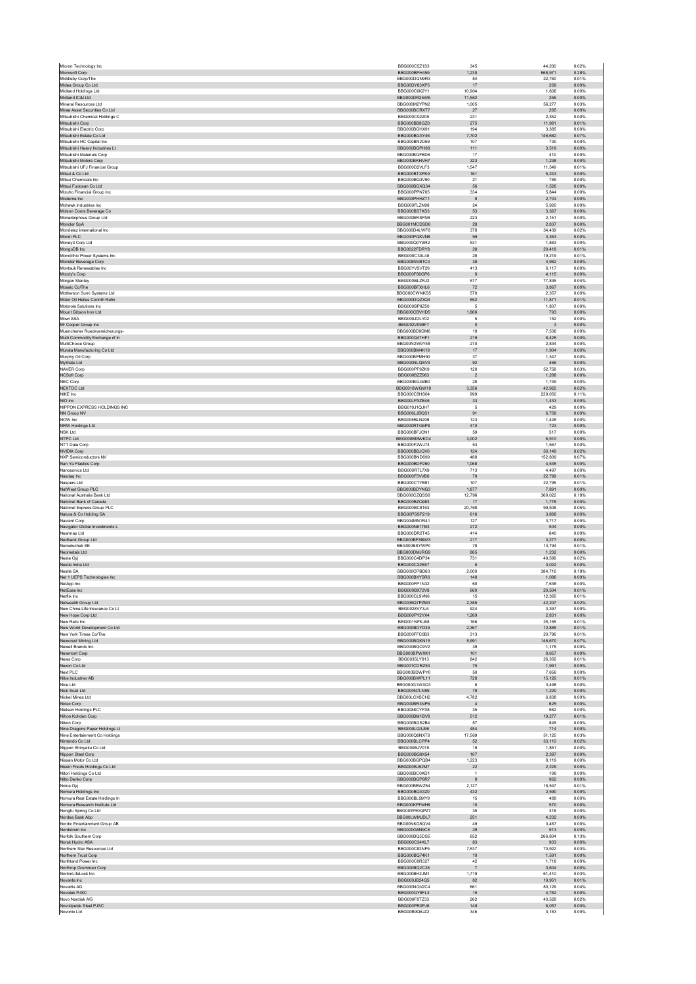| Micron Technology Inc                                            | BBG000C5Z1S3                        | 345                     | 44,200                  | 0.02%          |
|------------------------------------------------------------------|-------------------------------------|-------------------------|-------------------------|----------------|
| Microsoft Corp<br>Middleby Corp/The                              | BBG000BPH459<br>BBG000DQN9R3        | 1,230<br>84             | 568,971<br>22.760       | 0.28%<br>0.01% |
| Midea Group Co Ltd                                               | BBG00DY63KP5                        | 17                      | 269                     | 0.00%          |
| Midland Holdings Ltd                                             | RRG000C0K2Y1                        | 10.904                  | 1,808                   | 0.00%          |
| Midland IC&I Ltd<br>Mineral Resources Ltd.                       | BBG000DR25W6<br>BBG000M2YPN2        | 11,562                  | 265                     | 0.00%          |
| Mirae Asset Securities Co Ltd                                    | BBG000BCRXT7                        | 1,005<br>27             | 56,277<br>265           | 0.03%<br>0.00% |
| Mitsubishi Chemical Holdings C                                   | BBG000C02Z05                        | 231                     | 2,352                   | 0.00%          |
| Mitsubishi Corp                                                  | BBG000BB8GZ0                        | 275                     | 11,981                  | 0.01%          |
| Mitsubishi Electric Corp<br>Mitsubishi Estate Co Ltd             | BBG000BGHX91<br>BBG000BGXY46        | 194<br>7,702            | 3,385<br>146,682        | 0.00%<br>0.07% |
| Mitsubishi HC Capital Inc.                                       | BBG000BN2D69                        | 107                     | 730                     | 0.00%          |
| Mitsubishi Heavy Industries Lt                                   | BBG000BGPH88                        | 111                     | 3,519                   | 0.00%          |
| Mitsubishi Materials Corp<br>Mitsubishi Motors Corp              | BBG000BGFBD6<br>BBG000BKHVH7        | 17<br>323               | 410<br>1,238            | 0.00%<br>0.00% |
| Mitsubishi UFJ Financial Group                                   | BBG000D2VLF3                        | 1,547                   | 11.549                  | 0.01%          |
| Mitsui & Co Ltd                                                  | BBG000BTXPK9                        | 161                     | 5.243                   | 0.00%          |
| Mitsui Chemicals Inc<br>Mitsui Fudosan Co Ltd                    | BBG000BG3V90<br>BBG000BGXQ34        | 21<br>56                | 785<br>1,526            | 0.00%<br>0.00% |
| Mizuho Financial Group Inc                                       | BBG000PPN705                        | 334                     | 5,844                   | 0.00%          |
| Moderna Inc                                                      | BBG003PHHZT1                        | 8                       | 2,703                   | 0.00%          |
| Mohawk Industries Inc.<br>Molson Coors Beverage Co               | BBG000FLZN98<br>BBG000BS7KS3        | 24<br>53                | 5.920<br>3,367          | 0.00%<br>0.00% |
| Monadelphous Group Ltd                                           | BBG000BRSFN8                        | 223                     | 2,151                   | 0.00%          |
| Moncler SpA                                                      | BBG001MCDSD6                        | 28                      | 2,837                   | 0.00%          |
| Mondelez International Inc.<br>Mondi PLC                         | BBG000D4LWF6<br>BBG000PQKVN8        | 378<br>99               | 34,439<br>3.363         | 0.02%<br>0.00% |
| Money3 Corp Ltd                                                  | BBG000Q0YSR2                        | 531                     | 1,883                   | 0.00%          |
| MongoDB Inc                                                      | BBG0022FDRY8                        | 28                      | 20,418                  | 0.01%          |
| Monolithic Power Systems Inc<br>Monster Beverage Corp            | BBG000C30L48<br>BBG008NVB1C0        | 28<br>$38\,$            | 19,219<br>4,982         | 0.01%<br>0.00% |
| Montauk Renewables Inc.                                          | BBG00YVSVT29                        | 413                     | 6.117                   | 0.00%          |
| Moody's Corp                                                     | BBG000F86GP6                        | 8                       | 4,115                   | 0.00%          |
| Morgan Stanley<br>Mosaic Co/The                                  | BBG000BLZRJ2<br>BBG000BFXHL6        | 577<br>72               | 77,835<br>3,867         | 0.04%<br>0.00% |
| Motherson Sumi Systems Ltd                                       | BBG000CWNKS5                        | 570                     | 2,357                   | 0.00%          |
| Motor Oil Hellas Corinth Refin                                   | BBG000DQZ3Q4                        | 552                     | 11.871                  | 0.01%          |
| Motorola Solutions Inc<br>Mount Gibson Iron Ltd                  | BBG000BP8Z50<br>BBG000CBVHD5        | 5<br>1,866              | 1,807<br>793            | 0.00%<br>0.00% |
| Mowi ASA                                                         | BBG000JDLY02                        | $\,$ 5 $\,$             | 152                     | 0.00%          |
| Mr Cooper Group Inc                                              | BBG002V098F7                        | $\,$ 0                  | $\overline{\mathbf{3}}$ | 0.00%          |
| Muenchener Rueckversicherungs-<br>Multi Commodity Exchange of In | BBG000BD9DM6<br>BBG000Q47HF1        | 19<br>219               | 7.538<br>6,425          | 0.00%<br>0.00% |
| MultiChoice Group                                                | RRG00N2W9Y48                        | 270                     | 2.834                   | 0.00%          |
| Murata Manufacturing Co Ltd                                      | BBG000BM4K18                        | 17                      | 1,904                   | 0.00%          |
| Murphy Oil Corp<br>MyState Ltd                                   | BBG000BPMH90<br>BBG000NLQSV3        | 37<br>92                | 1,347<br>466            | 0.00%<br>0.00% |
| <b>NAVER Corp</b>                                                | BBG000PF9ZK9                        | 120                     | 52,758                  | 0.03%          |
| <b>NCSoft Corp</b>                                               | BBG000BZZ983                        | $\overline{2}$          | 1,288                   | 0.00%          |
| NEC Corp                                                         | BBG000BGJMB0                        | 28                      | 1,749                   | 0.00%          |
| <b>NEXTDC Ltd</b><br>NIKE Inc.                                   | BBG0018WGW19<br>BBG000C5HS04        | 3,356<br>999            | 42,922<br>229.050       | 0.02%<br>0.11% |
| NIO Inc                                                          | BBG00LPXZB46                        | 33                      | 1,433                   | 0.00%          |
| NIPPON EXPRESS HOLDINGS INC                                      | BBG010J1QJH7                        | $\overline{5}$          | 429                     | 0.00%          |
| NN Group NV<br>NOW Inc                                           | BBG006LJBQS1<br>BBG005BLN209        | 91<br>123               | 6,758<br>1,445          | 0.00%<br>0.00% |
| NRW Holdings Ltd                                                 | BBG000RTG6P8                        | 410                     | 723                     | 0.00%          |
| <b>NSK Ltd</b><br>NTPC Ltd                                       | BBG000BFJCN1<br>BBG000BMWKD4        | 59<br>3,002             | 517<br>6,910            | 0.00%<br>0.00% |
| NTT Data Corp                                                    | BBG000F2WJ74                        | 53                      | 1,567                   | 0.00%          |
| <b>NVIDIA Corp</b>                                               | BBG000BBJQV0                        | 124                     | 50,149                  | 0.02%          |
| <b>NXP Semiconductors NV</b>                                     | BBG000BND699                        | 488                     | 152.809                 | 0.07%          |
| Nan Ya Plastics Corp<br>Nanosonics Ltd                           | BBG000BDP260<br><b>BBG000R7L7X9</b> | 1,068<br>713            | 4,535<br>4,497          | 0.00%<br>0.00% |
| Nasdaq Inc                                                       | BBG000F5VVB6                        | 79                      | 22,799                  | 0.01%          |
| Naspers Ltd<br>NatWest Group PLC                                 | BBG000CTYB91<br>BBG000BDYNG3        | 107<br>1.877            | 22,795                  | 0.01%<br>0.00% |
| National Australia Bank Ltd                                      | BBG000CZQSS8                        | 12,796                  | 7,891<br>369,022        | 0.18%          |
| National Bank of Canada                                          | BBG000BZQ983                        | 17                      | 1,776                   | 0.00%          |
| National Express Group PLC<br>Natura & Co Holding SA             | BBG000BC8163<br>BBG00PSSP219        | 20,768                  | 99,508                  | 0.05%          |
| Navient Corp                                                     | BBG004MN1R41                        | 616<br>127              | 3,868<br>3.717          | 0.00%<br>0.00% |
| Navigator Global Investments L                                   | BBG000N61TB3                        | 272                     | 504                     | 0.00%          |
| Nearmap Ltd                                                      | BBG000DR2T45                        | 414                     | 640                     | 0.00%          |
| Nedbank Group Ltd<br>Nemetschek SE                               | BBG000BFSBW3<br>BBG000BSYWP0        | 217<br>78               | 3,277<br>13,794         | 0.00%<br>0.01% |
| Neometals I td                                                   | BBG000DMJRG9                        | 865                     | 1.232                   | 0.00%          |
| Neste Oyj<br>Nestle India Ltd                                    | BBG000C4DP34<br>BBG000CX26S7        | 731<br>8                | 49,599<br>3,022         | 0.02%<br>0.00% |
| Nestle SA                                                        | BBG000CPBD63                        | 2,000                   | 384,710                 | 0.19%          |
| Net 1 UEPS Technologies Inc                                      | BBG000BXYSR6                        | 148                     | 1,086                   | 0.00%          |
| NetApp Inc                                                       | BBG000FP1N32                        | 60                      | 7.638                   | 0.00%          |
| NetEase Inc<br>Netflix Inc.                                      | BBG000BX72V8<br>BBG000CL9VN6        | 660<br>15               | 20,504<br>12,365        | 0.01%<br>0.01% |
| Netwealth Group Ltd                                              | BBG006Q7PZM3                        | 2,386                   | 42,207                  | 0.02%          |
| New China Life Insurance Co Lt<br>New Hope Corp Ltd              | BBG0028VY3J4<br>BBG000PY2YX4        | 924<br>1.269            | 3,397<br>2.831          | 0.00%<br>0.00% |
| New Relic Inc                                                    | BBG001NFKJ68                        | 166                     | 25,155                  | 0.01%          |
| New World Development Co Ltd                                     | BBG000BDYD39                        | 2,367                   | 12,885                  | 0.01%          |
| New York Times Co/The                                            | BBG000FFC0B3                        | 313                     | 20.796                  | 0.01%          |
| Newcrest Mining Ltd<br>Newell Brands Inc.                        | BBG000BQKN15<br>BBG000BQC9V2        | 5,991<br>39             | 146,670<br>1.175        | 0.07%<br>0.00% |
| Newmont Corp                                                     | BBG000BPWXK1                        | 101                     | 8,657                   | 0.00%          |
| News Corp<br>Nexon Co Ltd                                        | BBG0035LY913<br>BBG001CDR753        | 842<br>75               | 26,356<br>1.991         | 0.01%<br>0.00% |
| Next PLC                                                         | BBG000BDWPY0                        | 50                      | 7,656                   | 0.00%          |
| Nibe Industrier AB                                               | BBG000BWPL11                        | 728                     | 15.126                  | 0.01%          |
| Nice Ltd<br>Nick Scali Ltd                                       | BBG000G1WXQ3<br>BBG000N7LN59        | 8<br>79                 | 3,498<br>1,220          | 0.00%<br>0.00% |
| Nickel Mines Ltd                                                 | BBG00LCXSCH2                        | 4,782                   | 6,838                   | 0.00%          |
| Nidec Corp                                                       | BBG000BR3NP6                        | $\sqrt{4}$              | 625                     | 0.00%          |
| Nielsen Holdings PLC<br>Nihon Kohden Corp                        | BBG0088CYPX8<br>BBG000BM1BV8        | 35<br>512               | 982<br>19,277           | 0.00%<br>0.01% |
| Nikon Corp                                                       | BBG000BGS2B4                        | 57                      | 845                     | 0.00%          |
| Nine Dragons Paper Holdings Lt                                   | BBG000LG3J96                        | 484                     | 714                     | 0.00%          |
| Nine Entertainment Co Holdings<br>Nintendo Co Ltd                | BBG000Q6NXT8<br>BBG000BLCPP4        | 17,569<br>52            | 51,125<br>33.110        | 0.03%<br>0.02% |
| Nippon Shinyaku Co Ltd                                           | BBG000BJV019                        | 19                      | 1,851                   | 0.00%          |
| Nippon Steel Corp<br>Nissan Motor Co Ltd                         | BBG000BG9X54<br>BBG000BGPQB4        | 107<br>1,223            | 2,397<br>8.119          | 0.00%<br>0.00% |
| Nissin Foods Holdings Co Ltd                                     | BBG000BJ92M7                        | $22\,$                  | 2,229                   | 0.00%          |
| Nitori Holdings Co Ltd                                           | BBG000BC0KD1                        | $\overline{1}$          | 199                     | 0.00%          |
| Nitto Denko Corp<br>Nokia Oyj                                    | BBG000BGP8R7<br>BBG000BBWZ54        | $\overline{9}$<br>2,127 | 962<br>18,547           | 0.00%<br>0.01% |
| Nomura Holdings Inc.                                             | BBG000BGX3Z0                        | 432                     | 2.590                   | 0.00%          |
| Nomura Real Estate Holdings In                                   | BBG000BL5MY9                        | 15                      | 489                     | 0.00%          |
| Nomura Research Institute Ltd<br>Nongfu Spring Co Ltd            | BBG000KPFMH8<br>BBG00WR0QPZ7        | 10<br>35                | 570<br>316              | 0.00%<br>0.00% |
| Nordea Bank Abp                                                  | BBG00LWMJDL7                        | 251                     | 4,232                   | 0.00%          |
| Nordic Entertainment Group AB                                    | BBG00NKG5QV4                        | 49                      | 3.467                   | 0.00%          |
| Nordstrom Inc<br>Norfolk Southern Corp                           | BBG000G8N9C6<br>BBG000BQ5DS5        | $29\,$<br>652           | 913<br>266.804          | 0.00%<br>0.13% |
| Norsk Hydro ASA                                                  | BBG000C34KL7                        | 83                      | 903                     | 0.00%          |
| Northern Star Resources Ltd                                      | BBG000C82NF9<br>BBG000BQ74K1        | 7,537<br>10             | 70,922<br>1.591         | 0.03%<br>0.00% |
| Northern Trust Corp<br>Northland Power Inc                       | BBG000C0R327                        | 42                      | 1,718                   | 0.00%          |
| Northrop Grumman Corp                                            |                                     | $\overline{7}$          | 3,604                   | 0.00%          |
| NortonLifeLock Inc<br>Novanta Inc                                | BBG000BQ2C28                        |                         |                         |                |
|                                                                  | BBG000BH2JM1                        | 1,719                   | 61,410                  | 0.03%          |
| Novartis AG                                                      | BBG000JB24Q5<br>BBG000NQV2C4        | 82<br>661               | 19,951<br>80.129        | 0.01%<br>0.04% |
| Novatek PJSC                                                     | BBG000QY6FL3                        | 15                      | 4,782                   | 0.00%          |
| Novo Nordisk A/S                                                 | BBG000F8TZ33                        | 262                     | 40.528                  | 0.02%          |
| Novolipetsk Steel PJSC<br>Novonix Ltd                            | BBG000PR0PJ6<br>BBG00B9Q6JZ2        | 149<br>346              | 6,057<br>3,183          | 0.00%<br>0.00% |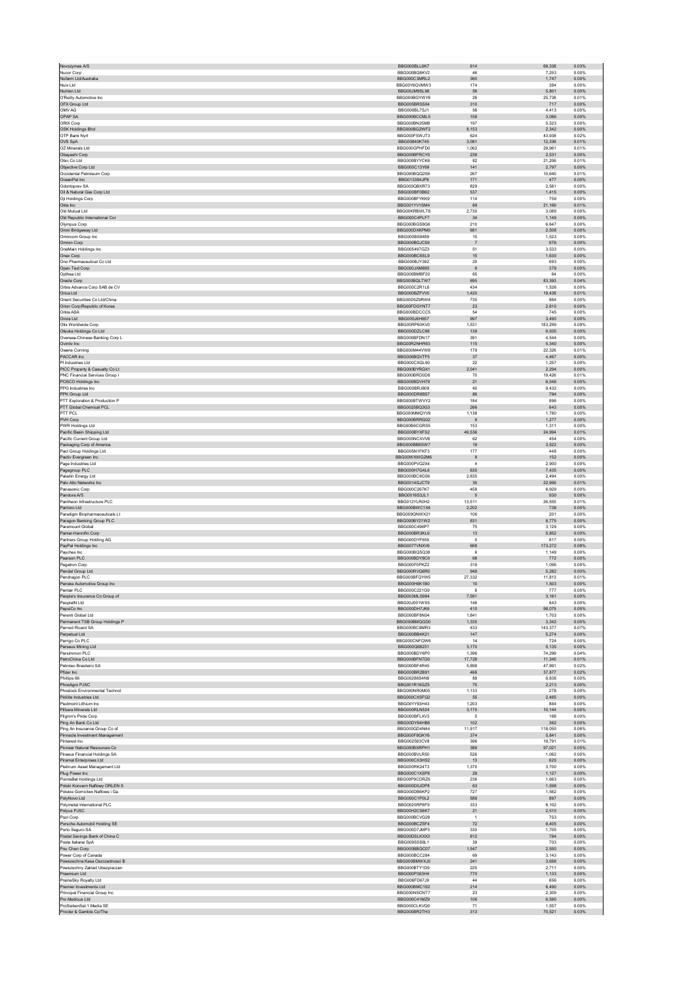|                                                                  | BBG000BLL8K7                 | 614                  | 69.338<br>0.03%                    |  |
|------------------------------------------------------------------|------------------------------|----------------------|------------------------------------|--|
| Nucor Corp                                                       | BBG000BQ8KV2                 | 46                   | 7,253<br>0.00%                     |  |
| Nufarm Ltd/Australia                                             | BBG000C3MRL2                 | 360                  | 1,747<br>0.00%                     |  |
| Nuix Ltd                                                         | BBG00Y6QVMW3                 | 174                  | 384<br>0.00%                       |  |
| Nutrien Ltd<br>O'Reilly Automotive Inc.                          | BBG00JM9SL98<br>BBG000BGYWY6 | 56<br>26             | 5,801<br>0.00%<br>25.738<br>0.01%  |  |
| OFX Group Ltd                                                    | BBG005BRS504                 | 310                  | 717<br>0.00%                       |  |
| OMV AG                                                           | BBG000BL7SJ1                 | 56                   | 4.413<br>0.00%                     |  |
| OPAP SA                                                          | BBG000BCCML5                 | 158                  | 3,086<br>0.00%                     |  |
| ORIX Corp                                                        | BBG000BN25M8                 | 197                  | 5,523<br>0.00%                     |  |
| <b>OSK Holdings Bhd</b>                                          | BBG000BG2WF2                 | 8.153                | 2.342<br>0.00%                     |  |
| OTP Bank Nyrt<br>OVS SpA                                         | BBG000FSWJT3<br>BBG00840K745 | 624<br>3,081         | 43,938<br>0.02%<br>12,336<br>0.01% |  |
| OZ Minerals Ltd                                                  | BBG000GPHFD0                 | 1,062                | 29,961<br>0.01%                    |  |
| Obayashi Corp                                                    | BBG000BFRCY0                 | 238                  | 2,531<br>0.00%                     |  |
| Obic Co Ltd                                                      | BBG000BYYCK6                 | 82                   | 21.206<br>0.01%                    |  |
| Objective Corp Ltd                                               | BBG000C13Y69                 | 141                  | 2,797<br>0.00%                     |  |
| Occidental Petroleum Corp<br>OceanPal Inc                        | BBG000BQQ2S6<br>BBG013384JP8 | 267<br>171           | 10,640<br>0.01%<br>477<br>0.00%    |  |
| Odontoprev SA                                                    | BBG000QBXR73                 | 829                  | 2,581<br>0.00%                     |  |
| Oil & Natural Gas Corp Ltd                                       | BBG000BF0B62                 | 537                  | 0.00%<br>1,415                     |  |
| Oji Holdings Corp                                                | BBG000BFYKK9                 | 114                  | 759<br>0.00%                       |  |
| Okta Inc                                                         | BBG001YV1SM4                 | 69                   | 21,169<br>0.01%                    |  |
| Old Mutual Ltd<br>Old Republic International Cor                 | BBG00KRBWLT8<br>BBG000C4PLF7 | 2,730<br>34          | 3,089<br>0.00%<br>1,149<br>0.00%   |  |
| Olympus Corp                                                     | BBG000BGS8G6                 | 210                  | 6.647<br>0.00%                     |  |
| Omni Bridgeway Ltd                                               | BBG000DXKPM0                 | 681                  | 2,508<br>0.00%                     |  |
| Omnicom Group Inc                                                | BBG000BS9489                 | 15                   | 1,523<br>0.00%                     |  |
| Omron Corp                                                       | BBG000BGJC59                 | $\overline{7}$       | 976<br>0.00%                       |  |
| OneMain Holdings Inc<br>Onex Corp                                | BBG005497GZ3<br>BBG000BC6SL9 | 51<br>15             | 3,533<br>0.00%<br>1.630<br>0.00%   |  |
| Ono Pharmaceutical Co Ltd                                        | BBG000BJY392                 | 20                   | 693<br>0.00%                       |  |
| Open Text Corp                                                   | BBG000JXM895                 | $\,6\,$              | 379<br>0.00%                       |  |
| Opthea Ltd                                                       | BBG000BMBF20                 | 65                   | 84<br>0.00%                        |  |
| Oracle Corp                                                      | BBG000BQLTW7                 | 695                  | 83,393<br>0.04%                    |  |
| Orbia Advance Corp SAB de CV<br>Orica Ltd                        | BBG000C2R1L6<br>BBG000BZFW0  | 434<br>1,420         | 1.526<br>0.00%<br>19,438<br>0.01%  |  |
| Orient Securities Co Ltd/China                                   | BBG00D5Z9RW4                 | 735                  | 864<br>0.00%                       |  |
| Orion Corp/Republic of Korea                                     | BBG00FDGYNT7                 | 23                   | 2,810<br>0.00%                     |  |
| Orkla ASA                                                        | BBG000BDCCC5                 | 54                   | 745<br>0.00%                       |  |
| Orora Ltd                                                        | BBG005J6H657                 | 997                  | 3.490<br>0.00%                     |  |
| Otis Worldwide Corp<br>Otsuka Holdings Co Ltd                    | BBG00RP60KV0<br>BBG000DZLC98 | 1,531<br>139         | 183,299<br>0.09%<br>6,935<br>0.00% |  |
| Oversea-Chinese Banking Corp L                                   | BBG000BFDN17                 | 391                  | 4,544<br>0.00%                     |  |
| Ovintiv Inc                                                      | BBG00R2NHR63                 | 115                  | 5,340<br>0.00%                     |  |
| Owens Corning                                                    | BBG000M44VW8                 | 179                  | 22.326<br>0.01%                    |  |
| PACCAR Inc                                                       | BBG000BQVTF5                 | 37                   | 4,467<br>0.00%                     |  |
| PI Industries Ltd                                                | BBG000CXGL90                 | 22                   | 1,257<br>0.00%                     |  |
| PICC Property & Casualty Co Lt<br>PNC Financial Services Group I | BBG000BYRGX1<br>BBG000BRD0D8 | 2,041<br>70          | 2,294<br>0.00%<br>19,426<br>0.01%  |  |
| POSCO Holdings Inc                                               | BBG000BDVH79                 | 21                   | 6.546<br>0.00%                     |  |
| PPG Industries Inc.                                              | BBG000BRJ809                 | 40                   | 9,432<br>0.00%                     |  |
| PPK Group Ltd                                                    | BBG000DR8B57                 | 86                   | 794<br>0.00%                       |  |
| PTT Exploration & Production P<br>PTT Global Chemical PCL        | BBG000BTWVY2<br>BBG0025BQ3G3 | 184<br>266           | 896<br>0.00%<br>643<br>0.00%       |  |
| PTT PCL                                                          | BBG000MMQYV9                 | 1.138                | 1.780<br>0.00%                     |  |
| PVH Corp                                                         | BBG000BRRG02                 | $\,9$                | 1,277<br>0.00%                     |  |
| PWR Holdings Ltd                                                 | BBG00B6CGRS5                 | 153                  | 1.311<br>0.00%                     |  |
| Pacific Basin Shipping Ltd<br>Pacific Current Group Ltd          | BBG000BYXFS2<br>BBG000NCXVV8 | 49.536<br>62         | 24,994<br>0.01%<br>454<br>0.00%    |  |
| Packaging Corp of America                                        | BBG000BB8SW7                 | 19                   | 3,522<br>0.00%                     |  |
| Pact Group Holdings Ltd                                          | BBG005N1FKF3                 | 177                  | 448<br>0.00%                       |  |
| Pactiv Evergreen Inc                                             | BBG00WXWG2M6                 | 9                    | 152<br>0.00%                       |  |
| Page Industries Ltd                                              | BBG000PVQ2X4                 | $\overline{4}$       | 2.900<br>0.00%                     |  |
| Pagegroup PLC<br>Paladin Energy Ltd                              | BBG000H7G4L6<br>BBG000BC8GS6 | 630<br>2.835         | 7,435<br>0.00%<br>2.494<br>0.00%   |  |
| Palo Alto Networks Inc                                           | BBG0014GJCT9                 | $30\,$               | 22,956<br>0.01%                    |  |
| Panasonic Corp                                                   | BBG000C267K7                 | 459                  | 6,929<br>0.00%                     |  |
|                                                                  |                              |                      |                                    |  |
| Pandora A/S                                                      | BBG0016S3JL1                 | 5                    | 0.00%<br>930                       |  |
| Pantheon Infrastructure PLC                                      | BBG012YLR0H2                 | 13,511               | 26,555<br>0.01%                    |  |
| Pantoro Ltd<br>Paradigm Biopharmaceuticals Lt                    | BBG000BWC1X4<br>BBG009QNWX21 | 2.202<br>106         | 738<br>0.00%<br>201<br>0.00%       |  |
| Paragon Banking Group PLC                                        | BBG000BY21W2                 | 831                  | 8,775<br>0.00%                     |  |
| Paramount Global                                                 | BBG000C496P7                 | 75                   | 3.129<br>0.00%                     |  |
| Parker-Hannifin Corp                                             | BBG000BR3KL6<br>BBG000DYF655 | 13<br>$\circ$        | 5,852<br>0.00%<br>817<br>0.00%     |  |
| Partners Group Holding AG<br>PayPal Holdings Inc                 | BBG0077VNXV6                 | 668                  | 173,272<br>0.08%                   |  |
| Paychex Inc                                                      | BBG000BQSQ38                 | 6                    | 1,149<br>0.00%                     |  |
| Pearson PLC                                                      | BBG000BDY8C0                 | 68                   | 772<br>0.00%                       |  |
| Pegatron Corp<br>Pendal Group Ltd                                | BBG000F0PKZ2<br>BBG000RVQ6R0 | 319<br>948           | 1,096<br>0.00%<br>5.282<br>0.00%   |  |
| Pendragon PLC                                                    | BBG000BFQYW5                 | 27,332               | 11,813<br>0.01%                    |  |
| Penske Automotive Group Inc                                      | BBG000H6K1B0                 | 10                   | 1,503<br>0.00%                     |  |
| Pentair PLC                                                      | BBG000C221G9                 | 8                    | 777<br>0.00%                       |  |
| People's Insurance Co Group of<br>PeopleIN Ltd                   | BBG003MLS984<br>BBG00J001WS5 | 7,591<br>146         | 3,161<br>0.00%<br>0.00%<br>643     |  |
| PepsiCo Inc                                                      | BBG000DH7JK6                 | 410                  | 98,075<br>0.05%                    |  |
| Perenti Global Ltd                                               | BBG000BE8N04                 | 1.841                | 1,703<br>0.00%                     |  |
| Permanent TSB Group Holdings P                                   | BBG000BMQGD0                 | 1,335                | 3.342<br>0.00%                     |  |
| Pernod Ricard SA                                                 | BBG000BC9MR3                 | 433                  | 143,377<br>0.07%                   |  |
| Perpetual Ltd<br>Perrigo Co PLC                                  | BBG000BB4K21<br>BBG000CNFQW6 | 147<br>14            | 5,274<br>0.00%<br>724<br>0.00%     |  |
| Perseus Mining Ltd                                               | BBG000Q68231                 | 3,170                | 5,135<br>0.00%                     |  |
| Persimmon PLC                                                    | BBG000BDY6P0                 | 1.396                | 74.299<br>0.04%                    |  |
| PetroChina Co Ltd                                                | BBG000BFNTD0                 | 17,728               | 11,345<br>0.01%<br>0.02%           |  |
| Petroleo Brasileiro SA<br>Pfizer Inc                             | BBG000BF4R45<br>BBG000BR2B91 | 5.898<br>466         | 47.991<br>37,877<br>0.02%          |  |
| Phillips 66                                                      | BBG00286S4N9                 | 89                   | 8.838<br>0.00%                     |  |
| PhosAgro PJSC                                                    | BBG001R16GZ5                 | 75                   | 2.213<br>0.00%                     |  |
| Phoslock Environmental Technol                                   | BBG000NR0M05                 | 1,133                | 278<br>0.00%                       |  |
| Pidilite Industries Ltd<br>Piedmont Lithium Inc                  | BBG000CXSFG2<br>BBG00YY93H43 | 55<br>1,203          | 2,485<br>0.00%<br>884<br>0.00%     |  |
| Pilbara Minerals Ltd                                             | <b>BBG000RLN524</b>          | 3,170                | 10,144<br>0.00%                    |  |
| Pilarim's Pride Corp.                                            | BBG000BFLXV3                 | 5                    | 188<br>0.00%                       |  |
| Ping An Bank Co Ltd                                              | BBG00DY64HB6                 | 102                  | 362<br>0.00%                       |  |
| Ping An Insurance Group Co of<br>Pinnacle Investment Management  | BBG000GD4N44<br>BBG000F8GKY6 | 11,917<br>374        | 118,050<br>0.06%<br>5,841<br>0.00% |  |
| Pinterest Inc.                                                   | BBG002583CV8                 | 396                  | 19,791<br>0.01%                    |  |
| Pioneer Natural Resources Co                                     | BBG000BXRPH1                 | 388                  | 0.05%<br>97.021                    |  |
| Piraeus Financial Holdings SA                                    | BBG000BVLR50<br>BBG000CX3HS2 | 526<br>13            | 0.00%<br>1,062<br>625<br>0.00%     |  |
| Piramal Enterprises Ltd<br>Platinum Asset Management Ltd         | BBG000RK24T3                 | 1,370                | 3,700<br>0.00%                     |  |
| Plug Power Inc                                                   | BBG000C1XSP8                 | 29                   | 1,127<br>0.00%                     |  |
| PointsBet Holdings Ltd                                           | BBG00P9CDRZ6                 | 236                  | 1.663<br>0.00%                     |  |
| Polski Koncern Naftowy ORLEN S                                   | BBG000D0JDP8<br>BBG000DB6KP2 | 63<br>727            | 1,598<br>0.00%<br>1,562<br>0.00%   |  |
| Polskie Gornictwo Naftowe i Ga<br>PolyNovo Ltd                   | BBG000C1P0L2                 | 588                  | 897<br>0.00%                       |  |
| Polymetal International PLC                                      | BBG0025RP8F9                 | 333                  | 8,102<br>0.00%                     |  |
| Polyus PJSC                                                      | BBG00H2CS6K7                 | 21                   | 2.510<br>0.00%                     |  |
| Pool Corp                                                        | BBG000BCVG28<br>BBG000BCZ5F4 | $\overline{1}$<br>72 | 0.00%<br>753<br>9,405<br>0.00%     |  |
| Porsche Automobil Holding SE<br>Porto Seguro SA                  | BBG000D7JMP3                 | 330                  | 1,705<br>0.00%                     |  |
| Postal Savings Bank of China C                                   | BBG00DSLKXX3                 | 812                  | 784<br>0.00%                       |  |
| Poste Italiane SpA                                               | BBG009S5S6L1                 | 39                   | 703<br>0.00%                       |  |
| Pou Chen Corp<br>Power Corp of Canada                            | BBG000BBQC07<br>BBG000BCC284 | 1,547<br>69          | 2,550<br>0.00%<br>3.143<br>0.00%   |  |
| Powszechna Kasa Oszczednosci B                                   | BBG000BMWXJ0                 | 241                  | 3,688<br>0.00%                     |  |
| Powszechny Zaklad Ubezpieczen                                    | BBG000BTY1D9                 | 225                  | 2,711<br>0.00%                     |  |
| Praemium Ltd                                                     | BBG000P363H4<br>BBG006FD67J9 | 770<br>44            | 0.00%<br>1.133<br>656<br>0.00%     |  |
| PrairieSky Royalty Ltd<br>Premier Investments Ltd                | BBG000BMC1S2                 | 214                  | 6,490<br>0.00%                     |  |
| Principal Financial Group Inc                                    | BBG000NSCNT7                 | 23                   | 2,309<br>0.00%                     |  |
| Pro Medicus Ltd                                                  | BBG000C41MZ9                 | 106                  | 6,590<br>0.00%                     |  |
| ProSiebenSat.1 Media SE<br>Procter & Gamble Co/The               | BBG000CLKVQ0<br>BBG000BR2TH3 | 71<br>313            | 1.557<br>0.00%<br>70,521<br>0.03%  |  |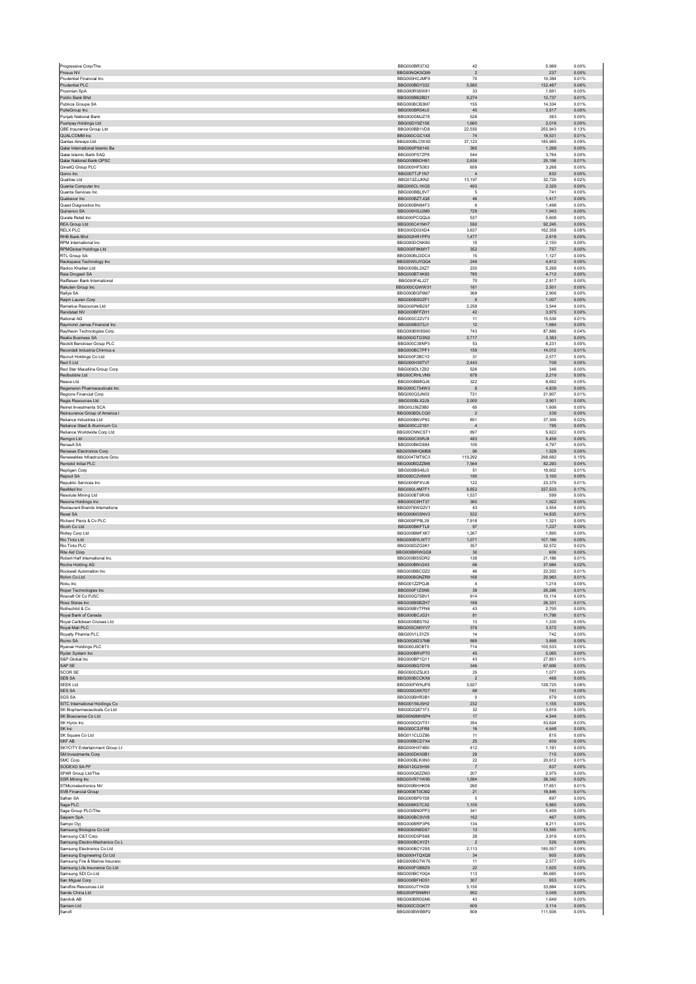| Progressive Corp/The                                         | BBG000BR37X2                  | 42                       | 5,989             | 0.00%          |
|--------------------------------------------------------------|-------------------------------|--------------------------|-------------------|----------------|
| Prosus NV                                                    | BBG00NQKSQ99                  | $\sqrt{2}$               | 237               | 0.00%          |
| Prudential Financial Inc.<br>Prudential PLC                  | BBG000HC.IMF9<br>BBG000BDY322 | 70<br>5,580              | 10.384<br>132,487 | 0.01%<br>0.06% |
| Prysmian SpA                                                 | BBG000R58W81                  | 33                       | 1,691             | 0.00%          |
| Public Bank Bhd                                              | BBG000BB2BD1                  | 9,274                    | 12.737            | 0.01%          |
| Publicis Groupe SA                                           | BBG000BCB3M7                  | 155                      | 14,334            | 0.01%          |
| PulteGroup Inc<br>Punjab National Bank                       | BBG000BR54L0<br>BBG000GMJZ78  | 45<br>526                | 3,517<br>363      | 0.00%<br>0.00% |
| Pushpay Holdings Ltd                                         | BBG00DY9Z158                  | 1,660                    | 2,016             | 0.00%          |
| OBE Insurance Group Ltd.                                     | BBG000BB1VD8                  | 22.550                   | 255.943           | 0.13%          |
| QUALCOMM Inc                                                 | BBG000CGC1X8                  | ${\bf 74}$               | 18,531            | 0.01%          |
| Qantas Airways Ltd                                           | BBG000BLCWX0                  | 37,123                   | 185,985           | 0.09%          |
| Qatar International Islamic Ba<br>Qatar Islamic Bank SAQ     | BBG000PS8145<br>BBG000PS7ZP8  | 365<br>544               | 1,269<br>3,764    | 0.00%<br>0.00% |
| Qatar National Bank QPSC                                     | BBG000BBDH91                  | 2,636                    | 20.106            | 0.01%          |
| QinetiQ Group PLC                                            | BBG000HF5083                  | 659                      | 3,268             | 0.00%          |
| Qorvo Inc                                                    | BBG007TJF1N7                  | $\overline{4}$           | 832               | 0.00%          |
| Qualitas Ltd                                                 | BBG013ZJJKN2                  | 13,197                   | 32,729            | 0.02%          |
| Quanta Computer Inc<br>Quanta Services Inc.                  | BBG000CL1KQ5<br>BBG000BBL8V7  | 493<br>-5                | 2,320<br>741      | 0.00%<br>0.00% |
| Quebecor Inc                                                 | BBG000BZTJQ8                  | 46                       | 1,417             | 0.00%          |
| Quest Diagnostics Inc                                        | BBG000BN84F3                  | 6                        | 1.498             | 0.00%          |
| Quinenco SA                                                  | BBG000HSJ2M0                  | 729                      | 1,943             | 0.00%          |
| Qurate Retail Inc.<br>RFA Group Ltd                          | BBG000PCQQL6<br>BBG000C41NH7  | 537<br>550               | 5,608<br>92.245   | 0.00%<br>0.05% |
| <b>RELX PLC</b>                                              | BBG000D03XD4                  | 3,637                    | 162,358           | 0.08%          |
| RHB Bank Bhd                                                 | BBG002HR1PP3                  | 1,477                    | 2,618             | 0.00%          |
| RPM International Inc                                        | BBG000DCNK80                  | 15                       | 2,150             | 0.00%          |
| <b>RPMGlobal Holdings Ltd</b><br>RTL Group SA                | BBG000F8KMY7<br>BBG000BLDDC4  | 352                      | 757<br>1.127      | 0.00%<br>0.00% |
| Rackspace Technology Inc                                     | BBG00W0JYQQ4                  | 15<br>249                | 4,612             | 0.00%          |
| Radico Khaitan Ltd                                           | BBG000BL2XZ7                  | 230                      | 5,268             | 0.00%          |
| Raia Drogasil SA                                             | BBG000BTXK93                  | 785                      | 4,712             | 0.00%          |
| Raiffeisen Bank International                                | BBG000F4LJ27                  | 70                       | 2,817             | 0.00%          |
| Rakuten Group Inc.                                           | BBG000CGWW31                  | 181                      | 2.501             | 0.00%          |
| Rallye SA<br>Ralph Lauren Corp                               | BBG000BGF6M7<br>BBG000BS0ZF1  | 369<br>$6\phantom{.}6$   | 2,906<br>1,007    | 0.00%<br>0.00% |
| Ramelius Resources Ltd                                       | BBG000PMB297                  | 2,258                    | 3,544             | 0.00%          |
| Randstad NV                                                  | BBG000BFFZH1                  | $42\,$                   | 3,975             | 0.00%          |
| Rational AG                                                  | BBG000C22V73                  | 11                       | 15.539            | 0.01%          |
| Raymond James Financial Inc<br>Raytheon Technologies Corp.   | BBG000BS73J1                  | 12                       | 1,684             | 0.00%          |
| Realia Business SA                                           | BBG000BW8S60<br>BBG000GTD3N2  | 743<br>2,717             | 87.889<br>3,383   | 0.04%<br>0.00% |
| Reckitt Benckiser Group PLC                                  | BBG000C38NP3                  | 53                       | 6,231             | 0.00%          |
| Recordati Industria Chimica e                                | BBG000BC7PF1                  | 159                      | 14.012            | 0.01%          |
| Recruit Holdings Co Ltd                                      | BBG000F2BCY2                  | 31                       | 2,577             | 0.00%          |
| Red 5 Ltd.                                                   | BBG000H39TV7                  | 2.443                    | 708               | 0.00%          |
| Red Star Macalline Group Corp<br>Redbubble Ltd               | BBG009DL1Z82<br>BBG00CRHLVN9  | 526<br>678               | 346<br>2,219      | 0.00%<br>0.00% |
| Reece Ltd                                                    | BBG000BB8QJ6                  | 322                      | 8.692             | 0.00%          |
| Regeneron Pharmaceuticals Inc                                | BBG000C734W3                  | $\,$ 6                   | 4,839             | 0.00%          |
| Regions Financial Corp                                       | BBG000Q3JN03                  | 731                      | 21,907            | 0.01%          |
| Regis Resources Ltd                                          | BBG000BLX2J9                  | 2,000                    | 3,901             | 0.00%          |
| Reinet Investments SCA<br>Reinsurance Group of America I     | BBG00J36Z0B0<br>BBG000BDLCQ0  | 65<br>$\overline{2}$     | 1,606<br>336      | 0.00%<br>0.00% |
| Reliance Industries Ltd                                      | BBG000BKVP93                  | 851                      | 37,309            | 0.02%          |
| Reliance Steel & Aluminum Co                                 | BBG000CJ2181                  | $\overline{4}$           | 785               | 0.00%          |
| Reliance Worldwide Corp Ltd                                  | BBG00CNNCST1                  | 897                      | 5.622             | 0.00%          |
| Remgro Ltd<br>Renault SA                                     | BBG000C55RJ9<br>BBG000BKD864  | 483<br>100               | 5,456<br>4.797    | 0.00%<br>0.00% |
| Renesas Electronics Corp                                     | BBG000MHQMB8                  | 90                       | 1,529             | 0.00%          |
| Renewables Infrastructure Grou                               | BBG004TMT6C3                  | 119.292                  | 298.682           | 0.15%          |
| Rentokil Initial PLC                                         | BBG000BDZZM8                  | 7.564                    | 82.293            | 0.04%          |
| Repligen Corp                                                | BBG000BS48J3                  | 51                       | 18,602            | 0.01%          |
| Repsol SA<br>Republic Services Inc                           | BBG000C2V6W8<br>BBG000BPXVJ6  | 190<br>122               | 3.100<br>23,379   | 0.00%<br>0.01% |
| ResMed Inc.                                                  | BBG000L4M7F1                  | 8.852                    | 337,533           | 0.17%          |
| Resolute Mining Ltd                                          | BBG000BT9RX8                  | 1.537                    | 599               | 0.00%          |
| Resona Holdings Inc                                          | BBG000C6HT37                  | 360                      | 1,922             | 0.00%          |
| Restaurant Brands International                              | BBG0076WG2V1                  | 43                       | 3.554             | 0.00%          |
| Rexel SA<br>Richard Pieris & Co PLC                          | BBG000M3SNV3<br>BBG000FP8L39  | 532<br>7,918             | 14,835<br>1,321   | 0.01%<br>0.00% |
| Ricoh Co Ltd                                                 | BBG000BKFTL9                  | 97                       | 1,237             | 0.00%          |
| Ridley Corp Ltd                                              | BBG000BMFXK7                  | 1,267                    | 1,895             | 0.00%          |
| Rio Tinto Ltd                                                | BBG000BYLWT7                  | 1.071                    | 107.186           | 0.05%          |
| Rio Tinto PLC                                                | BBG000DZG3K1                  | 357                      | 32,572            | 0.02%          |
| Rite Aid Corp<br>Robert Half International Inc.              | BBG000BRWGG9<br>BBG000BS5DR2  | 30<br>138                | 606<br>21.186     | 0.00%<br>0.01% |
| Roche Holding AG                                             | BBG000BNV243                  | 66                       | 37,684            | 0.02%          |
| Rockwell Automation Inc.                                     | BBG000BBCDZ2                  | 46                       | 22.202            | 0.01%          |
| Rohm Co Ltd                                                  | BBG000BGNZR9                  | 168                      | 20,983            | 0.01%          |
| Roku Inc.                                                    | BBG001ZZPQJ6<br>BBG000F1ZSN5  | $\overline{a}$           | 1.214<br>26,286   | 0.00%<br>0.01% |
| Roper Technologies Inc.<br>Rosneft Oil Co PJSC               | BBG000Q75BV1                  | 39<br>914                | 10,114            | 0.00%          |
| Ross Stores Inc.                                             | BBG000BSBZH7                  | 168                      | 26.331            | 0.01%          |
| Rothschild & Co                                              | BBG000BVTPN6                  | 43                       | 2,705             | 0.00%          |
| Royal Bank of Canada                                         | BBG000BCJG31                  | 81                       | 11,798            | 0.01%          |
| Royal Caribbean Cruises Ltd.                                 | BBG000BB5792<br>BBG005CM0YV7  | 13                       | 1.330             | 0.00%          |
| Royal Mail PLC<br>Rovalty Pharma PLC                         |                               |                          | 3,572             | 0.00%          |
|                                                              |                               | 379<br>14                |                   |                |
| Rumo SA                                                      | BBG00V1L5YZ5<br>BBG00G6D37M6  | 889                      | 742<br>3,898      | 0.00%<br>0.00% |
| Ryanair Holdings PLC                                         | BBG000J9CBT0                  | 714                      | 100,533           | 0.05%          |
| Ryder System Inc                                             | BBG000BRVP70                  | 45                       | 5.065             | 0.00%          |
| S&P Global Inc                                               | BBG000BP1Q11                  | 43                       | 27,851            | 0.01%          |
| SAP SE<br><b>SCOR SE</b>                                     | BBG000BG7DY8<br>BBG000DZ5LK3  | 346<br>25                | 67,606<br>1,077   | 0.03%<br>0.00% |
| SEB SA                                                       | BBG000BCCKX6                  | $\overline{2}$           | 468               | 0.00%          |
| <b>SEEK Ltd</b>                                              | BBG000FWNJP8                  | 3,927                    | 128,725           | 0.06%          |
| SES SA                                                       | BBG000GXK7D7                  | $_{\rm 68}$<br>$\Omega$  | 741               | 0.00%<br>0.00% |
| SGS SA<br>SITC International Holdings Co                     | BBG000BHR3B1<br>BBG00159JSH2  | 232                      | 979<br>1,155      | 0.00%          |
| SK Biopharmaceuticals Co Ltd                                 | BBG002Q871F3                  | 32                       | 3,619             | 0.00%          |
| SK Bioscience Co Ltd                                         | BBG00N9MHSP4                  | 17                       | 4.544             | 0.00%          |
| SK Hynix Inc                                                 | BBG000GQVT51                  | 354                      | 53,624            | 0.03%          |
| SK Inc                                                       | BBG000C2JFR8                  | $16\,$                   | 4,648             | 0.00%          |
| SK Square Co Ltd<br>SKF AB                                   | BBG011CLDZ86<br>BBG000BCD7X4  | 11<br>25                 | 815<br>809        | 0.00%<br>0.00% |
| SKYCITY Entertainment Group Lt                               | BBG000HX74B0                  | 412                      | 1.181             | 0.00%          |
| SM Investments Corp                                          | BBG000DKX0B1                  | ${\bf 28}$               | 715               | 0.00%          |
| SMC Corp                                                     | BBG000BLKXN0                  | 22                       | 20,612            | 0.01%          |
| SODEXO SA PF                                                 | BBG012G23H56<br>BBG000Q8ZZM3  | $\scriptstyle{7}$<br>207 | 837<br>2,975      | 0.00%<br>0.00% |
| SPAR Group Ltd/The<br>SSR Mining Inc                         | BBG00VR71W95                  | 1,584                    | 38.342            | 0.02%          |
| STMicroelectronics NV                                        | BBG000BHHK06                  | 260                      | 17,651            | 0.01%          |
| SVB Financial Group                                          | BBG000BT0CM2                  | 21                       | 19,846            | 0.01%          |
| Safran SA                                                    | BBG000BP01S8                  | $\,$ 5 $\,$              | 897               | 0.00%<br>0.00% |
| Saga PLC<br>Sage Group PLC/The                               | BBG006K57CX2<br>BBG000BN0PP3  | 1,105<br>341             | 5,865<br>5.409    | 0.00%          |
| Saipem SpA                                                   | BBG000BC9VV8                  | 162                      | 467               | 0.00%          |
| Sampo Oyj                                                    | BBG000BRP3P6                  | 134                      | 9.211             | 0.00%          |
| Samsung Biologics Co Ltd                                     | BBG0060N9DS7                  | $13$                     | 13,550            | 0.01%          |
| Samsung C&T Corp                                             | BBG000D5PS68                  | 28                       | 3,919             | 0.00%          |
| Samsung Electro-Mechanics Co L<br>Samsung Electronics Co Ltd | BBG000BCXYZ1<br>BBG000BCY2S8  | $\overline{2}$<br>2,113  | 526<br>185,557    | 0.00%<br>0.09% |
| Samsung Engineering Co Ltd                                   | BBG000HTQXQ8                  | 34                       | 905               | 0.00%          |
| Samsung Fire & Marine Insuranc                               | BBG000BG7W76                  | 11                       | 2,577             | 0.00%          |
| Samsung Life Insurance Co Ltd                                | BBG000FGB8Z9                  | 22                       | 1,625             | 0.00%          |
| Samsung SDI Co Ltd                                           | BBG000BCY0Q4                  | 113                      | 85.695            | 0.04%          |
| San Miguel Corp<br>Sandfire Resources Ltd                    | BBG000BFHD51<br>BBG000JTYKD9  | 307<br>5.150             | 953<br>33.884     | 0.00%<br>0.02% |
| Sands China Ltd                                              | BBG000PSNMN1                  | 952                      | 3,049             | 0.00%          |
| Sandvik AB                                                   | BBG000BR0GN6                  | 43                       | 1,649             | 0.00%          |
| Sanlam Ltd<br>Sanofi                                         | BBG000CDQK77<br>BBG000BWBBP2  | 609<br>808               | 3,114<br>111,936  | 0.00%<br>0.05% |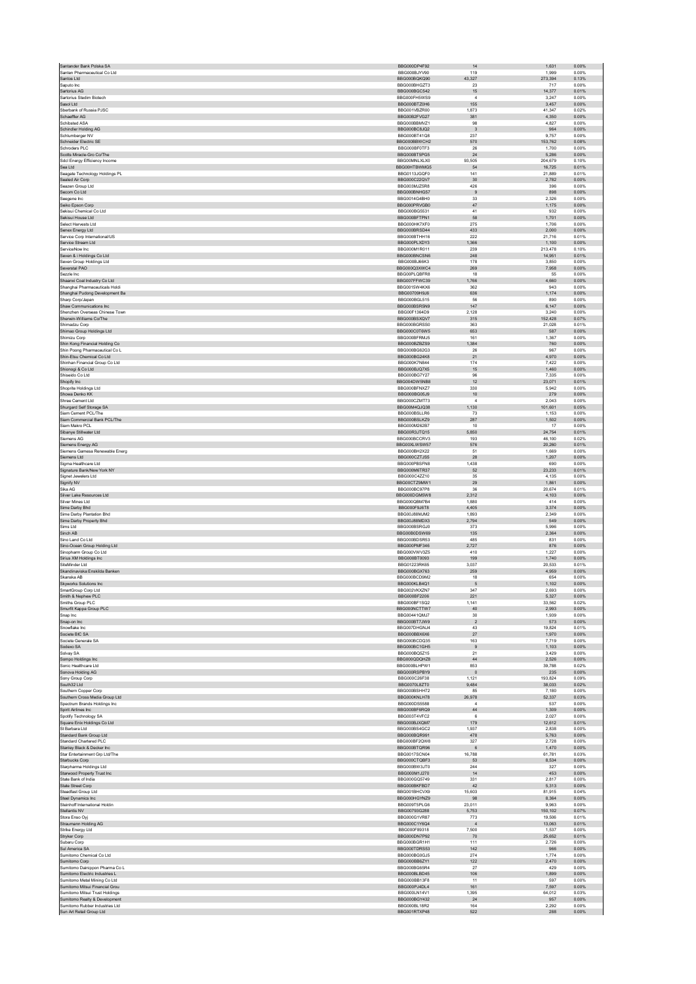| Santen Pharmaceutical Co Ltd                                 | BBG000DP4F92                        |                                   | 1,631             | 0.00%          |
|--------------------------------------------------------------|-------------------------------------|-----------------------------------|-------------------|----------------|
|                                                              | BBG000BJYV90                        | 119                               | 1.999             | 0.00%          |
| Santos Ltd                                                   | BBG000BQKQ90                        | 43,327                            | 273,394           | 0.13%          |
| Saputo Inc.                                                  | BBG000BHGZT3                        | 23                                | 717               | 0.00%          |
| Sartorius AG                                                 | BBG000BGC542<br>BBG000FH5WS9        | 15<br>$\overline{4}$              | 14,377            | 0.01%          |
| Sartorius Stedim Biotech<br>Sasol Ltd                        | BBG000BTZ0H6                        | 155                               | 3,247<br>3.457    | 0.00%<br>0.00% |
| Sberbank of Russia PJSC                                      | BBG001VBZR00                        | 1,873                             | 41,347            | 0.02%          |
| Schaeffler AG                                                | BBG00B2FVG27                        | 381                               | 4,350             | 0.00%          |
| Schibsted ASA                                                | BBG000BBMVZ1                        | 98                                | 4,827             | 0.00%          |
| Schindler Holding AG                                         | BBG000BC8JQ2                        | $\overline{\mathbf{3}}$           | 964               | 0.00%          |
| Schlumberger NV                                              | BBG000BT41Q8                        | 237                               | 9.757             | 0.00%          |
| Schneider Electric SE                                        | BBG000BBWCH2                        | 570                               | 153,762           | 0.08%          |
| Schroders PLC                                                | BBG000BF0TF3                        | 26                                | 1,700             | 0.00%          |
| Scotts Miracle-Gro Co/The                                    | BBG000BT5PG5                        | 24                                | 5,286             | 0.00%          |
| Sdcl Energy Efficiency Income<br>Sea Ltd                     | BBG00MNLXLX0<br>BBG00HTBWMG5        | 93,505<br>54                      | 204,679<br>16.725 | 0.10%<br>0.01% |
| Seagate Technology Holdings PL                               | BBG0113JGQF0                        | 141                               | 21,889            | 0.01%          |
| Sealed Air Corp                                              | BBG000C22QV7                        | 30                                | 2,782             | 0.00%          |
| Seazen Group Ltd                                             | BBG003MJZ5R8                        | 426                               | 396               | 0.00%          |
| Secom Co Ltd                                                 | BBG000BNHG57                        | 9                                 | 898               | 0.00%          |
| Seegene Inc.                                                 | BBG0014G4BH0                        | 33                                | 2.326             | 0.00%          |
| Seiko Epson Corp                                             | BBG000PRVGB0                        | $47\,$                            | 1,175             | 0.00%          |
| Sekisui Chemical Co Ltd                                      | BBG000BG5531                        | 41                                | 932               | 0.00%          |
| Sekisui House Ltd                                            | BBG000BFTPN1                        | 58                                | 1,701             | 0.00%          |
| Select Harvests Ltd                                          | BBG000HK7XF0<br>BBG000BRSD44        | 275                               | 1,706             | 0.00%          |
| Senex Energy Ltd<br>Service Corp International/US            | BBG000BTHH16                        | 433<br>222                        | 2.000<br>21,716   | 0.00%<br>0.01% |
| Service Stream Ltd                                           | BBG000PLXDY3                        | 1,366                             | 1,100             | 0.00%          |
| ServiceNow Inc.                                              | BBG000M1R011                        | 239                               | 213,478           | 0.10%          |
| Seven & i Holdings Co Ltd                                    | BBG000BNCSN6                        | 248                               | 14,951            | 0.01%          |
| Seven Group Holdings Ltd                                     | BBG000BJ66K3                        | 178                               | 3,850             | 0.00%          |
| Severstal PAO                                                | BBG000Q3XWC4                        | 269                               | 7,958             | 0.00%          |
| Sezzle Inc.                                                  | BBG00PLQBFR8                        | 18                                | 55                | 0.00%          |
| Shaanxi Coal Industry Co Ltd                                 | BBG007FFWC39                        | 1,766                             | 4,660             | 0.00%          |
| Shanghai Pharmaceuticals Holdi                               | BBG0015W4KX6                        | 362                               | 943               | 0.00%          |
| Shanghai Pudong Development Ba                               | BBG00709H9J6                        | 636                               | 1,174             | 0.00%          |
| Sharp Corp/Japan<br>Shaw Communications Inc.                 | BBG000BGL515<br>BBG000BSR5N9        | 56<br>147                         | 890<br>6,147      | 0.00%<br>0.00% |
| Shenzhen Overseas Chinese Town                               | BBG00F1364D9                        | 2,128                             | 3.240             | 0.00%          |
| Sherwin-Williams Co/The                                      | BBG000BSXQV7                        | 315                               | 152,428           | 0.07%          |
| Shimadzu Corp                                                | BBG000BGRSS0                        | 363                               | 21,028            | 0.01%          |
| Shimao Group Holdings Ltd                                    | BBG000C0T6W5                        | 653                               | 587               | 0.00%          |
| Shimizu Corp                                                 | BBG000BFRMJ5                        | 161                               | 1,367             | 0.00%          |
| Shin Kong Financial Holding Co                               | BBG000BZBZS9                        | 1,384                             | 760               | 0.00%          |
| Shin Poong Pharmaceutical Co L                               | BBG000BG62G3                        | 26                                | 967               | 0.00%          |
| Shin-Etsu Chemical Co Ltd                                    | BBG000BG24K8                        | 21                                | 4,970             | 0.00%          |
| Shinhan Financial Group Co Ltd                               | BBG000K7N844<br>BBG000BJQ7X5        | 174<br>15                         | 7,422             | 0.00%<br>0.00% |
| Shionogi & Co Ltd<br>Shiseido Co Ltd                         | BBG000BG7Y27                        | 96                                | 1,460<br>7.335    | 0.00%          |
| Shopify Inc                                                  | BBG004DW5NB8                        | 12                                | 23,071            | 0.01%          |
| Shoprite Holdings Ltd                                        | BBG000BFNXZ7                        | 330                               | 5.942             | 0.00%          |
| Showa Denko KK                                               | BBG000BG05J9                        | $10$                              | 279               | 0.00%          |
| Shree Cement Ltd                                             | BBG000CZMT73                        | $\boldsymbol{A}$                  | 2,043             | 0.00%          |
| Shurgard Self Storage SA                                     | BBG00M4QJQ38                        | 1,130                             | 101.601           | 0.05%          |
| Siam Cement PCL/The                                          | BBG000BSLLR6                        | 73                                | 1,153             | 0.00%          |
| Siam Commercial Bank PCL/The                                 | BBG000BSLKZ9                        | 287                               | 1,502             | 0.00%          |
| Siam Makro PCL                                               | BBG000M262B7                        | 10                                | 17                | 0.00%          |
| Sibanye Stillwater Ltd                                       | BBG00R3JTQ15                        | 5,850                             | 24,754            | 0.01%          |
| Siemens AG                                                   | BBG000BCCRV3                        | 193                               | 46.100            | 0.02%          |
| Siemens Energy AG                                            | BBG00XLWSW57<br>BBG000BH2X22        | 576<br>51                         | 20,260<br>1.669   | 0.01%<br>0.00% |
| Siemens Gamesa Renewable Energ<br>Siemens Ltd                | BBG000CZTJS5                        | ${\bf 28}$                        | 1,207             | 0.00%          |
| Sigma Healthcare Ltd                                         | BBG000PBSFN8                        | 1,438                             | 690               | 0.00%          |
| Signature Bank/New York NY                                   | BBG000M6TR37                        | 52                                | 23,233            | 0.01%          |
| Signet Jewelers Ltd                                          | BBG000C4ZZ10                        | 35                                | 4,135             | 0.00%          |
| Signify NV                                                   | BBG00CTZ9MW1                        | $29\,$                            | 1,861             | 0.00%          |
| Sika AG                                                      | BBG000BC97P8                        | 36                                | 20,674            | 0.01%          |
| Silver Lake Resources Ltd                                    | BBG000DGM5W8                        | 2,312                             | 4,103             | 0.00%          |
| Silver Mines Ltd                                             | BBG000QBM7B4                        | 1,880                             | 414               | 0.00%          |
| Sime Darby Bhd                                               | BBG000F9J6T8                        | 4,405                             | 3,374             | 0.00%          |
| Sime Darby Plantation Bhd                                    | BBG00J88MJM2                        | 1.893                             | 2.349             | 0.00%          |
| Sime Darby Property Bhd                                      | BBG00J88MDX3<br>BBG000BSRGJ0        | 2,794                             | 549               | 0.00%          |
| Sims Ltd<br>Sinch AB                                         | BBG00B0DSW69                        | 373<br>135                        | 5,996<br>2.364    | 0.00%<br>0.00% |
| Sino Land Co Ltd                                             | BBG000BDSR53                        | 485                               | 831               | 0.00%          |
| Sino-Ocean Group Holding Ltd                                 | BBG000PMF346                        | 2,727                             | 876               | 0.00%          |
| Sinopharm Group Co Ltd                                       | BBG000VWV3Z5                        | 410                               | 1,227             | 0.00%          |
| Sirius XM Holdings Inc                                       | BBG000BT0093                        | 199                               | 1,740             | 0.00%          |
| SiteMinder Ltd                                               | BBG01223RK65                        | 3.037                             | 20.533            | 0.01%          |
| Skandinaviska Enskilda Banken                                | BBG000BGX763                        | 259                               | 4,959             | 0.00%          |
| Skanska AB                                                   | BBG000BCD9M2                        | 18                                | 654               | 0.00%          |
| Skyworks Solutions Inc                                       | BBG000KLB4Q1                        | 5                                 | 1,102             | 0.00%          |
| SmartGroup Corp Ltd                                          | BBG002VKXZN7                        | 347                               | 2,693             | 0.00%          |
| Smith & Nephew PLC<br>Smiths Group PLC                       | BBG000BF2206                        | 221                               | 5.327<br>33,562   | 0.00%          |
|                                                              |                                     |                                   |                   |                |
|                                                              | BBG000BF1SQ2                        | 1,141<br>40                       |                   | 0.02%<br>0.00% |
| Smurfit Kappa Group PLC<br>Snap Inc                          | BBG000NCTTW7                        |                                   | 2,993<br>1,939    |                |
|                                                              | BBG00441QMJ7<br>BBG000BT7JW9        | 30<br>$\overline{2}$              | 573               | 0.00%<br>0.00% |
| Snap-on Inc<br>Snowflake Inc.                                | BBG007DHGN.I4                       | 43                                | 19.824            | 0.01%          |
| Societe BIC SA                                               | BBG000BBX6X6                        | $27\,$                            | 1,970             | 0.00%          |
| Societe Generale SA                                          | BBG000BCDQ35                        | 163                               | 7,719             | 0.00%          |
| Sodexo SA                                                    | BBG000BC1GH5                        | $\,9$                             | 1,103             | 0.00%          |
| Solvay SA                                                    | BBG000BQ5Z15                        | 21                                | 3,429             | 0.00%          |
| Sompo Holdings Inc                                           | BBG000QDQHZ8                        | 44                                | 2.526             | 0.00%          |
| Sonic Healthcare Ltd                                         | BBG000BLHPW1                        | 853                               | 39,788            | 0.02%          |
| Sonova Holding AG<br>Sony Group Corp                         | BBG000RSPBY9<br>BBG000C26F38        | $\overline{\phantom{0}}$<br>1,121 | 235<br>193,824    | 0.00%<br>0.09% |
| South32 Ltd                                                  | BBG0070L8ZT0                        | 9,484                             | 38,033            | 0.02%          |
| Southern Copper Corp                                         | BBG000BSHH72                        | 85                                | 7.180             | 0.00%          |
| Southern Cross Media Group Ltd                               | BBG000KNLH78                        | 26,978                            | 52,337            | 0.03%          |
| Spectrum Brands Holdings Inc                                 | BBG000DS5588                        | $\boldsymbol{A}$                  | 537               | 0.00%          |
| Spirit Airlines Inc                                          | BBG000BF6RQ9                        | $\bf 44$                          | 1,309             | 0.00%          |
| Spotify Technology SA                                        | BBG003T4VFC2                        | 6                                 | 2,027             | 0.00%          |
| Square Enix Holdings Co Ltd                                  | BBG000BJXQM7                        | 179                               | 12.612            | 0.01%          |
| St Barbara Ltd                                               | BBG000BS4GC2                        | 1,937                             | 2,838             | 0.00%          |
| Standard Bank Group Ltd                                      | BBG000BQR991                        | 478                               | 5,763             | 0.00%          |
| Standard Chartered PLC                                       | BBG000BF2QW8                        | 327<br>$6\phantom{1}6$            | 2,728             | 0.00%          |
| Stanley Black & Decker Inc<br>Star Entertainment Grp Ltd/The | BBG000BTQR96<br><b>BBG0017SCN04</b> | 16.788                            | 1,470<br>61.781   | 0.00%<br>0.03% |
| Starbucks Corp                                               | BBG000CTQBF3                        | 53                                | 8,534             | 0.00%          |
| Starpharma Holdings Ltd                                      | BBG000BW3JT0                        | 244                               | 327               | 0.00%          |
| Starwood Property Trust Inc                                  | BBG000M1J270                        | 14                                | 453               | 0.00%          |
| State Bank of India                                          | BBG000GQ5749                        | 331                               | 2,817             | 0.00%          |
| State Street Corp                                            | BBG000BKFBD7                        | 42                                | 5.313             | 0.00%          |
| Steadfast Group Ltd                                          | BBG001BHCVX9                        | 15,603                            | 81,915            | 0.04%          |
| Steel Dynamics Inc                                           | BBG000HGYNZ9                        | 98                                | 8,364             | 0.00%          |
| Steinhoff International Holdin                               | BBG009T5PLG6                        | 23,011                            | 9,963             | 0.00%          |
| Stellantis NV                                                | BBG00793G288                        | 5,753                             | 150,102           | 0.07%          |
| Stora Enso Oyj                                               | BBG000G1VR87                        | 773                               | 19,506            | 0.01%          |
| Straumann Holding AG                                         | BBG000C1Y6Q4<br>BBG000F89318        | $\sqrt{4}$<br>7,500               | 13,063<br>1,537   | 0.01%<br>0.00% |
| Strike Energy Ltd<br>Stryker Corp                            | BBG000DN7P92                        | 70                                | 25,652            | 0.01%          |
| Subaru Corp                                                  | BBG000BGR1H1                        | 111                               | 2,726             | 0.00%          |
| Sul America SA                                               | BBG000TDRS53                        | 142                               | 966               | 0.00%          |
| Sumitomo Chemical Co Ltd                                     | BBG000BG0GJ5                        | 274                               | 1,774             | 0.00%          |
| Sumitomo Corp                                                | BBG000BB6ZY1                        | 122                               | 2,470             | 0.00%          |
| Sumitomo Dainippon Pharma Co L                               | BBG000BG65R4                        | 27                                | 429               | 0.00%          |
| Sumitomo Electric Industries L                               | BBG000BLBD45                        | 106                               | 1,899             | 0.00%          |
| Sumitomo Metal Mining Co Ltd                                 | BBG000BB13F8                        | 11                                | 597               | 0.00%          |
| Sumitomo Mitsui Financial Grou                               | BBG000PJ4DL4                        | 161                               | 7,597             | 0.00%          |
| Sumitomo Mitsui Trust Holdings                               | BBG000LN14V1                        | 1,395                             | 64,012            | 0.03%          |
| Sumitomo Realty & Development                                | BBG000BGY432<br>BBG000BL18R2        | 24<br>164                         | 957<br>2,292      | 0.00%<br>0.00% |
| Sumitomo Rubber Industries Ltd<br>Sun Art Retail Group Ltd   | BBG001RTXP48                        | 522                               | 288               | 0.00%          |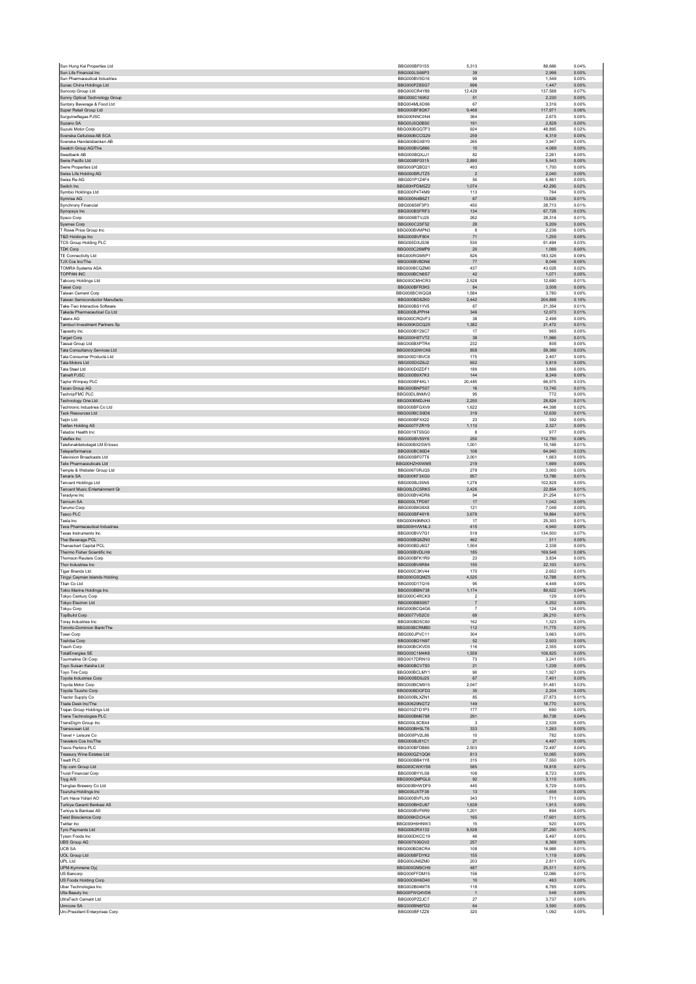| Sun Life Financial Inc.                                        | BBG000BF0155                 |                      | 88,666           | 0.04%          |
|----------------------------------------------------------------|------------------------------|----------------------|------------------|----------------|
|                                                                | BBG000LS68P3                 | 39                   | 2.998            | 0.00%          |
| Sun Pharmaceutical Industries<br>Sunac China Holdings Ltd      | BBG000BV5G16<br>BBG000PZ8SG7 | 99<br>696            | 1,549<br>1,447   | 0.00%<br>0.00% |
| Suncorp Group Ltd                                              | BBG000CR4Y89                 | 12,429               | 137,588          | 0.07%          |
| Sunny Optical Technology Group                                 | BBG000C16952                 | 51                   | 2,230            | 0.00%          |
| Suntory Beverage & Food Ltd                                    | BBG004ML6D96                 | 67                   | 3.316            | 0.00%          |
| Super Retail Group Ltd<br>Surgutneftegas PJSC                  | BBG000BF8GK7<br>BBG000NNC0N4 | 9,468<br>364         | 117,971<br>2.675 | 0.06%<br>0.00% |
| Suzano SA                                                      | BBG00J5Q0BS0                 | 191                  | 2.828            | 0.00%          |
| Suzuki Motor Corp                                              | BBG000BGQTF3                 | 924                  | 48,895           | 0.02%          |
| Svenska Cellulosa AB SCA<br>Svenska Handelsbanken AB           | BBG000BCCG29<br>BBG000BGX8Y0 | 259<br>265           | 6.319<br>3,947   | 0.00%<br>0.00% |
| Swatch Group AG/The                                            | BBG000BVQ866                 | 10                   | 4,089            | 0.00%          |
| Swedbank AB                                                    | BBG000BQXJJ1                 | 82                   | 2.261            | 0.00%          |
| Swire Pacific Ltd                                              | BBG000BF0315                 | 2,890                | 5,543            | 0.00%          |
| Swire Properties Ltd                                           | BBG000PQBD21                 | 493                  | 1.700            | 0.00%          |
| Swiss Life Holding AG<br>Swiss Re AG                           | BBG000BRJTZ5<br>BBG001P1Z4F4 | $\overline{2}$<br>50 | 2,040<br>6.861   | 0.00%<br>0.00% |
| Switch Inc.                                                    | BBG00HPDM5Z2                 | 1,074                | 42,295           | 0.02%          |
| Symbio Holdings Ltd                                            | BBG000P4T4M9                 | 113                  | 764              | 0.00%          |
| Symrise AG                                                     | BBG000N4B6Z1                 | 67                   | 13.626           | 0.01%          |
| Synchrony Financial                                            | BBG00658F3P3                 | 450<br>134           | 28,713           | 0.01%          |
| Synopsys Inc<br>Sysco Corp                                     | BBG000BSFRF3<br>BBG000BTVJ25 | 262                  | 67,728<br>28.314 | 0.03%<br>0.01% |
| Sysmex Corp                                                    | BBG000C2SF52                 | ${\bf 28}$           | 5,209            | 0.00%          |
| T Rowe Price Group Inc.                                        | BBG000BVMPN3                 | 8                    | 2.236            | 0.00%          |
| T&D Holdings Inc                                               | BBG000BVF804                 | $71\,$               | 1,255            | 0.00%          |
| <b>TCS Group Holding PLC</b><br><b>TDK Corp</b>                | BBG005DXJS36<br>BBG000C26MP9 | 530<br>20            | 61,494<br>1.089  | 0.03%<br>0.00% |
| TE Connectivity Ltd                                            | BBG000RGM5P1                 | 826                  | 183,326          | 0.09%          |
| TJX Cos Inc/The                                                | BBG000BV8DN6                 | 77                   | 8,046            | 0.00%          |
| <b>TOMRA Systems ASA</b>                                       | BBG000BCQZM0                 | 437                  | 43,028           | 0.02%          |
| TOPPAN INC<br>Tabcorp Holdings Ltd                             | BBG000BCN8S7<br>BBG000CMHCR3 | 42<br>2.528          | 1,071<br>12.690  | 0.00%<br>0.01% |
| Taisei Corp                                                    | BBG000BFR3K5                 | 84                   | 3,508            | 0.00%          |
| Taiwan Cement Corp                                             | BBG000BCWQQ9                 | 1.584                | 3.780            | 0.00%          |
| Taiwan Semiconductor Manufactu                                 | BBG000BD8ZK0                 | 2,442                | 204,898          | 0.10%          |
| Take-Two Interactive Software                                  | BBG000BS1YV5                 | 87                   | 21,354           | 0.01%          |
| Takeda Pharmaceutical Co Ltd.<br>Talanx AG                     | BBG000BJPPH4<br>BBG000CRQVF3 | 346<br>38            | 12.973<br>2,498  | 0.01%<br>0.00% |
| Tamburi Investment Partners Sp                                 | BBG000KDCQ25                 | 1.382                | 21,472           | 0.01%          |
| Tapestry Inc                                                   | BBG000BY29C7                 | 17                   | 965              | 0.00%          |
| <b>Target Corp</b>                                             | BBG000H8TVT2                 | 38                   | 11,966           | 0.01%          |
| Tassal Group Ltd<br><b>Tata Consultancy Services Ltd</b>       | BBG000BXPTR4<br>BBG000Q0WCK6 | 232<br>858           | 808<br>59,369    | 0.00%<br>0.03% |
| Tata Consumer Products Ltd                                     | BBG000D1BVC8                 | 175                  | 2.407            | 0.00%          |
| Tata Motors Ltd                                                | BBG000D0Z6J2                 | 652                  | 5,819            | 0.00%          |
| Tata Steel Ltd                                                 | BBG000D0ZDF1                 | 189                  | 3.886            | 0.00%          |
| Tatneft PJSC                                                   | BBG000B9X7K3                 | 144                  | 8.249            | 0.00%          |
| Taylor Wimpey PLC                                              | BBG000BF4KL1<br>BBG000BNP507 | 20,485               | 66,975           | 0.03%          |
| Tecan Group AG<br>TechnipFMC PLC                               | BBG00DL8NMV2                 | 16<br>95             | 13,745<br>772    | 0.01%<br>0.00% |
| Technology One Ltd                                             | BBG000BMDJH4                 | 2.250                | 28,824           | 0.01%          |
| Techtronic Industries Co Ltd                                   | BBG000BFGXV9                 | 1.622                | 44.398           | 0.02%          |
| <b>Teck Resources Ltd</b>                                      | BBG000BCS9D6                 | 319                  | 12,639           | 0.01%          |
| <b>Teijin Ltd</b><br><b>Tekfen Holding AS</b>                  | BBG000BFXX22<br>BBG000TFZRY9 | 23<br>1,110          | 392<br>2,327     | 0.00%<br>0.00% |
| Teladoc Health Inc                                             | BBG0019T5SG0                 | 8                    | 977              | 0.00%          |
| Teleflex Inc                                                   | BBG000BV59Y6                 | 250                  | 112.780          | 0.06%          |
| Telefonaktiebolaget LM Ericsso                                 | BBG000BX2SW5                 | 1,001                | 15,168           | 0.01%          |
| Teleperformance                                                | BBG000BC86D4                 | 106                  | 64,940           | 0.03%          |
| <b>Television Broadcasts Ltd</b>                               | BBG000BF07T6                 | 2,001                | 1,663            | 0.00%          |
| <b>Telix Pharmaceuticals Ltd</b><br>Temple & Webster Group Ltd | BBG00HZHXWM5<br>BBG006T0RJQ5 | 219<br>279           | 1,699<br>3.000   | 0.00%<br>0.00% |
| Tenaris SA                                                     | BBG000KF3XG0                 | 957                  | 13,786           | 0.01%          |
| <b>Tencent Holdings Ltd</b>                                    | BBG000BJ35N5                 | 1.276                | 102.828          | 0.05%          |
| <b>Tencent Music Entertainment Gr</b>                          | BBG00LDC5RK5                 | 2,426                | 22,854           | 0.01%          |
| Teradyne Inc                                                   | BBG000BV4DR6<br>BBG000LTPD97 | 94<br>17             | 21,254<br>1.042  | 0.01%<br>0.00% |
| <b>Ternium SA</b><br>Terumo Corp                               | BBG000BK08X8                 | 121                  | 7,048            | 0.00%          |
| Tesco PLC                                                      | BBG000BF46Y8                 | 3,678                | 19,864           | 0.01%          |
| Tesla Inc                                                      | BBG000N9MNX3                 | 17                   | 25,303           | 0.01%          |
| <b>Teva Pharmaceutical Industries</b>                          | BBG000HVWNL3                 | 415                  | 4,940            | 0.00%          |
| Texas Instruments Inc.                                         | BBG000BVV7G1<br>BBG000BQ6ZN0 | 519                  | 134,500          | 0.07%          |
| Thai Beverage PCL<br><b>Thanachart Capital PCL</b>             | BBG000BDJ6G7                 | 462<br>1.504         | 311<br>2.338     | 0.00%<br>0.00% |
| Thermo Fisher Scientific Inc                                   | BBG000BVDLH9                 | 185                  | 169,548          | 0.08%          |
| Thomson Reuters Corp                                           | BBG000BFK1R9                 | 23                   | 3,834            | 0.00%          |
| Thor Industries Inc.                                           | BBG000BV6R84                 | 155                  | 22.103           | 0.01%          |
| <b>Tiger Brands Ltd</b>                                        | BBG000C3KV44<br>BBG000G5QMZ5 | 170<br>4,525         | 2,652<br>12,788  | 0.00%<br>0.01% |
| Tingyi Cayman Islands Holding<br>Titan Co Ltd                  | BBG000D17Q16                 | 95                   | 4,448            | 0.00%          |
| Tokio Marine Holdings Inc                                      | BBG000BBN738                 | 1,174                | 89,622           | 0.04%          |
| Tokyo Century Corp                                             | BBG000C4RCK9                 | $\overline{2}$       | 129              | 0.00%          |
|                                                                |                              |                      | 5,252            |                |
| Tokyo Electron Ltd                                             | BBG000BB59S7                 | $\overline{7}$       |                  | 0.00%          |
| <b>Tokyu Corp</b>                                              | BBG000BCQ4G6                 | $\overline{7}$       | 124              | 0.00%          |
| <b>TopBuild Corp</b>                                           | BBG0077VS2C0                 | 69                   | 26,210           | 0.01%          |
| Toray Industries Inc<br>Toronto-Dominion Bank/The              | BBG000BD5C60<br>BBG000BCRMB0 | 162<br>112           | 1,323<br>11,775  | 0.00%<br>0.01% |
| <b>Tosei Corp</b>                                              | BBG000JPVC11                 | 304                  | 3,663            | 0.00%          |
| <b>Toshiba Corp</b>                                            | BBG000BD1N97                 | $52\,$               | 2,933            | 0.00%          |
| <b>Tosoh Corp</b>                                              | BBG000BCKVD5                 | 116                  | 2,355            | 0.00%          |
| <b>TotalEnergies SE</b><br>Tourmaline Oil Corp                 | BBG000C1M4K8<br>BBG0017DRN10 | 1,559<br>73          | 108,825<br>3.241 | 0.05%<br>0.00% |
| Toyo Suisan Kaisha Ltd                                         | BBG000BCV7S0                 | 21                   | 1,239            | 0.00%          |
| Toyo Tire Corp                                                 | BBG000BCLMY1                 | 90                   | 1.927            | 0.00%          |
| <b>Toyota Industries Corp</b>                                  | BBG000BD9J25                 | 67                   | 7,401            | 0.00%          |
| Toyota Motor Corp<br>Toyota Tsusho Corp                        | BBG000BCM915<br>BBG000BDGFD3 | 2,047<br>35          | 51,481<br>2.204  | 0.03%<br>0.00% |
| Tractor Supply Co                                              | BBG000BLXZN1                 | 85                   | 27,873           | 0.01%          |
| Trade Desk Inc/The                                             | BBG00629NGT2                 | 149                  | 18,770           | 0.01%          |
| Trajan Group Holdings Ltd                                      | BBG010Z1D1P3                 | 177                  | 690              | 0.00%          |
| Trane Technologies PLC<br>TransDigm Group Inc.                 | BBG000BM6788<br>BBG000L8CBX4 | 291<br>3             | 80,738<br>2.539  | 0.04%<br>0.00% |
| Transocean Ltd                                                 | BBG000BH5LT6                 | 333                  | 1,263            | 0.00%          |
| Travel + Leisure Co                                            | BBG000PV2L86                 | 10                   | 782              | 0.00%          |
| Travelers Cos Inc/The                                          | BBG000BJ81C1                 | 21                   | 4,497            | 0.00%          |
| <b>Travis Perkins PLC</b><br>Treasury Wine Estates Ltd         | BBG000BFDB86<br>BBG000QZ1QQ6 | 2,503<br>813         | 72,497<br>10.065 | 0.04%<br>0.00% |
| <b>Treatt PLC</b>                                              | BBG000BB41Y8                 | 315                  | 7,550            | 0.00%          |
| Trip.com Group Ltd                                             | BBG000CWKYS8                 | 585                  | 19,818           | 0.01%          |
| <b>Truist Financial Corp</b>                                   | BBG000BYYLS8                 | 108                  | 8,723            | 0.00%          |
| Tryg A/S<br>Tsingtao Brewery Co Ltd                            | BBG000QMPGL6<br>BBG000BHWDF9 | 92<br>445            | 3,110<br>5.729   | 0.00%<br>0.00% |
| Tsuruha Holdings Inc                                           | BBG000JXTF38                 | 13                   | 1,658            | 0.00%          |
| Turk Hava Yollari AO                                           | BBG000BVFLX9                 | 343                  | 711              | 0.00%          |
| Turkiye Garanti Bankasi AS                                     | BBG000BHDJ67                 | 1,639                | 1,913            | 0.00%          |
| Turkiye Is Bankasi AS                                          | BBG000BVF6R9                 | 1,201                | 894              | 0.00%          |
| <b>Twist Bioscience Corp</b>                                   | BBG006KDCHJ4                 | 165                  | 17,601           | 0.01%          |
| Twitter Inc<br>Tyro Payments Ltd                               | BBG000H6HNW3<br>BBG0062RX132 | 15<br>9,528          | 920<br>27,250    | 0.00%<br>0.01% |
| Tyson Foods Inc                                                | BBG000DKCC19                 | 46                   | 5,497            | 0.00%          |
| <b>UBS Group AG</b>                                            | BBG007936GV2                 | 257                  | 6,369            | 0.00%          |
| <b>UCB SA</b>                                                  | BBG000BD8CR4                 | 108                  | 16.988           | 0.01%          |
| <b>UOL Group Ltd</b><br>UPL Ltd                                | BBG000BFDYK2                 | 155<br>203           | 1,119            | 0.00%          |
| UPM-Kymmene Oyj                                                | BBG000JN6ZM0<br>BBG000GM9CH9 | 487                  | 2,811<br>25.511  | 0.00%<br>0.01% |
| US Bancorp                                                     | BBG000FFDM15                 | 156                  | 12,066           | 0.01%          |
| <b>US Foods Holding Corp</b>                                   | BBG00C6H6D40                 | 10                   | 463              | 0.00%          |
| Uber Technologies Inc                                          | BBG002B04MT8                 | 118                  | 6,785            | 0.00%          |
| Ulta Beauty Inc<br>UltraTech Cement Ltd                        | BBG00FWQ4VD6<br>BBG000PZ2JC7 | $\overline{1}$<br>27 | 548<br>3.737     | 0.00%<br>0.00% |
| Umicore SA                                                     | BBG000BN6FD2                 | 64                   | 3,590            | 0.00%          |
| Uni-President Enterprises Corp                                 | <b>BBG000BF1ZZ6</b>          | 320                  | 1.092            | 0.00%          |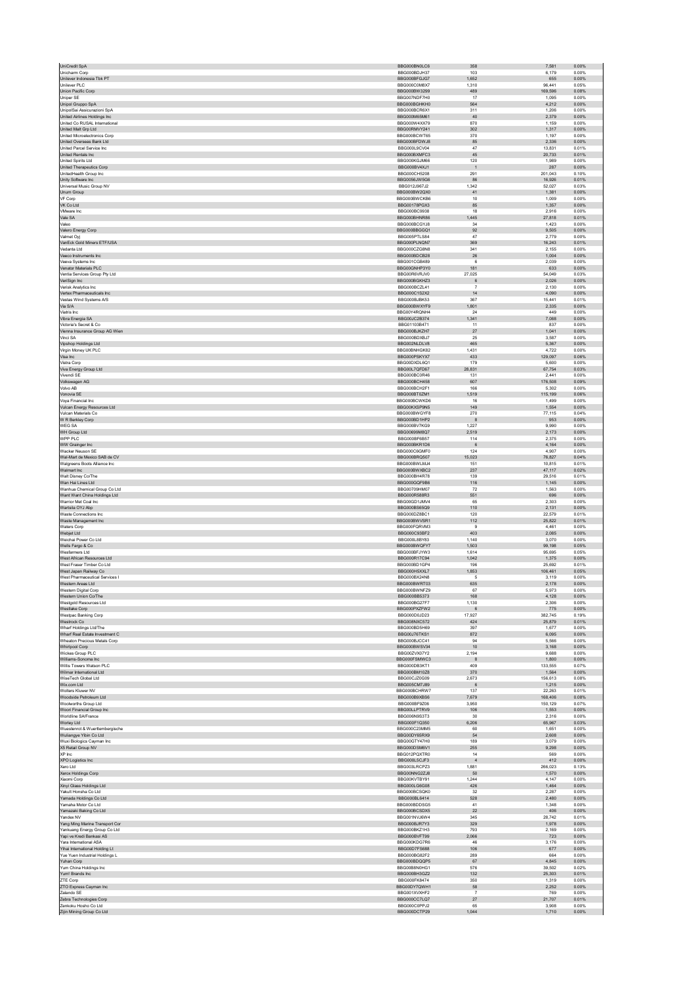| Unicharm Corp                                                                | BBG000BN0LC6                 | 358                   | 0.00%<br>7,581                      |  |
|------------------------------------------------------------------------------|------------------------------|-----------------------|-------------------------------------|--|
|                                                                              | BBG000BDJH37                 | 103                   | 6.179<br>0.00%                      |  |
| Unilever Indonesia Tbk PT<br>Unilever PLC                                    | BBG000BFGJG7<br>BBG000C0M8X7 | 1,652<br>1,310        | 655<br>0.00%<br>96.441<br>0.05%     |  |
| Union Pacific Corp.                                                          | BBG000BW3299                 | 489                   | 169,596<br>0.08%                    |  |
| Uniper SE                                                                    | BBG007NDF7H0                 | 17                    | 1,095<br>0.00%                      |  |
| Unipol Gruppo SpA<br>UnipolSai Assicurazioni SpA                             | BBG000BGHKH0<br>BBG000BCR6X1 | 564<br>311            | 0.00%<br>4.212<br>1,206<br>0.00%    |  |
| United Airlines Holdings Inc                                                 | BBG000M65M61                 | 40                    | 2,379<br>0.00%                      |  |
| United Co RUSAL International                                                | BBG000W4XX79                 | 870                   | 1.159<br>0.00%                      |  |
| United Malt Grp Ltd<br>United Microelectronics Corp.                         | BBG00RMVY241<br>BBG000BCWT65 | 302<br>370            | 1,317<br>0.00%<br>1.197<br>0.00%    |  |
| United Overseas Bank Ltd                                                     | BBG000BFDWJ8                 | 85                    | 2,336<br>0.00%                      |  |
| United Parcel Service Inc.                                                   | BBG000L9CV04                 | 47                    | 13,831<br>0.01%                     |  |
| United Rentals Inc                                                           | BBG000BXMFC3                 | 45                    | 0.01%<br>20.733                     |  |
| United Spirits Ltd<br><b>United Therapeutics Corp</b>                        | BBG000KGJM66<br>BBG000BV4XJ1 | 120<br>$\overline{1}$ | 1,989<br>0.00%<br>287<br>0.00%      |  |
| UnitedHealth Group Inc                                                       | BBG000CH5208                 | 291                   | 201,043<br>0.10%                    |  |
| Unity Software Inc                                                           | BBG0056JW5G6                 | 86                    | 16,926<br>0.01%                     |  |
| Universal Music Group NV<br>Unum Group                                       | BBG012J967J2<br>BBG000BW2QX0 | 1.342<br>$41\,$       | 52,027<br>0.03%<br>1,381<br>0.00%   |  |
| VF Corp                                                                      | BBG000BWCKB6                 | 10                    | 1.009<br>0.00%                      |  |
| VK Co Ltd                                                                    | BBG00178PGX3                 | 85                    | 1,357<br>0.00%                      |  |
| VMware Inc                                                                   | BBG000BC9938                 | 18                    | 2,916<br>0.00%                      |  |
| Vale SA<br>Valeo                                                             | BBG000BHNR86<br>BBG000BCGYJ8 | 1.445<br>34           | 27.818<br>0.01%<br>0.00%<br>1,423   |  |
| Valero Energy Corp                                                           | BBG000BBGGQ1                 | 92                    | 9,505<br>0.00%                      |  |
| Valmet Oyj                                                                   | BBG005PTLS84                 | 47                    | 2,779<br>0.00%                      |  |
| VanEck Gold Miners ETF/USA<br>Vedanta Ltd                                    | BBG000PLNQN7<br>BBG000CZG8N8 | 369<br>341            | 16,243<br>0.01%<br>2.155<br>0.00%   |  |
| Veeco Instruments Inc                                                        | BBG000BDCB28                 | $26\,$                | 1,004<br>0.00%                      |  |
| Veeva Systems Inc                                                            | BBG001CGB489                 | 6                     | 2,039<br>0.00%                      |  |
| Venator Materials PLC                                                        | BBG00GNHP3Y0                 | 181                   | 633<br>0.00%                        |  |
| Ventia Services Group Pty Ltd<br>VeriSign Inc                                | BBG00R6VRJV0<br>BBG000BGKHZ3 | 27,025<br>6           | 54,049<br>0.03%<br>2,026<br>0.00%   |  |
| Verisk Analytics Inc                                                         | BBG000BCZL41                 | $\overline{7}$        | 2,130<br>0.00%                      |  |
| Vertex Pharmaceuticals Inc                                                   | BBG000C1S2X2                 | 14                    | 4.090<br>0.00%                      |  |
| Vestas Wind Systems A/S<br>Via S/A                                           | BBG000BJBK53<br>BBG000BWXYF9 | 367<br>1,801          | 15,441<br>0.01%<br>2,335<br>0.00%   |  |
| Viatris Inc.                                                                 | BBG00Y4RQNH4                 | 24                    | 449<br>0.00%                        |  |
| Vibra Energia SA                                                             | BBG00JC2B374                 | 1,341                 | 7,088<br>0.00%                      |  |
| Victoria's Secret & Co.                                                      | BBG01103B471                 | 11                    | 837<br>0.00%                        |  |
| Vienna Insurance Group AG Wien<br>Vinci SA                                   | BBG000BJKZH7<br>BBG000BDXBJ7 | $27\,$<br>25          | 1,041<br>0.00%<br>3.587<br>0.00%    |  |
| Vipshop Holdings Ltd                                                         | BBG002NLDLV8                 | 465                   | 0.00%<br>5.367                      |  |
| Virgin Money UK PLC                                                          | BBG00BNHGK82                 | 1,431                 | 4,722<br>0.00%                      |  |
| Visa Inc<br>Vistra Corp                                                      | BBG000PSKYX7<br>BBG00DXDL6Q1 | 433<br>179            | 0.06%<br>129.097<br>5,600<br>0.00%  |  |
| Viva Energy Group Ltd                                                        | BBG00L7QFD67                 | 28,831                | 67,754<br>0.03%                     |  |
| Vivendi SE                                                                   | BBG000BC0R46                 | 131                   | 2.441<br>0.00%                      |  |
| Volkswagen AG                                                                | BBG000BCH458                 | 607                   | 176,508<br>0.09%                    |  |
| Volvo AB<br>Vonovia SE                                                       | BBG000BCH2F1<br>BBG000BT0ZM1 | 166<br>1,519          | 5.302<br>0.00%<br>115,199<br>0.06%  |  |
| Voya Financial Inc                                                           | BBG000BCWKD6                 | 16                    | 1,499<br>0.00%                      |  |
| Vulcan Energy Resources Ltd                                                  | BBG00KXSP9N5                 | 149                   | 0.00%<br>1.554                      |  |
| Vulcan Materials Co                                                          | BBG000BWGYF8                 | 270                   | 77,115<br>0.04%                     |  |
| W R Berkley Corp<br><b>WEGSA</b>                                             | BBG000BD1HP2<br>BBG000BV7KG9 | 8<br>1,227            | 0.00%<br>953<br>9,990<br>0.00%      |  |
| WH Group Ltd                                                                 | BBG00699M8Q7                 | 2,519                 | 2,173<br>0.00%                      |  |
| WPP PLC                                                                      | BBG000BF6B57                 | 114                   | 2.375<br>0.00%                      |  |
| WW Grainger Inc<br>Wacker Neuson SE                                          | BBG000BKR1D6<br>BBG000C6GMF0 | $\,6\,$<br>124        | 4,164<br>0.00%<br>0.00%             |  |
| Wal-Mart de Mexico SAB de CV                                                 | BBG000BRQ507                 | 15,023                | 4,907<br>76,827<br>0.04%            |  |
| Walgreens Boots Alliance Inc                                                 | BBG000BWLMJ4                 | 151                   | 10,815<br>0.01%                     |  |
| Walmart Inc                                                                  | BBG000BWXBC2                 | 237                   | 0.02%<br>47.117                     |  |
| Walt Disney Co/The<br>Wan Hai Lines Ltd                                      | BBG000BH4R78<br>BBG000GQF9B6 | 139<br>116            | 29,516<br>0.01%<br>1,145<br>0.00%   |  |
| Wanhua Chemical Group Co Ltd                                                 | BBG00709HM07                 | $72\,$                | 1,563<br>0.00%                      |  |
| Want Want China Holdings Ltd                                                 | BBG000R588R3                 | 551                   | 696<br>0.00%                        |  |
| Warrior Met Coal Inc.                                                        | BBG00GD1JMV4                 | 65                    | 2.303<br>0.00%                      |  |
| Wartsila OYJ Abp<br>Waste Connections Inc.                                   | BBG000BS65Q9<br>BBG000DZ8BC1 | 110<br>120            | 2,131<br>0.00%<br>22.579<br>0.01%   |  |
| Waste Management Inc                                                         | BBG000BWVSR1                 | 112                   | 25,822<br>0.01%                     |  |
| Waters Corp                                                                  | BBG000FQRVM3                 | $9\,$                 | 4,461<br>0.00%                      |  |
| Webiet I td<br>Weichai Power Co Ltd                                          | BBG000C93BF2<br>BBG000L8BY83 | 403<br>1,140          | 2.085<br>0.00%<br>3,070<br>0.00%    |  |
| Wells Fargo & Co                                                             | BBG000BWQFY7                 | 1,503                 | 99,198<br>0.05%                     |  |
| Wesfarmers Ltd                                                               | BBG000BFJYW3                 | 1,614                 | 95,695<br>0.05%                     |  |
| West African Resources Ltd<br>West Fraser Timber Co Ltd.                     | BBG000R17C94                 | 1,042                 | 1,375<br>0.00%                      |  |
| West Japan Railway Co                                                        | BBG000BD1GP4<br>BBG000H5XXL7 | 196<br>1,853          | 25.692<br>0.01%<br>106,461<br>0.05% |  |
| West Pharmaceutical Services I                                               | BBG000BX24N8                 | 5                     | 3,119<br>0.00%                      |  |
| Western Areas Ltd                                                            | BBG000BWRT03                 | 635                   | 2,178<br>0.00%                      |  |
| Western Digital Corp<br>Western Union Co/The                                 | BBG000BWNFZ9<br>BBG000BB5373 | 67<br>168             | 5,973<br>0.00%<br>4.128<br>0.00%    |  |
| Westgold Resources Ltd                                                       | BBG000BG27F7                 | 1,130                 | 2,306<br>0.00%                      |  |
| Westlake Corp                                                                | BBG000PXZFW2                 | 6                     | 775<br>0.00%                        |  |
| Westpac Banking Corp                                                         | BBG000D0JD23                 | 17,927                | 382,745<br>0.19%<br>25,879<br>0.01% |  |
|                                                                              |                              |                       |                                     |  |
| Westrock Co<br>Wharf Holdings Ltd/The                                        | BBG008NXC572<br>BBG000BD5H69 | 424<br>397            | 0.00%<br>1.677                      |  |
| Wharf Real Estate Investment C                                               | BBG00J76TKS1                 | 872                   | 6,095<br>0.00%                      |  |
| Wheaton Precious Metals Corp.                                                | BBG000BJCC41                 | 94                    | 5.566<br>0.00%                      |  |
| <b>Whirlpool Corp</b>                                                        | BBG000BWSV34                 | $10$                  | 0.00%<br>3,168                      |  |
| Wickes Group PLC<br>Williams-Sonoma Inc                                      | BBG00ZVX07Y2<br>BBG000FSMWC3 | 2,194<br>8            | 9,688<br>0.00%<br>0.00%<br>1.800    |  |
| Willis Towers Watson PLC                                                     | BBG000DB3KT1                 | 409                   | 133,555<br>0.07%                    |  |
| Wilmar International I td.                                                   | BBG000BM10Z8                 | 370                   | 1,564<br>0.00%                      |  |
| WiseTech Global Ltd<br>Wix.com Ltd                                           | BBG00CJZ0G09<br>BBG005CM7J89 | 2,673<br>6            | 156,613<br>0.08%<br>0.00%<br>1,215  |  |
| Wolters Kluwer NV                                                            | BBG000BCHRW7                 | 137                   | 22.263<br>0.01%                     |  |
| Woodside Petroleum Ltd                                                       | BBG000B9XBS6                 | 7,679                 | 168,406<br>0.08%                    |  |
| Woolworths Group Ltd<br>Woori Financial Group Inc                            | BBG000BF9Z06<br>BBG00LLPTRV9 | 3,950<br>106          | 150,129<br>0.07%<br>0.00%<br>1,553  |  |
| Worldline SA/France                                                          | BBG006N9S3T3                 | 30                    | 2,316<br>0.00%                      |  |
| Worley Ltd                                                                   | BBG000F1Q350                 | 6.206                 | 0.03%<br>65.967                     |  |
| Wuestenrot & Wuerttembergische<br>Wuliangye Yibin Co Ltd                     | BBG000C23MM5<br>BBG00DY65RX9 | 60<br>54              | 1,651<br>0.00%<br>2,608<br>0.00%    |  |
| Wuxi Biologics Cayman Inc                                                    | BBG00GTY47H0                 | 189                   | 3,079<br>0.00%                      |  |
| X5 Retail Group NV                                                           | BBG000DSM6V1                 | 255                   | 9,298<br>0.00%                      |  |
| XP Inc                                                                       | BBG012PQXTR0                 | 14                    | 569<br>0.00%                        |  |
| XPO Logistics Inc<br>Xero Ltd                                                | BBG000L5CJF3<br>BBG003LRCPZ3 | $\sqrt{4}$<br>1,881   | 412<br>0.00%<br>266,023<br>0.13%    |  |
| Xerox Holdings Corp                                                          | BBG00NNG2ZJ8                 | 50                    | 0.00%<br>1,570                      |  |
| Xiaomi Corp                                                                  | BBG00KVTBY91                 | 1,244                 | 4,147<br>0.00%                      |  |
| Xinyi Glass Holdings Ltd<br>Yakult Honsha Co Ltd                             | BBG000LG6G08<br>BBG000BCSQK0 | 426<br>$32\,$         | 1.464<br>0.00%<br>2,287<br>0.00%    |  |
| Yamada Holdings Co Ltd                                                       | BBG000BL6414                 | 528                   | 2,480<br>0.00%                      |  |
| Yamaha Motor Co Ltd                                                          | BBG000BDDSG5                 | 41                    | 1,348<br>0.00%                      |  |
| Yamazaki Baking Co Ltd<br>Yandex NV                                          | BBG000BCSDX5<br>BBG001NVJ6W4 | $22\,$<br>345         | 406<br>0.00%<br>28.742<br>0.01%     |  |
| Yang Ming Marine Transport Cor                                               | BBG000BJR7Y3                 | 329                   | 1,978<br>0.00%                      |  |
| Yankuang Energy Group Co Ltd                                                 | BBG000BKZ1H3                 | 793                   | 2,169<br>0.00%                      |  |
| Yapi ve Kredi Bankasi AS                                                     | BBG000BVFT99                 | 2,066                 | 0.00%<br>723                        |  |
| Yara International ASA<br>Yihai International Holding Lt                     | BBG000KDG7R6<br>BBG00D7FS688 | 46<br>106             | 3,176<br>0.00%<br>0.00%<br>677      |  |
| Yue Yuen Industrial Holdings L                                               | BBG000BG82F2                 | 289                   | 664<br>0.00%                        |  |
| Yuhan Corp                                                                   | BBG000BDQQP5                 | 67                    | 4,845<br>0.00%                      |  |
| Yum China Holdings Inc<br>Yum! Brands Inc                                    | BBG00B8N0HG1<br>BBG000BH3GZ2 | 576<br>132            | 39.502<br>0.02%<br>25,303<br>0.01%  |  |
| ZTE Corp                                                                     | BBG000FK8474                 | 350                   | 0.00%<br>1.319                      |  |
| ZTO Express Cayman Inc                                                       | BBG00DY7QWH1                 | 58                    | 2,252<br>0.00%                      |  |
| Zalando SE                                                                   | BBG001XVXHF2<br>BBG000CC7LQ7 | $\overline{7}$<br>27  | 769<br>0.00%<br>21.707<br>0.01%     |  |
| Zebra Technologies Corp<br>Zenkoku Hosho Co Ltd<br>Zijin Mining Group Co Ltd | BBG000C0PPJ2<br>BBG000DCTP29 | 65<br>1.044           | 3,908<br>0.00%<br>1,710<br>0.00%    |  |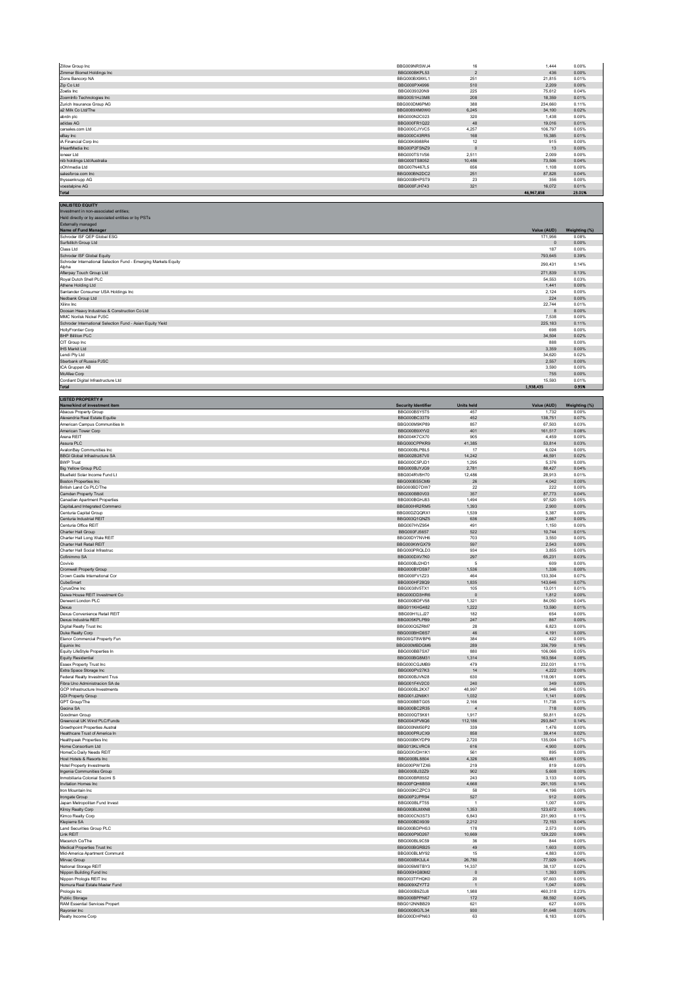| Zillow Group Inc                                                                                                       | BBG009NRSWJ4                               | 16                       | 1,444                      | 0.00%                  |
|------------------------------------------------------------------------------------------------------------------------|--------------------------------------------|--------------------------|----------------------------|------------------------|
| Zimmer Biomet Holdings Inc<br>Zions Bancorp NA                                                                         | BBG000BKPL53<br>BBG000BX9WL1               | $\overline{2}$<br>251    | 436<br>21,815              | 0.00%<br>0.01%         |
| Zip Co Ltd<br>Zoetis Inc.                                                                                              | BBG000PX4996<br>BBG0039320N9               | 510<br>225               | 2,209<br>75.612            | 0.00%<br>0.04%         |
| ZoomInfo Technologies Inc                                                                                              | BBG00S1HJ3M8                               | 208                      | 18,359                     | 0.01%                  |
| Zurich Insurance Group AG<br>a2 Milk Co Ltd/The                                                                        | BBG000DM6PM0<br>BBG0089XM0W0               | 388<br>6,245             | 234,660<br>34.100          | 0.11%<br>0.02%         |
| abrdn plc                                                                                                              | BBG000N2C023                               | 320                      | 1,438                      | 0.00%                  |
| adidas AG<br>carsales.com Ltd                                                                                          | BBG000FR1Q22<br>BBG000CJYVC5               | 48<br>4,257              | 19,016<br>106,797          | 0.01%<br>0.05%         |
| eBay Inc<br>iA Financial Corp Inc.                                                                                     | BBG000C43RR5<br>BBG00K6988R4               | 168<br>12                | 15,385<br>915              | 0.01%<br>0.00%         |
| iHeartMedia Inc                                                                                                        | BBG00P2FSNZ9                               | $\mathbb O$              | 13                         | 0.00%                  |
| ioneer Ltd<br>nib holdings Ltd/Australia                                                                               | BBG000TS1VS6<br>BBG000TS8052               | 2.511<br>10,486          | 2.009<br>73,506            | 0.00%<br>0.04%         |
| oOh!media Ltd                                                                                                          | BBG007N467L5                               | 656                      | 1,108                      | 0.00%                  |
| salesforce.com Inc.<br>thyssenkrupp AG                                                                                 | BBG000BN2DC2<br>BBG000BHPST9               | 251<br>23                | 87.828<br>356              | 0.04%<br>0.00%         |
| voestalpine AG<br><b>Total</b>                                                                                         | BBG000FJH743                               | 321                      | 16,072<br>46,967,858       | 0.01%<br>23.01%        |
|                                                                                                                        |                                            |                          |                            |                        |
| <b>UNLISTED EQUITY</b><br>Investment in non-associated entities;<br>Held directly or by associated entities or by PSTs |                                            |                          |                            |                        |
| Externally managed<br>Name of Fund Manager                                                                             |                                            |                          | Value (AUD)                | Weighting (%)          |
| Schroder ISF QEP Global ESG                                                                                            |                                            |                          | 171,956                    | 0.08%                  |
| Surfstitch Group Ltd<br>Class Ltd                                                                                      |                                            |                          | $\,$ 0<br>187              | 0.00%<br>0.00%         |
| Schroder ISF Global Equity<br>Schroder International Selection Fund - Emerging Markets Equity                          |                                            |                          | 793,645                    | 0.39%                  |
| Alpha                                                                                                                  |                                            |                          | 290,431                    | 0.14%                  |
| Afterpay Touch Group Ltd<br>Royal Dutch Shell PLC                                                                      |                                            |                          | 271,839<br>54,553          | 0.13%<br>0.03%         |
| Athene Holding Ltd                                                                                                     |                                            |                          | 1.441<br>2,124             | 0.00%<br>0.00%         |
| Santander Consumer USA Holdings Inc<br>Nedbank Group Ltd                                                               |                                            |                          | 224                        | 0.00%                  |
| Xilinx Inc<br>Doosan Heavy Industries & Construction Co Ltd                                                            |                                            |                          | 22,744<br>$\boldsymbol{8}$ | 0.01%<br>0.00%         |
| MMC Norilsk Nickel PJSC                                                                                                |                                            |                          | 7,538                      | 0.00%                  |
| Schroder International Selection Fund - Asian Equity Yield<br><b>HollvFrontier Corp</b>                                |                                            |                          | 225,183<br>698             | 0.11%<br>0.00%         |
| <b>BHP Billiton PLC</b>                                                                                                |                                            |                          | 34,504                     | 0.02%                  |
| CIT Group Inc<br><b>IHS Markit Ltd</b>                                                                                 |                                            |                          | 888<br>3,359               | 0.00%<br>0.00%         |
| Lendi Pty Ltd                                                                                                          |                                            |                          | 34,620                     | 0.02%                  |
| Sberbank of Russia PJSC<br>ICA Gruppen AB                                                                              |                                            |                          | 2,557<br>3,590             | 0.00%<br>0.00%         |
| McAfee Corp<br>Cordiant Digital Infrastructure Ltd                                                                     |                                            |                          | 755<br>15.593              | 0.00%<br>0.01%         |
| Total                                                                                                                  |                                            |                          | 1,938,435                  | 0.95%                  |
| <b>LISTED PROPERTY#</b>                                                                                                |                                            |                          |                            |                        |
| Name/kind of investment item<br>Abacus Property Group                                                                  | <b>Security Identifier</b><br>BBG000BSY5T5 | <b>Units held</b><br>457 | Value (AUD)<br>1.732       | Weighting (%)<br>0.00% |
| Alexandria Real Estate Equitie                                                                                         | BBG000BC33T9                               | 452                      | 138,751                    | 0.07%                  |
| American Campus Communities In<br>American Tower Corp                                                                  | BBG000M9KP89<br>BBG000B9XYV2               | 857<br>401               | 67.503<br>161,517          | 0.03%<br>0.08%         |
| Arena REIT<br>Assura PLC                                                                                               | <b>BBG004K7CX70</b><br>BBG000CPPKR9        | 905<br>41,385            | 4,459<br>53.814            | 0.00%<br>0.03%         |
| AvalonBay Communities Inc                                                                                              | BBG000BLPBL5                               | 17                       | 6,024                      | 0.00%                  |
| <b>BBGI Global Infrastructure SA</b><br><b>BWP Trust</b>                                                               | BBG002B287V0<br>BBG000C5PJD1               | 14,242<br>1,295          | 46.591<br>5,376            | 0.02%<br>0.00%         |
| <b>Big Yellow Group PLC</b>                                                                                            | BBG000BJYJG9                               | 2,781                    | 88,427                     | 0.04%                  |
| Bluefield Solar Income Fund Lt<br>Boston Properties Inc                                                                | BBG004RV8H70<br>BBG000BS5CM9               | 12.486<br>26             | 28.913<br>4,042            | 0.01%<br>0.00%         |
| British Land Co PLC/The                                                                                                | BBG000BD7DW7                               | 22                       | 222                        | 0.00%                  |
| Camden Property Trust<br><b>Canadian Apartment Properties</b>                                                          | BBG000BB0V03<br>BBG000BGHJ83               | 357<br>1.494             | 87,773<br>97,520           | 0.04%<br>0.05%         |
| CapitaLand Integrated Commerci                                                                                         | BBG000HR2RM5                               | 1,393                    | 2.900                      | 0.00%                  |
| Centuria Capital Group<br>Centuria Industrial REIT                                                                     | BBG00DZQQRX1<br>BBG003Q1QNZ5               | 1,539<br>636             | 5,387<br>2.667             | 0.00%<br>0.00%         |
| Centuria Office REIT<br>Charter Hall Group                                                                             | BBG007HVZ954<br>BBG000FJ5657               | 491<br>522               | 1,150<br>10,744            | 0.00%<br>0.01%         |
| Charter Hall Long Wale REIT                                                                                            | BBG00DY7NVH6                               | 703                      | 3.550                      | 0.00%                  |
| Charter Hall Retail REIT<br>Charter Hall Social Infrastruc                                                             | BBG000KWGX79<br>BBG000PROLD3               | 597<br>934               | 2,543<br>3855              | 0.00%<br>0.00%         |
| Cofinimmo SA                                                                                                           | BBG000DXV7K0                               | 297                      | 65,231                     | 0.03%                  |
| Covivio<br><b>Cromwell Property Group</b>                                                                              | BBG000BJ2HD1<br>BBG000BYDS97               | 5<br>1.536               | 609<br>1.336               | 0.00%<br>0.00%         |
| Crown Castle International Cor<br>CubeSmart                                                                            | BBG000FV1Z23<br>BBG000HF28Q9               | 464<br>1,835             | 133,304<br>143,646         | 0.07%<br>0.07%         |
| CyrusOne Inc                                                                                                           | BBG0038V5TX1                               | 105                      | 13,011                     | 0.01%                  |
| Daiwa House REIT Investment Co<br>Derwent London PLC                                                                   | BBG000DD3HR6<br>BBG000BDFV58               | $\circ$<br>1.321         | 1,812<br>84.050            | 0.00%<br>0.04%         |
| Dexus                                                                                                                  | <b>BBG011KHG482</b>                        | 1,222                    |                            | 0.01%                  |
| Dexus Convenience Retail REIT<br>Dexus Industria REIT                                                                  | BBG00H1LLJ27<br>BBG005KPLPB9               | 182                      | 13,590                     |                        |
| Digital Realty Trust Inc<br>Duke Realty Corp                                                                           |                                            | 247                      | 654<br>867                 | 0.00%<br>0.00%         |
|                                                                                                                        | BBG000Q5ZRM7                               | 28                       | 6,823                      | 0.00%                  |
| Elanor Commercial Property Fun                                                                                         | BBG000BHD8S7<br>BBG00QT8WBP6               | 46<br>384                | 4,191<br>422               | 0.00%<br>0.00%         |
| Equinix Inc<br>Equity LifeStyle Properties In                                                                          | BBG000MBDGM6<br>BBG000BB7SX7               | 289<br>880               | 336,799<br>106,066         | 0.16%<br>0.05%         |
| <b>Equity Residential</b>                                                                                              | BBG000BG8M31                               | 1,314                    | 163,564                    | 0.08%                  |
| <b>Essex Property Trust Inc.</b><br>Extra Space Storage Inc                                                            | BBG000CGJMB9<br>BBG000PV27K3               | 479<br>14                | 232.031<br>4,222           | 0.11%<br>0.00%         |
| Federal Realty Investment Trus                                                                                         | BBG000BJVN28                               | 630                      | 118,061                    | 0.06%                  |
| Fibra Uno Administracion SA de<br>GCP Infrastructure Investments                                                       | BBG001F4V2C0<br>BBG000BL2KX7               | 240<br>48,997            | 349<br>98,946              | 0.00%<br>0.05%         |
| <b>GDI Property Group</b>                                                                                              | BBG001J2N6K1                               | 1.032                    | 1,141                      | 0.00%                  |
| GPT Group/The<br>Gecina SA                                                                                             | BBG000BBTG05<br>BBG000BC2R35               | 2,166<br>$\overline{4}$  | 11,738<br>718              | 0.01%<br>0.00%         |
| Goodman Group<br>Greencoat UK Wind PLC/Funds                                                                           | BBG000QT5K61<br>BBG0043PV6Q6               | 1,917<br>112,186         | 50,811<br>293,847          | 0.02%<br>0.14%         |
| <b>Growthnoint Properties Austral</b>                                                                                  | BBG000NM50P2                               | 339                      | 1.476                      | 0.00%                  |
| Healthcare Trust of America In<br>Healthpeak Properties Inc.                                                           | BBG000PRJCX9<br>BBG000BKYDP9               | 858<br>2,720             | 39,414<br>135.004          | 0.02%<br>0.07%         |
| Home Consortium Ltd                                                                                                    | BBG013KLVRC6                               | 616                      | 4,900                      | 0.00%                  |
| HomeCo Daily Needs REIT<br>Host Hotels & Resorts Inc.                                                                  | BBG00XVDH1K1<br>BBG000BL8804               | 561<br>4.326             | 895<br>103.461             | 0.00%<br>0.05%         |
| <b>Hotel Property Investments</b><br>Ingenia Communities Group                                                         | BBG000PWTZX6<br>BBG000BJ32Z9               | 219<br>902               | 819<br>5,608               | 0.00%<br>0.00%         |
| Inmobiliaria Colonial Socimi S                                                                                         | BBG000BR8552                               | 243                      | 3,133                      | 0.00%                  |
| Invitation Homes Inc<br>Iron Mountain Inc.                                                                             | BBG00FQH6BS9<br>BBG000KCZPC3               | 4,668<br>58              | 291,105<br>4.196           | 0.14%<br>0.00%         |
| Irongate Group<br>Japan Metropolitan Fund Invest                                                                       | BBG00P2JPR94<br>BBG000BLFT55               | 527<br>$\overline{1}$    | 912<br>1,007               | 0.00%<br>0.00%         |
| Kilroy Realty Corp                                                                                                     | BBG000BLMXN8                               | 1,353                    | 123,672                    | 0.06%                  |
| Kimco Realty Corp<br>Klepierre SA                                                                                      | BBG000CN3S73<br>BBG000BDX939               | 6,843<br>2.212           | 231,993<br>72.153          | 0.11%<br>0.04%         |
| Land Securities Group PLC                                                                                              | BBG000BDPHS3                               | 178                      | 2,573                      | 0.00%                  |
| Link REIT<br>Macerich Co/The                                                                                           | BBG000P9D267<br>BBG000BL9C59               | 10,669<br>36             | 129,220<br>844             | 0.06%<br>0.00%         |
| Medical Properties Trust Inc<br>Mid-America Apartment Communit                                                         | BBG000BGRB25<br>BBG000BLMY92               | 49<br>15                 | 1,603<br>4.883             | 0.00%<br>0.00%         |
| Mirvac Group                                                                                                           | BBG000BK3JL4                               | 26,780                   | 77,929                     | 0.04%                  |
| National Storage REIT<br>Nippon Building Fund Inc                                                                      | BBG005M8TBY3<br>BBG000HG80M2               | 14,337<br>$\,$ 0         | 38.137<br>1,393            | 0.02%<br>0.00%         |
| Nippon Prologis REIT Inc                                                                                               | BBG003TFHQK0                               | 20                       | 97,603                     | 0.05%                  |
| Nomura Real Estate Master Fund<br>Prologis Inc                                                                         | BBG009XZY7T2<br>BBG000B9Z0J8               | $\overline{1}$<br>1,988  | 1,047<br>460,318           | 0.00%<br>0.23%         |
| Public Storage<br>RAM Essential Services Propert                                                                       | BBG000BPPN67<br>BBG012NNBB29               | 172<br>621               | 88,592<br>627              | 0.04%<br>0.00%         |
| Rayonier Inc<br>Realty Income Corp                                                                                     | BBG000BG7L34<br>BBG000DHPN63               | 930<br>63                | 51,648<br>6,183            | 0.03%<br>0.00%         |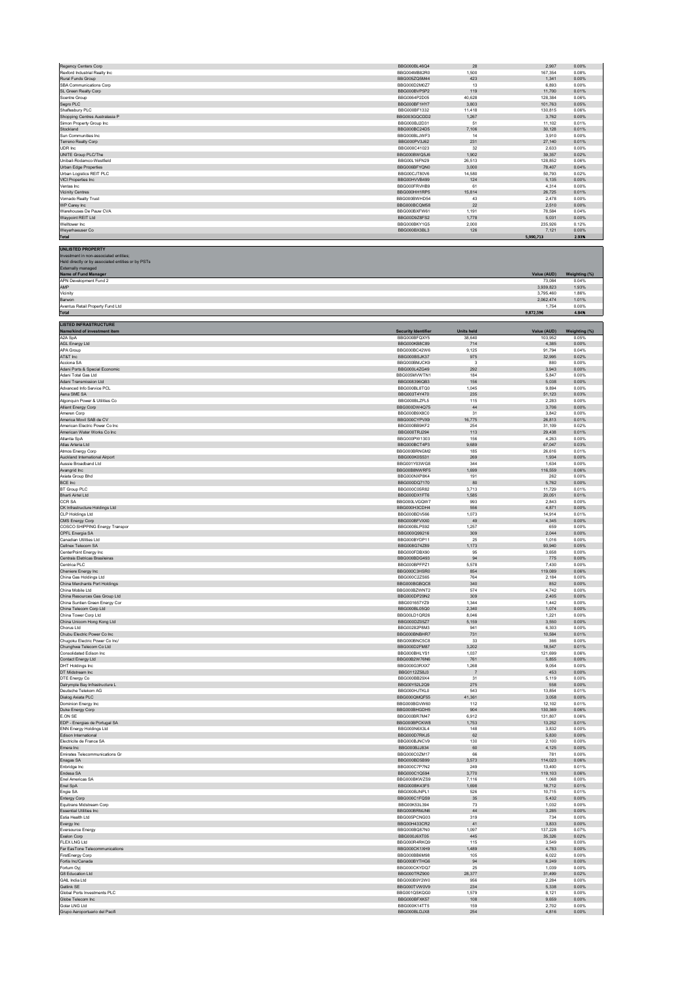| Regency Centers Corp                                                     | BBG000BL46O4                        | 28                             | 2,907                  | 0.00%          |
|--------------------------------------------------------------------------|-------------------------------------|--------------------------------|------------------------|----------------|
| Rexford Industrial Realty Inc.                                           | BBG004MB82R0                        | 1,500                          | 167,354                | 0.08%          |
| Rural Funds Group<br>SBA Communications Corp                             | BBG005ZQ5M44<br>BBG000D2M0Z7        | 423<br>13                      | 1,341<br>6,893         | 0.00%<br>0.00% |
| SL Green Realty Corp                                                     | BBG000BVP5P2                        | 119                            | 11,700                 | 0.01%          |
| Scentre Group<br>Segro PLC                                               | BBG0064P2D05<br>BBG000BF1HY7        | 40.628<br>3,803                | 128,384<br>101,763     | 0.06%<br>0.05% |
| Shaftesbury PLC                                                          | BBG000BF1332                        | 11,418                         | 130,815                | 0.06%          |
| Shopping Centres Australasia P<br>Simon Property Group Inc               | BBG003GQCDD2<br>BBG000BJ2D31        | 1,267<br>51                    | 3,762<br>11,102        | 0.00%<br>0.01% |
| Stockland                                                                | BBG000BC24D5                        | 7,106                          | 30,128                 | 0.01%          |
| Sun Communities Inc<br>Terreno Realty Corp                               | BBG000BLJWF3<br>BBG000PV3J62        | 14<br>231                      | 3,910<br>27,140        | 0.00%<br>0.01% |
| UDR Inc.                                                                 | BBG000C41023                        | 32                             | 2.633                  | 0.00%          |
| UNITE Group PLC/The<br>Unibail-Rodamco-Westfield                         | BBG000BWQ5J6<br>BBG00L16FN29        | 1,902<br>26.513                | 39,357<br>128,852      | 0.02%<br>0.06% |
| Urban Edge Properties                                                    | BBG006BFYQN0                        | 3,000                          | 78,407                 | 0.04%          |
| Urban Logistics REIT PLC<br>VICI Properties Inc                          | BBG00CJT80V6<br>BBG00HVVB499        | 14,580<br>124                  | 50,793<br>5.135        | 0.02%<br>0.00% |
| Ventas Inc                                                               | BBG000FRVHB9                        | 61                             | 4,314                  | 0.00%          |
| <b>Vicinity Centres</b><br>Vornado Realty Trust                          | BBG000HH1RP5<br>BBG000BWHD54        | 15,814<br>43                   | 26,725<br>2,478        | 0.01%<br>0.00% |
| WP Carey Inc                                                             | BBG000BCQM58                        | $22\,$                         | 2,510                  | 0.00%          |
| Warehouses De Pauw CVA<br>Waypoint REIT Ltd                              | BBG000BXFW61<br>BBG00D9Z8FS2        | 1.191<br>1,778                 | 78.584<br>5,031        | 0.04%<br>0.00% |
| Welltower Inc.                                                           | BBG000BKY1G5                        | 2,000                          | 235,926                | 0.12%          |
| Weverhaeuser Co<br><b>Total</b>                                          | BBG000BX3BL3                        | 126                            | 7,121<br>5,990,713     | 0.00%<br>2.93% |
|                                                                          |                                     |                                |                        |                |
| <b>UNLISTED PROPERTY</b><br>Investment in non-associated entities;       |                                     |                                |                        |                |
| Held directly or by associated entities or by PSTs<br>Externally managed |                                     |                                |                        |                |
| Name of Fund Manager                                                     |                                     |                                | Value (AUD)            | Weighting (%)  |
| APN Development Fund 2<br>AMP                                            |                                     |                                | 73,084                 | 0.04%          |
| Vicinity                                                                 |                                     |                                | 3,939,823<br>3 795 460 | 1.93%<br>1.86% |
| Barwon<br>Aventus Retail Property Fund Ltd                               |                                     |                                | 2,062,474<br>1.754     | 1.01%<br>0.00% |
| Total                                                                    |                                     |                                | 9,872,596              | 4.84%          |
| <b>LISTED INFRASTRUCTURE</b>                                             |                                     |                                |                        |                |
| Name/kind of investment item<br>A2A SpA                                  | <b>Security Identifier</b>          | <b>Units held</b>              | Value (AUD)            | Weighting (%)  |
| AGL Energy Ltd                                                           | BBG000BFQXY5<br>BBG000KB8C89        | 38.640<br>714                  | 103.952<br>4,385       | 0.05%<br>0.00% |
| APA Group                                                                | BBG000BC42W6                        | 9,125                          | 91,794                 | 0.04%          |
| AT&T Inc<br>Acciona SA                                                   | BBG000BSJK37<br>BBG000BMJCK9        | 975<br>$\overline{\mathbf{3}}$ | 32,995<br>880          | 0.02%<br>0.00% |
| Adani Ports & Special Economic                                           | BBG000L4ZG49                        | 292                            | 3.943                  | 0.00%          |
| Adani Total Gas Ltd<br>Adani Transmission I td                           | BBG005MVWTN1<br>BBG008396QB3        | 184<br>156                     | 5,847<br>5,038         | 0.00%<br>0.00% |
| Advanced Info Service PCI                                                | BBG000BL8TQ0                        | 1.045                          | 9.894                  | 0.00%          |
| Aena SME SA<br>Algonauin Power & Utilities Co.                           | BBG003T4Y470<br>BBG000BLZFL5        | 235<br>115                     | 51,123                 | 0.03%<br>0.00% |
| Alliant Energy Corp                                                      | BBG000DW4Q75                        | $44\,$                         | 2.283<br>3,706         | 0.00%          |
| Ameren Corp                                                              | BBG000B9X8C0                        | 31                             | 3,842                  | 0.00%          |
| America Movil SAB de CV<br>American Electric Power Co Inc.               | BBG000CYPVX9<br>BBG000BB9KF2        | 16.775<br>254                  | 26,813<br>31,109       | 0.01%<br>0.02% |
| American Water Works Co Inc                                              | BBG000TRJ294                        | 113                            | 29,438                 | 0.01%          |
| Atlantia SpA<br>Atlas Arteria Ltd                                        | BBG000PW1303<br>BBG000BCT4P3        | 156<br>9,689                   | 4,263<br>67,047        | 0.00%<br>0.03% |
| Atmos Energy Corp                                                        | BBG000BRNGM2                        | 185                            | 26,616                 | 0.01%          |
| Auckland International Airport<br>Aussie Broadband Ltd                   | BBG000K0S531<br>BBG001Y03WG8        | 269<br>344                     | 1,934<br>1,634         | 0.00%<br>0.00% |
| Avangrid Inc                                                             | BBG00B8NWRF5                        | 1,699                          | 116,559                | 0.06%          |
| Axiata Group Bhd<br>BCE Inc                                              | BBG000NXP8K4<br>BBG000DQ7170        | 191<br>80                      | 262<br>5.762           | 0.00%<br>0.00% |
| BT Group PLC                                                             | BBG000C05R82                        | 3,713                          | 11,729                 | 0.01%          |
| Bharti Airtel Ltd<br>CCR SA                                              | BBG000DX1FT6<br>BBG000LVGQW7        | 1,585<br>993                   | 20,051<br>2,843        | 0.01%<br>0.00% |
| CK Infrastructure Holdings Ltd                                           | BBG000H3CDH4                        | 556                            | 4,871                  | 0.00%          |
| <b>CLP Holdings Ltd</b><br>CMS Energy Corp                               | BBG000BDV566<br>BBG000BFVXX0        | 1.073<br>49                    | 14.914<br>4,345        | 0.01%<br>0.00% |
| COSCO SHIPPING Energy Transpor                                           | BBG000BLPS92                        | 1.257                          | 659                    | 0.00%          |
| CPFL Energia SA<br>Canadian Utilities Ltd                                | BBG000Q99216<br>BBG000BYDP11        | 309<br>25                      | 2,044<br>1,016         | 0.00%<br>0.00% |
| Cellnex Telecom SA                                                       | BBG008G74Z89                        | 1,173                          | 93,940                 | 0.05%          |
| CenterPoint Energy Inc<br>Centrais Eletricas Brasileiras                 | BBG000FDBX90<br>BBG000BDG493        | 95<br>94                       | 3,658<br>775           | 0.00%<br>0.00% |
| Centrica PLC                                                             | BBG000BPFPZ1                        | 5,578                          | 7,430                  | 0.00%          |
| Cheniere Energy Inc<br>China Gas Holdings Ltd                            | BBG000C3HSR0<br>BBG000C2ZS65        | 854<br>764                     | 119.089<br>2.184       | 0.06%<br>0.00% |
| China Merchants Port Holdi                                               | BBG000BGBQC8                        | 340                            | 852                    | 0.00%          |
| China Mobile Ltd<br>China Resources Gas Group Ltd                        | BBG000BZWNT2<br>BBG000DP29N2        | 574<br>309                     | 4,742<br>2,405         | 0.00%<br>0.00% |
| China Suntien Green Energy Cor                                           | BBG001657Y79                        | 1.344                          | 1,442                  | 0.00%          |
| China Telecom Corp Ltd<br>China Tower Corp Ltd                           | BBG000BL05Q0<br>BBG00LD1QR26        | 2,340<br>8,046                 | 1,074<br>1,221         | 0.00%<br>0.00% |
| China Unicom Hong Kong Ltd                                               | BBG000DZ05Z7                        | 5,159                          | 3,550                  | 0.00%          |
| Chorus Ltd<br>Chubu Electric Power Co Inc                                | BBG00282P8M3<br>BBG000BNBHR7        | 941<br>731                     | 6,303<br>10,584        | 0.00%<br>0.01% |
| Chugoku Electric Power Co Inc/                                           | BBG000BNC5C8                        | 33                             | 366                    | 0.00%          |
| Chunghwa Telecom Co Ltd<br>Consolidated Edison Inc.                      | BBG000D2FM87<br>BBG000BHLYS1        | 3,202<br>1.037                 | 18,547<br>121.699      | 0.01%<br>0.06% |
| Contact Energy Ltd                                                       | BBG00B2W76N6                        | 761                            | 5,855                  | 0.00%          |
| DHT Holdings Inc<br>DT Midstream Inc                                     | BBG000G3RXX7<br>BBG0112Z58J3        | 1,268<br>$\overline{7}$        | 9,054<br>453           | 0.00%<br>0.00% |
| DTE Energy Co<br>Dalrymple Bay Infrastructure L                          | BBG000BB29X4<br>BBG00Y52L2Q9        | 31<br>275                      | 5,119<br>558           | 0.00%<br>0.00% |
| Deutsche Telekom AG                                                      | BBG000HJTKL0                        | 543                            | 13,854                 | 0.01%          |
| Dialog Axiata PLC<br>Dominion Energy Inc                                 | BBG000QMQF55<br>BBG000BGVW60        | 41,361<br>112                  | 3,058<br>12.102        | 0.00%<br>0.01% |
| Duke Energy Corp                                                         | BBG000BHGDH5                        | 904                            | 130,369                | 0.06%          |
| E.ON SE<br>EDP - Energias de Portugal SA                                 | BBG000BR7M47<br>BBG000BPCKW8        | 6.912<br>1,753                 | 131.807<br>13,252      | 0.06%<br>0.01% |
| ENN Energy Holdings Ltd                                                  | BBG000N6X3L4<br>BBG000D7RKJ5        | 148                            | 3,832<br>5.830         | 0.00%<br>0.00% |
| Edison International<br>Electricite de France SA                         | BBG000BJNCV9                        | 62<br>130                      | 2,100                  | 0.00%          |
| Emera Inc<br>Emirates Telecommunications Gr                              | BBG000BJJ834<br>BBG000C0ZM17        | 60<br>66                       | 4,125<br>781           | 0.00%<br>0.00% |
| Enagas SA                                                                | BBG000BD5B99                        | 3,573                          | 114,023                | 0.06%          |
| Enbridge Inc.<br>Endesa SA                                               | BBG000C7P7N2<br>BBG000C1Q594        | 249<br>3,770                   | 13,400<br>119,103      | 0.01%<br>0.06% |
| Enel Americas SA                                                         | BBG000BKWZS9                        | 7,116                          | 1,068                  | 0.00%          |
| Enel SpA<br>Engie SA                                                     | BBG000BK43F5<br>BBG000BJNPL1        | 1,698<br>526                   | 18,712<br>10,715       | 0.01%<br>0.01% |
| Entergy Corp                                                             | BBG000C1FQS9                        | 35                             | 5.432                  | 0.00%          |
| Equitrans Midstream Corp<br><b>Essential Utilities Inc.</b>              | BBG00K53L394<br>BBG000BRMJN6        | 73<br>44                       | 1,032<br>3,285         | 0.00%<br>0.00% |
| Estia Health Ltd                                                         | BBG005PCNG03                        | 319                            | 734                    | 0.00%          |
| Evergy Inc<br>Eversource Energy                                          | BBG00H433CR2<br>BBG000BQ87N0        | 41<br>1.097                    | 3,833<br>137.228       | 0.00%<br>0.07% |
| Exelon Corp                                                              | BBG000J6XT05                        | 445                            | 35,326                 | 0.02%          |
| <b>FLEX LNG Ltd</b><br>Far EasTone Telecommunications                    | BBG000R4RKQ9<br>BBG000CK1XH9        | 115<br>1,489                   | 3.549<br>4,783         | 0.00%<br>0.00% |
| <b>FirstEnergy Corp</b>                                                  | BBG000BB6M98                        | 105                            | 6,022                  | 0.00%          |
| Fortis Inc/Canada<br>Fortum Oyj                                          | BBG000BYTHG6<br>BBG000CKYDQ7        | 94<br>25                       | 6.249<br>1,039         | 0.00%<br>0.00% |
| G8 Education Ltd                                                         | BBG000TRZ900                        | 28.377                         | 31,499                 | 0.02%          |
| GAIL India Ltd<br>Getlink SE                                             | BBG000B9Y2W0<br>BBG000TVW0V9        | 956<br>234                     | 2,284<br>5,338         | 0.00%<br>0.00% |
| Global Ports Investments PLC                                             | BBG001QSKQG0                        | 1.579                          | 8.121                  | 0.00%          |
| Globe Telecom Inc<br>Golar LNG Ltd                                       | BBG000BFXK57<br><b>BBG000K14TT5</b> | 108<br>159                     | 9,659<br>2.702         | 0.00%<br>0.00% |
| Grupo Aeroportuario del Pacifi                                           | BBG000BLDJX8                        | 254                            | 4,816                  | 0.00%          |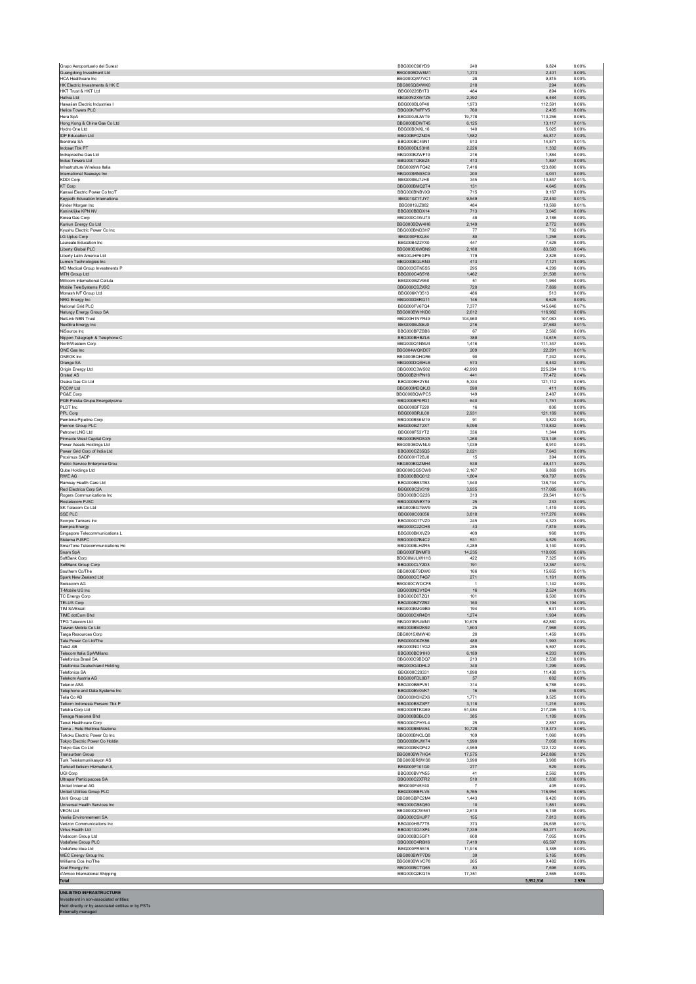|                                                                | BBG000C98YD9                        | 240            | 6,824              | 0.00%          |
|----------------------------------------------------------------|-------------------------------------|----------------|--------------------|----------------|
| Guangdong Investment Ltd<br><b>HCA Healthcare Inc.</b>         | BBG000BDW8M1<br>BBG000QW7VC1        | 1,373<br>28    | 2,401<br>9.815     | 0.00%<br>0.00% |
| HK Electric Investments & HK E                                 | BBG005Q0XWK0                        | 218            | 294                | 0.00%          |
| HKT Trust & HKT Ltd                                            | BBG00226B1T3                        | 484            | 894                | 0.00%          |
| Hafnia Ltd<br>Hawaiian Flectric Industries I                   | BBG00N2XW7Z5<br>BBG000BL0P40        | 2,392<br>1,973 | 6,484<br>112,591   | 0.00%<br>0.06% |
| <b>Helios Towers PLC</b>                                       | BBG00K7MFFV5                        | 760            | 2.435              | 0.00%          |
| Hera SpA                                                       | BBG000J8JWT9                        | 19,778         | 113,256            | 0.06%          |
| Hong Kong & China Gas Co Ltd<br>Hydro One Ltd                  | BBG000BDWT45<br>BBG00B0VKL16        | 6,125<br>140   | 13,117<br>5,025    | 0.01%<br>0.00% |
| <b>IDP Education Ltd</b>                                       | BBG00BF0ZND5                        | 1,582          | 54,817             | 0.03%          |
| Iberdrola SA                                                   | BBG000BC49N1                        | 913            | 14.871             | 0.01%          |
| Indosat Tbk PT                                                 | BBG000DL53H8                        | 2,226          | 1,332              | 0.00%          |
| Indraprastha Gas Ltd<br>Indus Towers Ltd                       | BBG000BZWF19<br>BBG000TDKBZ4        | 216<br>413     | 1.884<br>1,897     | 0.00%<br>0.00% |
| Infrastrutture Wireless Italia                                 | BBG0099WFQ42                        | 7,416          | 123,890            | 0.06%          |
| International Seaways Inc                                      | BBG003MN93C9                        | 200            | 4.031              | 0.00%          |
| <b>KDDI Corp</b><br>KT Corp                                    | BBG000BJ7JH8<br>BBG000BMQ2T4        | 345<br>131     | 13,847<br>4,645    | 0.01%<br>0.00% |
| Kansai Electric Power Co Inc/T                                 | BBG000BNBVX9                        | 715            | 9,167              | 0.00%          |
| Keypath Education Internationa                                 | BBG010Z1TJY7                        | 9,549          | 22,440             | 0.01%          |
| Kinder Morgan Inc.                                             | BBG0019JZ882                        | 484            | 10.569             | 0.01%          |
| Koninklijke KPN NV<br>Korea Gas Corp                           | BBG000BBDX14<br>BBG000C4WJ73        | 713<br>48      | 3,045<br>2.186     | 0.00%<br>0.00% |
| Kunlun Energy Co Ltd                                           | BBG000BDW4H6                        | 2,149          | 2,772              | 0.00%          |
| Kyushu Electric Power Co Inc                                   | BBG000BND3H7                        | $77\,$         | 792                | 0.00%          |
| <b>LG Uplus Corp</b>                                           | BBG000F8XL84                        | 80             | 1.258              | 0.00%          |
| Laureate Education Inc<br>Liberty Global PLC                   | BBG00B4Z2YX0<br>BBG000BXWBN9        | 447<br>2,188   | 7,528<br>83,593    | 0.00%<br>0.04% |
| Liberty Latin America Ltd                                      | BBG00JHP6GP5                        | 179            | 2,828              | 0.00%          |
| Lumen Technologies Inc                                         | BBG000BGLRN3                        | 413            | 7,121              | 0.00%          |
| MD Medical Group Investments P<br>MTN Group Ltd                | BBG003GTN5S5<br>BBG000C4S5Y8        | 295<br>1,462   | 4.299<br>21,508    | 0.00%<br>0.01% |
| Millicom International Cellula                                 | BBG000BZV950                        | 51             | 1.984              | 0.00%          |
| Mobile TeleSystems PJSC                                        | BBG000CSZKR2                        | 720            | 7,869              | 0.00%          |
| Monash IVF Group Ltd                                           | BBG006KY3513                        | 486            | 513                | 0.00%          |
| NRG Energy Inc<br>National Grid PLC                            | BBG000D8RG11<br>BBG000FV67Q4        | 146<br>7,377   | 8.628<br>145,646   | 0.00%<br>0.07% |
| Naturgy Energy Group SA                                        | BBG000BWYKD0                        | 2,612          | 116,982            | 0.06%          |
| NetLink NBN Trust                                              | BBG00H1NYR49                        | 104,960        | 107,083            | 0.05%          |
| NextEra Energy Inc<br>NiSource Inc.                            | BBG000BJSBJ0<br>BBG000BPZBB6        | 216            | 27,683             | 0.01%<br>0.00% |
| Nippon Telegraph & Telephone C                                 | BBG000BHBZL6                        | 67<br>388      | 2.560<br>14,615    | 0.01%          |
| NorthWestern Corp                                              | BBG000Q1NMJ4                        | 1,416          | 111 347            | 0.05%          |
| ONE Gas Inc                                                    | BBG004WQKD07                        | 209            | 22,291             | 0.01%          |
| ONEOK Inc<br>Orange SA                                         | BBG000BQHGR6<br>BBG000DQSHL6        | 90<br>573      | 7,242<br>8.442     | 0.00%<br>0.00% |
| Origin Energy Ltd                                              | BBG000C3W502                        | 42,993         | 225,284            | 0.11%          |
| Orsted AS                                                      | BBG00B2HPN16                        | 441            | 77,472             | 0.04%          |
| Osaka Gas Co Ltd                                               | BBG000BH2Y84                        | 5,334          | 121,112            | 0.06%          |
| PCCW Ltd<br>PG&E Corp                                          | BBG000MDQKJ3<br>BBG000BQWPC5        | 590<br>149     | 411<br>2.487       | 0.00%<br>0.00% |
| PGE Polska Grupa Energetyczna                                  | BBG000BP0PD1                        | 640            | 1,761              | 0.00%          |
| PLDT Inc.                                                      | BBG000BFF220                        | 16             | 806                | 0.00%          |
| PPL Corp                                                       | BBG000BRJL00                        | 2,931          | 121,169            | 0.06%          |
| Pembina Pipeline Corp<br>Pennon Group PLC                      | BBG000BS6M19<br>BBG000BZT2X7        | 91<br>5.098    | 3,822<br>110.832   | 0.00%<br>0.05% |
| Petronet LNG Ltd                                               | BBG000F53YT2                        | 336            | 1,344              | 0.00%          |
| Pinnacle West Capital Corp                                     | BBG000BRDSX5                        | 1,268          | 123,146            | 0.06%          |
| Power Assets Holdings Ltd<br>Power Grid Corp of India Ltd      | BBG000BDWNL9<br>BBG000CZ35Q5        | 1,039<br>2,021 | 8,910<br>7,643     | 0.00%<br>0.00% |
| Proximus SADP                                                  | <b>BBG000H72BJ8</b>                 | 15             | 394                | 0.00%          |
| Public Service Enterprise Grou                                 | BBG000BQZMH4                        | 538            | 49,411             | 0.02%          |
| Qube Holdings Ltd                                              | BBG000QG5CW8                        | 2.167          | 6,869              | 0.00%          |
| RWE AG<br>Ramsay Health Care Ltd                               | BBG000BBQ012<br>BBG000BB3TB3        | 1,804<br>1,940 | 100,797<br>138,744 | 0.05%<br>0.07% |
| Red Electrica Corp SA                                          | BBG000C2V319                        | 3,935          | 117.085            | 0.06%          |
| Rogers Communications Inc.                                     | BBG000BCG226                        | 313            | 20,541             | 0.01%          |
| Rostelecom PJSC<br>SK Telecom Co Ltd                           | BBG000NNBY79<br>BBG000BG79W9        | 25<br>25       | 233<br>1,419       | 0.00%<br>0.00% |
| SSE PLC                                                        | BBG000C03056                        | 3,818          | 117,276            | 0.06%          |
| Scorpio Tankers Inc.                                           | BBG000Q1TVZ0                        | 245            | 4.323              | 0.00%          |
| Sempra Energy                                                  | BBG000C2ZCH8                        | $43\,$         | 7,819              | 0.00%          |
| Singapore Telecommunications L<br>Sistema PJSFC                | BBG000BKXVZ9<br>BBG000G7B4C2        | 409<br>531     | 968<br>4,529       | 0.00%<br>0.00% |
| SmarTone Telecommunications Ho                                 |                                     |                |                    |                |
|                                                                | BBG000BLHZR5                        | 4,289          | 3,140              | 0.00%          |
| Snam SpA                                                       | BBG000FBNMF8                        | 14,235         | 118.005            | 0.06%          |
| SoftBank Corp                                                  | BBG00MJLWHH3                        | 422            | 7,325              | 0.00%          |
| SoftBank Group Corp                                            | BBG000CLY2D3                        | 191            | 12,367             | 0.01%          |
| Southern Co/The<br>Spark New Zealand Ltd                       | BBG000BT9DW0<br>BBG000CCF4G7        | 166<br>271     | 15,655<br>1,161    | 0.01%<br>0.00% |
| Swisscom AG                                                    | BBG000CWDCF8                        | $\overline{1}$ | 1.142              | 0.00%          |
| -Mobile US Inc                                                 | BBG000NDV1D4                        | 16             | 2.524              | 0.00%          |
| <b>TC Energy Corp</b><br><b>TELUS Corp</b>                     | BBG000D07ZQ1<br>BBG000BZYZB2        | 101<br>160     | 6,500<br>5,194     | 0.00%<br>0.00% |
| <b>TIM SA/Brazil</b>                                           | BBG000BMG9B9                        | 194            | 631                | 0.00%          |
| TIME dotCom Bhd                                                | BBG000CXR4D1                        | 1.274          | 1.934              | 0.00%          |
| TPG Telecom Ltd<br>Taiwan Mobile Co Ltd                        | BBG001BRJMN1<br>BBG000BM2K92        | 10,676         | 62,880             | 0.03%<br>0.00% |
| Targa Resources Corp                                           | BBG0015XMW40                        | 1,603<br>20    | 7,968<br>1.459     | 0.00%          |
| Tata Power Co Ltd/The                                          | BBG000D0ZK56                        | 488            | 1,993              | 0.00%          |
| Tele2 AB                                                       | BBG000ND1YG2                        | 285            | 5.597              | 0.00%          |
| Telecom Italia SpA/Milano<br>Telefonica Brasil SA              | BBG000BC91H0<br>BBG000C9BDQ7        | 6,189<br>213   | 4,203<br>2.538     | 0.00%<br>0.00% |
| <b>Telefonica Deutschland Holding</b>                          | BBG003G4DHL2                        | 340            | 1.299              | 0.00%          |
| Telefonica SA                                                  | BBG000C20331                        | 1,898          | 11,438             | 0.01%          |
| Telekom Austria AG<br><b>Telenor ASA</b>                       | BBG000FDL9D7                        | 57             | 682                | 0.00%          |
| Telephone and Data Systems Inc.                                | BBG000BBPV51<br>BBG000BV0VK7        | 314<br>16      | 6,788<br>456       | 0.00%<br>0.00% |
| Telia Co AB                                                    | BBG000M3HZX6                        | 1.771          | 9.525              | 0.00%          |
| Telkom Indonesia Persero Tbk P                                 | BBG000BSZXP7                        | 3,118          | 1,216              | 0.00%          |
| Telstra Corp Ltd<br>Tenaga Nasional Bhd                        | BBG000BTKG69<br>BBG000BBBLC0        | 51.984<br>385  | 217.295<br>1,189   | 0.11%<br>0.00% |
| Tenet Healthcare Corp                                          | BBG000CPHYL4                        | 25             | 2.857              | 0.00%          |
| Terna - Rete Elettrica Naziona                                 | BBG000BBM454                        | 10.728         | 119.373            | 0.06%          |
| Tohoku Electric Power Co Inc<br>Tokyo Electric Power Co Holdin | BBG000BNCLQ8<br>BBG000BKJW74        | 109<br>1.990   | 1,060<br>7.058     | 0.00%<br>0.00% |
| Tokyo Gas Co Ltd                                               | BBG000BNDP42                        | 4,959          | 122,122            | 0.06%          |
| Transurban Group                                               | BBG000BW7HG4                        | 17,575         | 242,886            | 0.12%          |
| Turk Telekomunikasvon AS                                       | BBG000BR8WS8                        | 3.998          | 3,988              | 0.00%          |
| Turkcell lletisim Hizmetleri A<br><b>UGI Corp</b>              | BBG000F101G0<br>BBG000BVYN55        | 277<br>41      | 529<br>2.562       | 0.00%<br>0.00% |
| Ultrapar Participacoes SA                                      | BBG000C2XTR2                        | 510            | 1,830              | 0.00%          |
| United Internet AG                                             | BBG000F45Y40                        | $\overline{7}$ | 405                | 0.00%          |
| United Utilities Group PLC                                     | BBG000BBFLV5                        | 5.765          | 116.954            | 0.06%          |
| Uniti Group Ltd<br>Universal Health Services Inc.              | BBG00GBPC2M4<br>BBG000CB8Q50        | 1,443<br>10    | 6,420<br>1,861     | 0.00%<br>0.00% |
| <b>VEON Ltd</b>                                                | BBG000QCW561                        | 2,610          | 6,138              | 0.00%          |
| Veolia Environnement SA                                        | BBG000CSHJP7                        | 155            | 7,813              | 0.00%          |
| Verizon Communications Inc.<br>Virtus Health Ltd               | <b>BBG000HS77T5</b><br>BBG001XG1XP4 | 373<br>7,339   | 26.638<br>50,271   | 0.01%<br>0.02% |
| Vodacom Group Ltd                                              | BBG000BD5GF1                        | 608            | 7.055              | 0.00%          |
| Vodafone Group PLC                                             | BBG000C4R6H6                        | 7,419          | 65,597             | 0.03%          |
| Vodafone Idea Ltd                                              | BBG000FR5515<br>BBG000BWP7D9        | 11,916<br>39   | 3,385<br>5.165     | 0.00%<br>0.00% |
| WEC Energy Group Inc<br>Williams Cos Inc/The                   | BBG000BWVCP8                        | 265            | 9,482              | 0.00%          |
| Xcel Energy Inc                                                | BBG000BCTQ65                        | 83             | 7,696              | 0.00%          |
| d'Amico International Shipping<br><b>Total</b>                 | BBG000Q2KQ15                        | 17,351         | 2,565<br>5,952,316 | 0.00%<br>2.92% |

**UNLISTED INFRASTRUCTURE** Investment in non-associated entities; Held directly or by associated entities or by PSTs Externally managed